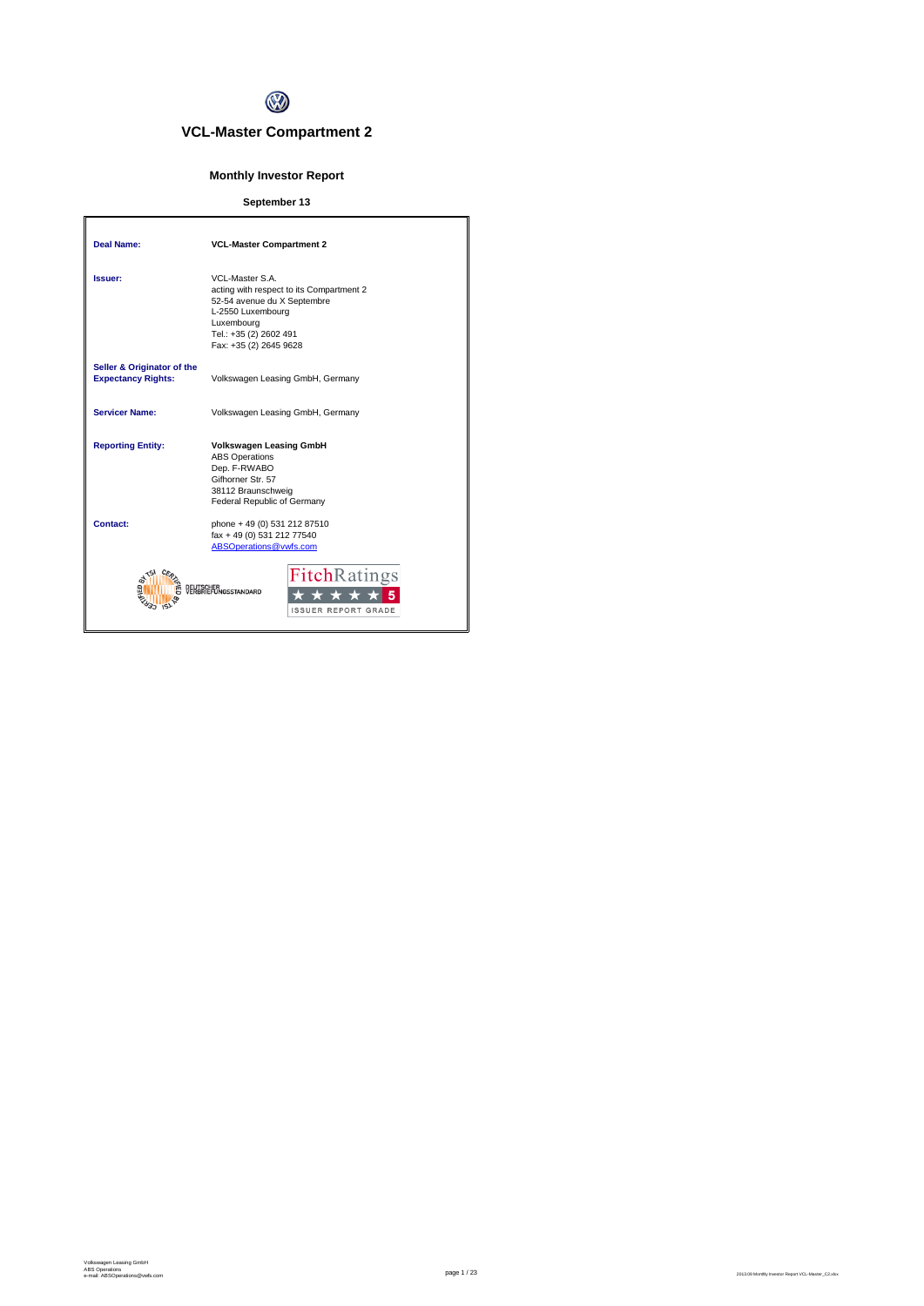

# **VCL-Master Compartment 2**

# **Monthly Investor Report**

## **September 13**

| Deal Name:                                              | <b>VCL-Master Compartment 2</b>                                                                                                                                                   |
|---------------------------------------------------------|-----------------------------------------------------------------------------------------------------------------------------------------------------------------------------------|
| <i><b>Issuer:</b></i>                                   | VCL-Master S.A.<br>acting with respect to its Compartment 2<br>52-54 avenue du X Septembre<br>L-2550 Luxembourg<br>Luxembourg<br>Tel.: +35 (2) 2602 491<br>Fax: +35 (2) 2645 9628 |
| Seller & Originator of the<br><b>Expectancy Rights:</b> | Volkswagen Leasing GmbH, Germany                                                                                                                                                  |
| <b>Servicer Name:</b>                                   | Volkswagen Leasing GmbH, Germany                                                                                                                                                  |
| <b>Reporting Entity:</b>                                | <b>Volkswagen Leasing GmbH</b><br><b>ABS Operations</b><br>Dep. F-RWABO<br>Gifhorner Str. 57<br>38112 Braunschweig<br>Federal Republic of Germany                                 |
| Contact:                                                | phone + 49 (0) 531 212 87510<br>fax + 49 (0) 531 212 77540<br>ABSOperations@vwfs.com                                                                                              |
|                                                         | <b>Fitch</b> Ratings<br><b><i><u>AGSSTANDARD</u></i></b><br><b>ISSUER REPORT GRADE</b>                                                                                            |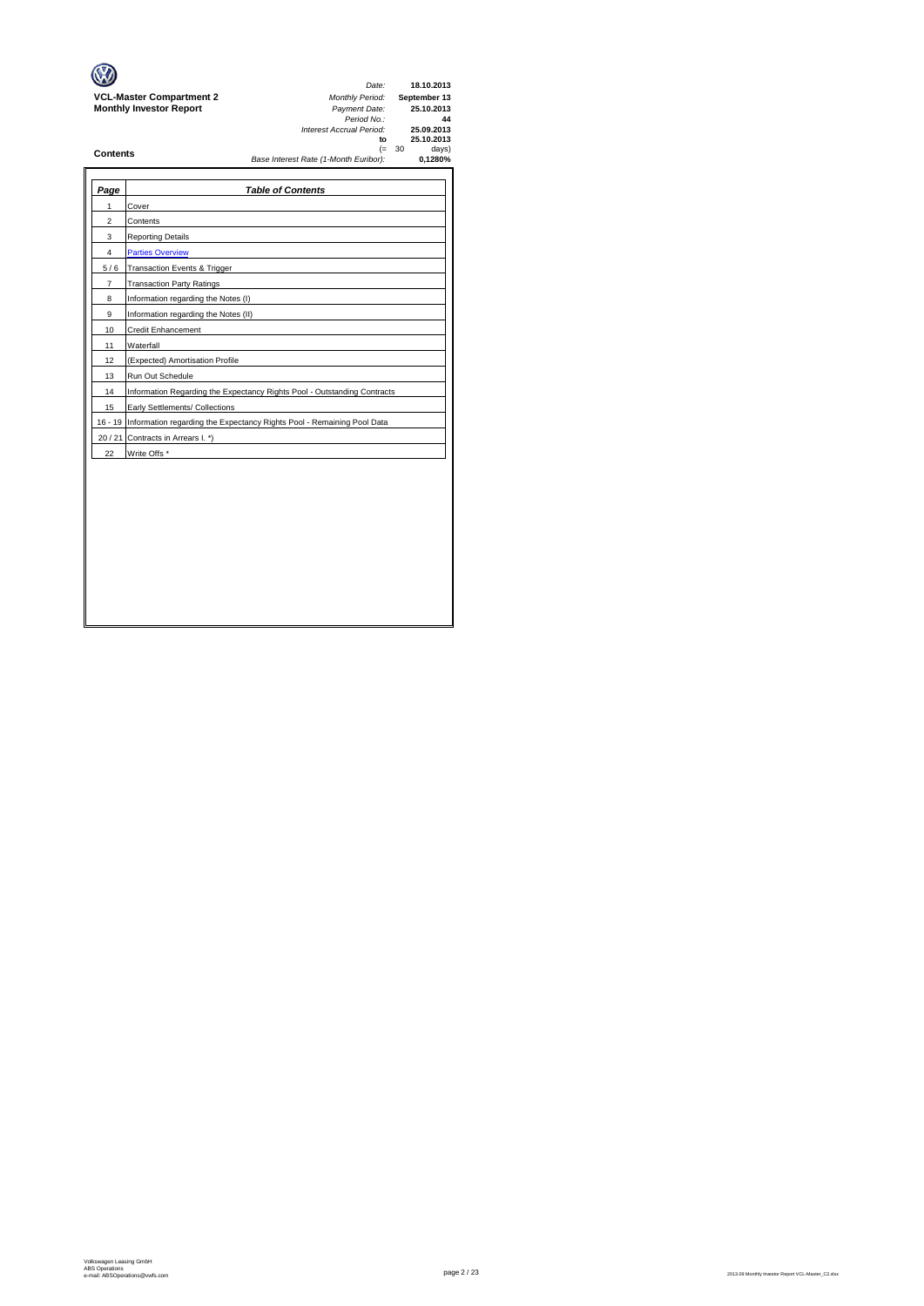|                                 | Date:                                 |          | 18.10.2013   |
|---------------------------------|---------------------------------------|----------|--------------|
| <b>VCL-Master Compartment 2</b> | <b>Monthly Period:</b>                |          | September 13 |
| <b>Monthly Investor Report</b>  | Payment Date:                         |          | 25.10.2013   |
|                                 | Period No.:                           |          | 44           |
|                                 | Interest Accrual Period:              |          | 25.09.2013   |
|                                 | to                                    |          | 25.10.2013   |
| <b>Contents</b>                 |                                       | $(= 30)$ | days)        |
|                                 | Base Interest Rate (1-Month Euribor): |          | 0.1280%      |
|                                 |                                       |          |              |

 $\rightarrow$ 

| Page           | <b>Table of Contents</b>                                                       |
|----------------|--------------------------------------------------------------------------------|
| 1              | Cover                                                                          |
| $\overline{c}$ | Contents                                                                       |
| 3              | <b>Reporting Details</b>                                                       |
| 4              | <b>Parties Overview</b>                                                        |
| 5/6            | Transaction Events & Trigger                                                   |
| $\overline{7}$ | <b>Transaction Party Ratings</b>                                               |
| 8              | Information regarding the Notes (I)                                            |
| 9              | Information regarding the Notes (II)                                           |
| 10             | Credit Enhancement                                                             |
| 11             | Waterfall                                                                      |
| 12             | (Expected) Amortisation Profile                                                |
| 13             | Run Out Schedule                                                               |
| 14             | Information Regarding the Expectancy Rights Pool - Outstanding Contracts       |
| 15             | Early Settlements/ Collections                                                 |
|                | 16 - 19 Information regarding the Expectancy Rights Pool - Remaining Pool Data |
|                | 20 / 21 Contracts in Arrears I. *)                                             |
| 22             | Write Offs *                                                                   |
|                |                                                                                |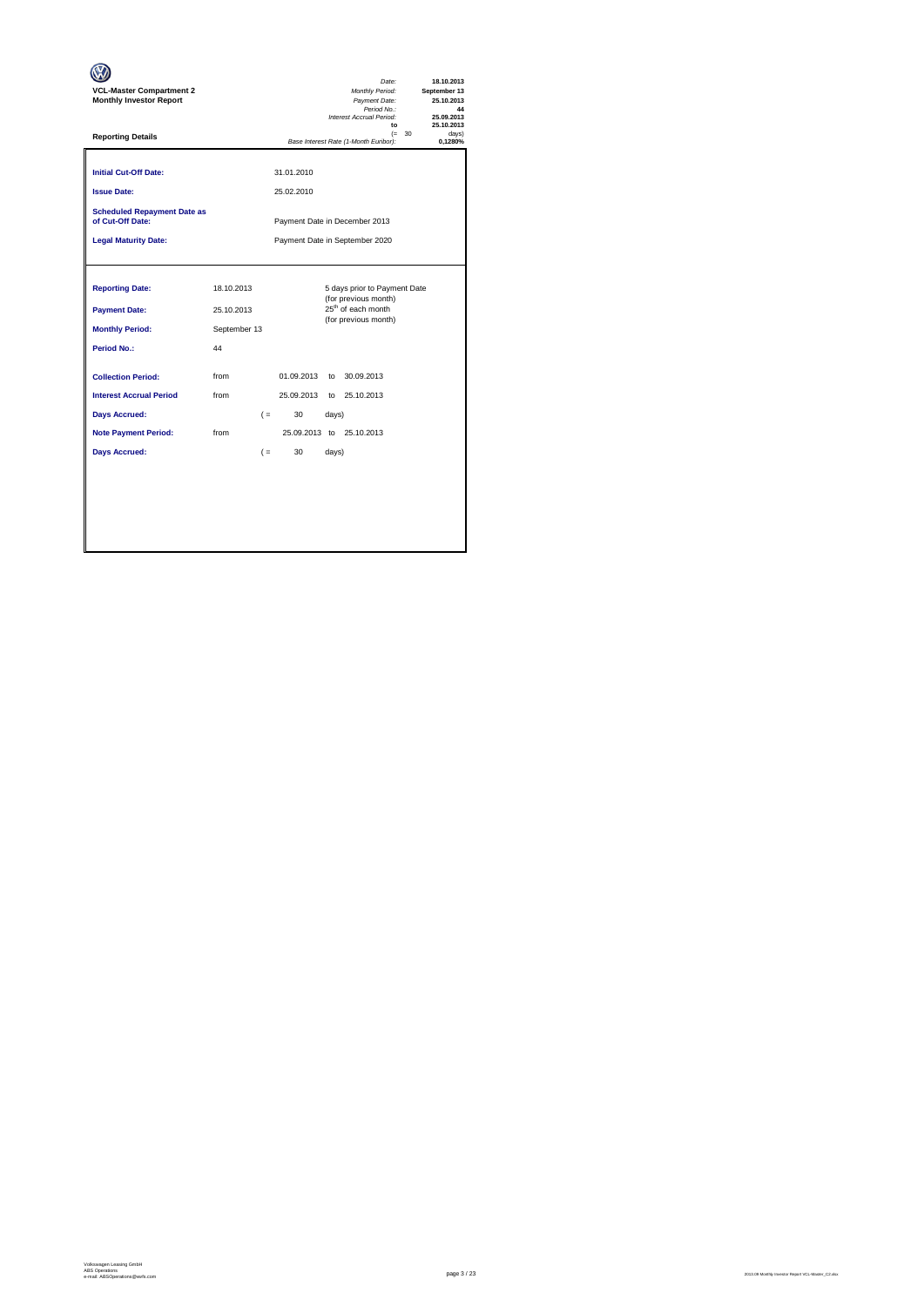| <b>VCL-Master Compartment 2</b><br><b>Monthly Investor Report</b>                                                                                                |                          |                                |                                      |                      | Date:<br>Monthly Period:<br>Payment Date:<br>Period No.:<br>Interest Accrual Period:<br>to                     |          | 18.10.2013<br>September 13<br>25.10.2013<br>44<br>25.09.2013<br>25.10.2013 |
|------------------------------------------------------------------------------------------------------------------------------------------------------------------|--------------------------|--------------------------------|--------------------------------------|----------------------|----------------------------------------------------------------------------------------------------------------|----------|----------------------------------------------------------------------------|
| <b>Reporting Details</b>                                                                                                                                         |                          |                                |                                      |                      | Base Interest Rate (1-Month Euribor):                                                                          | $(= 30)$ | davs)<br>0.1280%                                                           |
| <b>Initial Cut-Off Date:</b><br><b>Issue Date:</b>                                                                                                               |                          |                                | 31.01.2010<br>25.02.2010             |                      |                                                                                                                |          |                                                                            |
| <b>Scheduled Repayment Date as</b><br>of Cut-Off Date:                                                                                                           |                          | Payment Date in December 2013  |                                      |                      |                                                                                                                |          |                                                                            |
| <b>Legal Maturity Date:</b>                                                                                                                                      |                          | Payment Date in September 2020 |                                      |                      |                                                                                                                |          |                                                                            |
| <b>Reporting Date:</b><br><b>Payment Date:</b>                                                                                                                   | 18.10.2013<br>25.10.2013 |                                |                                      |                      | 5 days prior to Payment Date<br>(for previous month)<br>25 <sup>th</sup> of each month<br>(for previous month) |          |                                                                            |
| <b>Monthly Period:</b>                                                                                                                                           | September 13<br>44       |                                |                                      |                      |                                                                                                                |          |                                                                            |
| <b>Period No.:</b><br><b>Collection Period:</b><br><b>Interest Accrual Period</b><br><b>Days Accrued:</b><br><b>Note Payment Period:</b><br><b>Days Accrued:</b> | from<br>from<br>from     | $($ =<br>$($ =                 | 01.09.2013<br>25.09.2013<br>30<br>30 | to<br>days)<br>days) | 30.09.2013<br>to 25.10.2013<br>25.09.2013 to 25.10.2013                                                        |          |                                                                            |
|                                                                                                                                                                  |                          |                                |                                      |                      |                                                                                                                |          |                                                                            |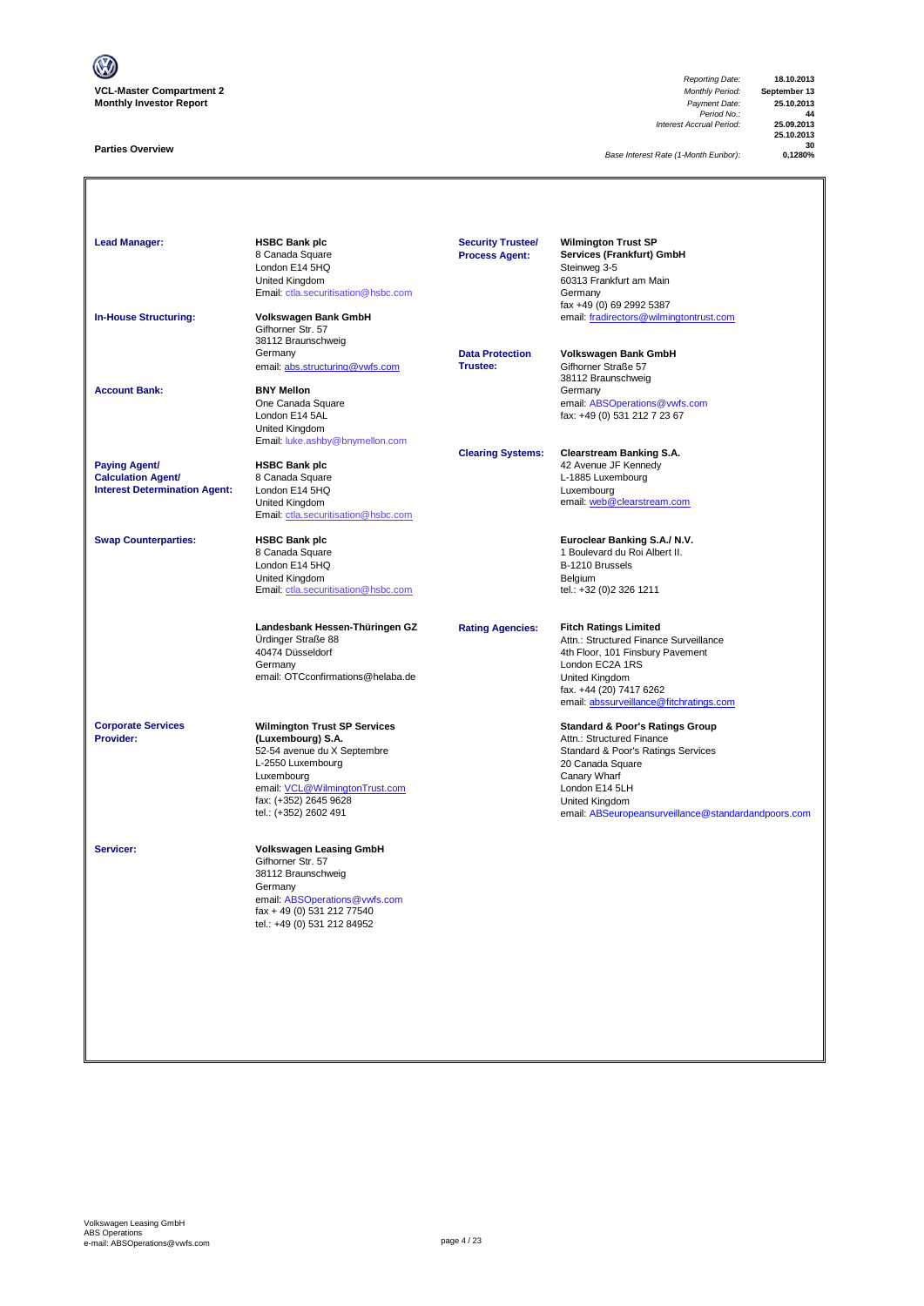

### **Parties Overview**

*Reporting Date:* **18.10.2013** Payment Date: **25.10.2013**<br> *Period No.:* **44**<br> *Accrual Period:* **25.09.2013** *Interest Accrual Period:* **25.09.2013**

**25.10.2013 30**

**Base Interest Rate (1-Month Euribor):** 

Lead Manager: **HSBC Bank plc Manager: HSBC Bank plc Wilmington Trust SP Services (Frankfurt) GmbH**<br>Steinweg 3-5 8 Canada Square<br>London E14 5HQ<br>United Kingdom Summay 2<br>60313 Frankfurt am Main<br>Germany [Email: ctla.securitisation@hsbc.com](mailto:ctla.securitisation@hsbc.com) fax +49 (0) 69 2992 5387 **In-House Structuring: Volkswagen Bank GmbH** email: fradirectors@wilmingtontrust.com Gifhorner Str. 57 38112 Braunschweig Germany **Data Protection Volkswagen Bank GmbH** email: abs.structuring@vwfs.com 38112 Braunschweig **Account Bank: BNY Mellon**<br>
One Canada Square One Canada Square email: ABSOperations@vwfs.com London E14 5AL fax: +49 (0) 531 212 7 23 67 United Kingdom [Email: luke.ashby@bnymellon.com](mailto:ctla.securitisation@hsbc.com) **Clearing Systems: Clearstream Banking S.A. Paying Agent/ HSBC Bank plc All and Account 1999 12 Avenue JF Kennedy Calculation Agent/** 8 Canada Square **Calculation Agent/ Business Agent/ Business Agent/ Canada Square Calculation Agent/ Canada Square Calculation Agent/ Canada Square Canada Square Calculation Agent/** Interest Determination Agent: London E14 5HQ<br>United Kingdom United Kingdom email: <u>web @clearstream.com</u> [Email: ctla.securitisation@hsbc.com](mailto:ctla.securitisation@hsbc.com) **Swap Counterparties: HSBC Bank plc Euroclear Banking S.A./ N.V.** 1 Boulevard du Roi Albert II.<br>B-1210 Brussels London E14 5HQ<br>
United Kingdom<br>
Email: ctla.securitisation @hsbc.com<br>
Email: ctla.securitisation @hsbc.com<br>
Email: +32 (0)2 326 1211 United Kingdom [Email: ctla.securitisation@hsbc.com](mailto:ctla.securitisation@hsbc.com) **Landesbank Hessen-Thüringen GZ Rating Agencies: Fitch Ratings Limited** Ürdinger Straße 88 Attn.: Structured Finance Surveillance 4th Floor, 101 Finsbury Pavement Germany London EC2A 1RS email: OTCconfirmations@helaba.de United Kingdom fax. +44 (20) 7417 6262 [email: abssurveillance@fitchratings.com](mailto:abssurveillance@fitchratings.com) **Corporate Services Wilmington Trust SP Services Corporate Services Standard & Poor's Ratings Group**<br> **Provider: Constant Corporation (Luxembourg) S.A. Constant Corporation Atthe Structured Finance** Attn.: Structured Finance Standard & Poor's Ratings Services<br>20 Canada Square 52-54 avenue du X Septembre<br>L-2550 Luxembourg<br>Luxembourg Lo Sanada Squa<br>Canary Wharf<br>London E14 5LH email: <u>VCL@WilmingtonTrust.com</u> email: <u>VCL@WilmingtonTrust.com</u> London E14 5LH<br>
fax: (+352) 2645 9628 <br>
United Kingdom fax: (+352) 2645 9628 United Kingdom nsurveillance@standardandpoors.com **Servicer: Volkswagen Leasing GmbH** Gifhorner Str. 57 38112 Braunschweig Germany email: <u>ABSOperations@vwfs.com</u><br>fax + 49 (0) 531 212 77540 tel.: +49 (0) 531 212 84952 **Security Trustee/ Process Agent:**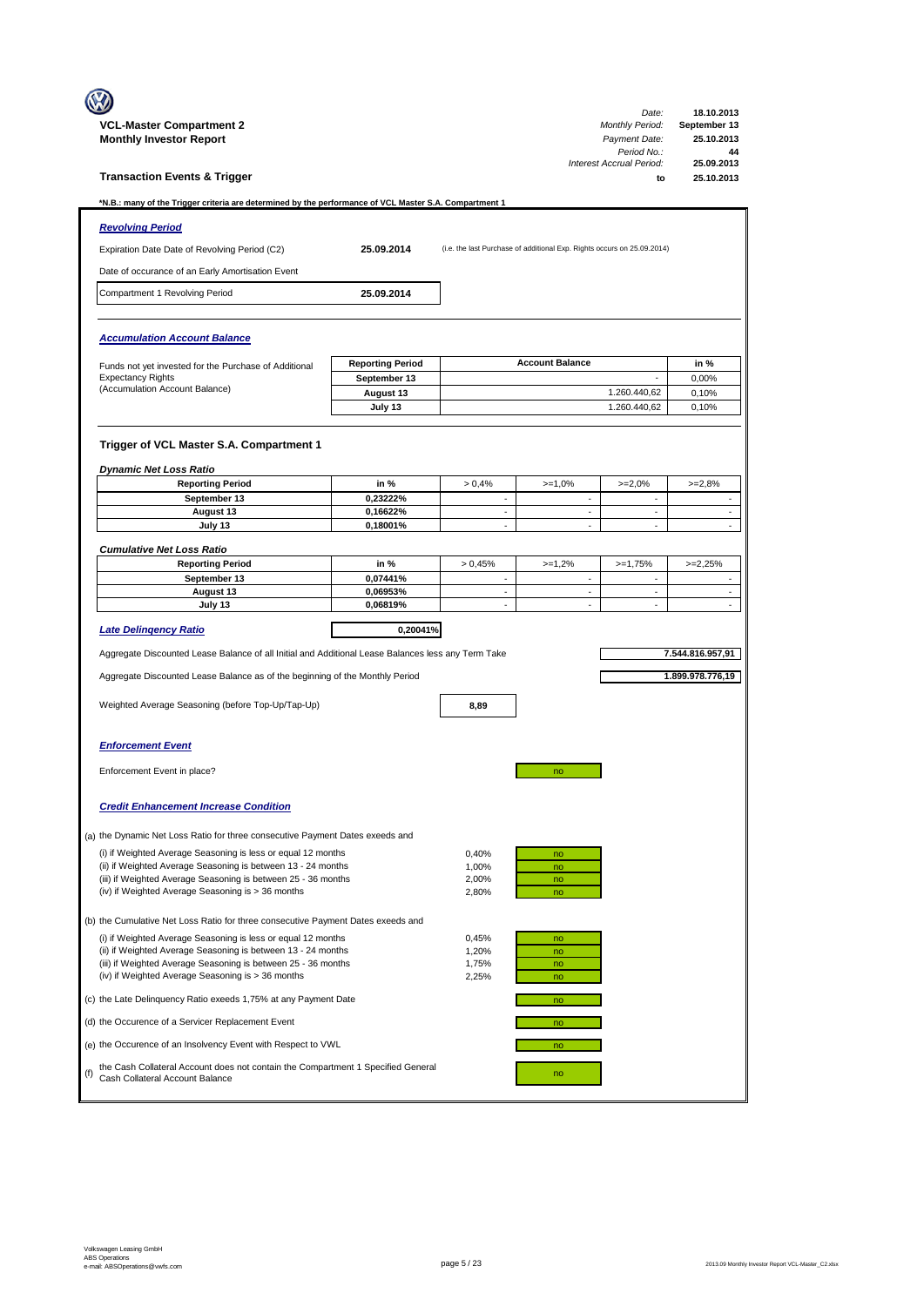|     |                                                                                                                               |                         |                          |                                                                         | Date:                                      | 18.10.2013                            |
|-----|-------------------------------------------------------------------------------------------------------------------------------|-------------------------|--------------------------|-------------------------------------------------------------------------|--------------------------------------------|---------------------------------------|
|     | <b>VCL-Master Compartment 2</b>                                                                                               |                         |                          |                                                                         | Monthly Period:<br>Payment Date:           | September 13<br>25.10.2013            |
|     | <b>Monthly Investor Report</b>                                                                                                |                         |                          |                                                                         | Period No.:                                | 44                                    |
|     | <b>Transaction Events &amp; Trigger</b>                                                                                       |                         |                          |                                                                         | Interest Accrual Period:<br>f <sub>O</sub> | 25.09.2013<br>25.10.2013              |
|     | *N.B.: many of the Trigger criteria are determined by the performance of VCL Master S.A. Compartment 1                        |                         |                          |                                                                         |                                            |                                       |
|     | <b>Revolving Period</b>                                                                                                       |                         |                          |                                                                         |                                            |                                       |
|     | Expiration Date Date of Revolving Period (C2)                                                                                 | 25.09.2014              |                          | (i.e. the last Purchase of additional Exp. Rights occurs on 25.09.2014) |                                            |                                       |
|     | Date of occurance of an Early Amortisation Event                                                                              |                         |                          |                                                                         |                                            |                                       |
|     | Compartment 1 Revolving Period                                                                                                | 25.09.2014              |                          |                                                                         |                                            |                                       |
|     |                                                                                                                               |                         |                          |                                                                         |                                            |                                       |
|     | <b>Accumulation Account Balance</b>                                                                                           |                         |                          |                                                                         |                                            |                                       |
|     | Funds not yet invested for the Purchase of Additional                                                                         | <b>Reporting Period</b> |                          | <b>Account Balance</b>                                                  |                                            | in %                                  |
|     | <b>Expectancy Rights</b><br>(Accumulation Account Balance)                                                                    | September 13            |                          |                                                                         | $\overline{\phantom{a}}$<br>1.260.440,62   | 0,00%                                 |
|     |                                                                                                                               | August 13<br>July 13    |                          |                                                                         | 1.260.440,62                               | 0,10%<br>0,10%                        |
|     |                                                                                                                               |                         |                          |                                                                         |                                            |                                       |
|     | Trigger of VCL Master S.A. Compartment 1                                                                                      |                         |                          |                                                                         |                                            |                                       |
|     | <b>Dynamic Net Loss Ratio</b>                                                                                                 |                         |                          |                                                                         |                                            |                                       |
|     | <b>Reporting Period</b>                                                                                                       | in %                    | > 0.4%                   | $>=1,0%$                                                                | $>=2,0%$                                   | $>=2.8%$                              |
|     | September 13                                                                                                                  | 0,23222%                | $\overline{\phantom{a}}$ | $\overline{\phantom{a}}$                                                | $\blacksquare$                             | $\overline{\phantom{a}}$              |
|     | August 13<br>July 13                                                                                                          | 0,16622%<br>0,18001%    | $\sim$                   | $\mathbf{r}$<br>$\blacksquare$                                          | $\sim$<br>$\mathbf{r}$                     | $\mathcal{L}_{\mathcal{A}}$<br>$\sim$ |
|     |                                                                                                                               |                         |                          |                                                                         |                                            |                                       |
|     | <b>Cumulative Net Loss Ratio</b><br><b>Reporting Period</b>                                                                   | in %                    | > 0.45%                  | $>=1,2%$                                                                | $>=1,75%$                                  | $>=2,25%$                             |
|     | September 13                                                                                                                  | 0,07441%                | $\sim$                   | $\blacksquare$                                                          | $\blacksquare$                             | $\blacksquare$                        |
|     | August 13<br>July 13                                                                                                          | 0,06953%<br>0,06819%    | $\sim$<br>÷              | $\blacksquare$<br>$\sim$                                                | $\overline{\phantom{a}}$<br>$\sim$         | $\overline{\phantom{a}}$<br>$\Box$    |
|     |                                                                                                                               |                         |                          |                                                                         |                                            |                                       |
|     | <b>Late Delingency Ratio</b>                                                                                                  | 0,20041%                |                          |                                                                         |                                            |                                       |
|     | Aggregate Discounted Lease Balance of all Initial and Additional Lease Balances less any Term Take                            |                         |                          |                                                                         |                                            | 7.544.816.957,91                      |
|     | Aggregate Discounted Lease Balance as of the beginning of the Monthly Period                                                  |                         |                          |                                                                         |                                            | 1.899.978.776,19                      |
|     | Weighted Average Seasoning (before Top-Up/Tap-Up)                                                                             |                         | 8,89                     |                                                                         |                                            |                                       |
|     |                                                                                                                               |                         |                          |                                                                         |                                            |                                       |
|     | <b>Enforcement Event</b>                                                                                                      |                         |                          |                                                                         |                                            |                                       |
|     |                                                                                                                               |                         |                          |                                                                         |                                            |                                       |
|     | Enforcement Event in place?                                                                                                   |                         |                          | no                                                                      |                                            |                                       |
|     | <b>Credit Enhancement Increase Condition</b>                                                                                  |                         |                          |                                                                         |                                            |                                       |
|     | (a) the Dynamic Net Loss Ratio for three consecutive Payment Dates exeeds and                                                 |                         |                          |                                                                         |                                            |                                       |
|     | (i) if Weighted Average Seasoning is less or equal 12 months<br>(ii) if Weighted Average Seasoning is between 13 - 24 months  |                         | 0,40%<br>1,00%           | no<br>no                                                                |                                            |                                       |
|     | (iii) if Weighted Average Seasoning is between 25 - 36 months                                                                 |                         | 2,00%                    | no                                                                      |                                            |                                       |
|     | (iv) if Weighted Average Seasoning is > 36 months                                                                             |                         | 2,80%                    | no                                                                      |                                            |                                       |
|     | (b) the Cumulative Net Loss Ratio for three consecutive Payment Dates exeeds and                                              |                         |                          |                                                                         |                                            |                                       |
|     | (i) if Weighted Average Seasoning is less or equal 12 months                                                                  |                         | 0,45%                    | no                                                                      |                                            |                                       |
|     | (ii) if Weighted Average Seasoning is between 13 - 24 months<br>(iii) if Weighted Average Seasoning is between 25 - 36 months |                         | 1,20%<br>1,75%           | no<br>no                                                                |                                            |                                       |
|     | (iv) if Weighted Average Seasoning is > 36 months                                                                             |                         | 2,25%                    | no                                                                      |                                            |                                       |
|     | (c) the Late Delinquency Ratio exeeds 1,75% at any Payment Date                                                               |                         |                          | no                                                                      |                                            |                                       |
|     | (d) the Occurence of a Servicer Replacement Event                                                                             |                         |                          | no                                                                      |                                            |                                       |
|     | (e) the Occurence of an Insolvency Event with Respect to VWL                                                                  |                         |                          | no                                                                      |                                            |                                       |
| (f) | the Cash Collateral Account does not contain the Compartment 1 Specified General<br>Cash Collateral Account Balance           |                         |                          | no                                                                      |                                            |                                       |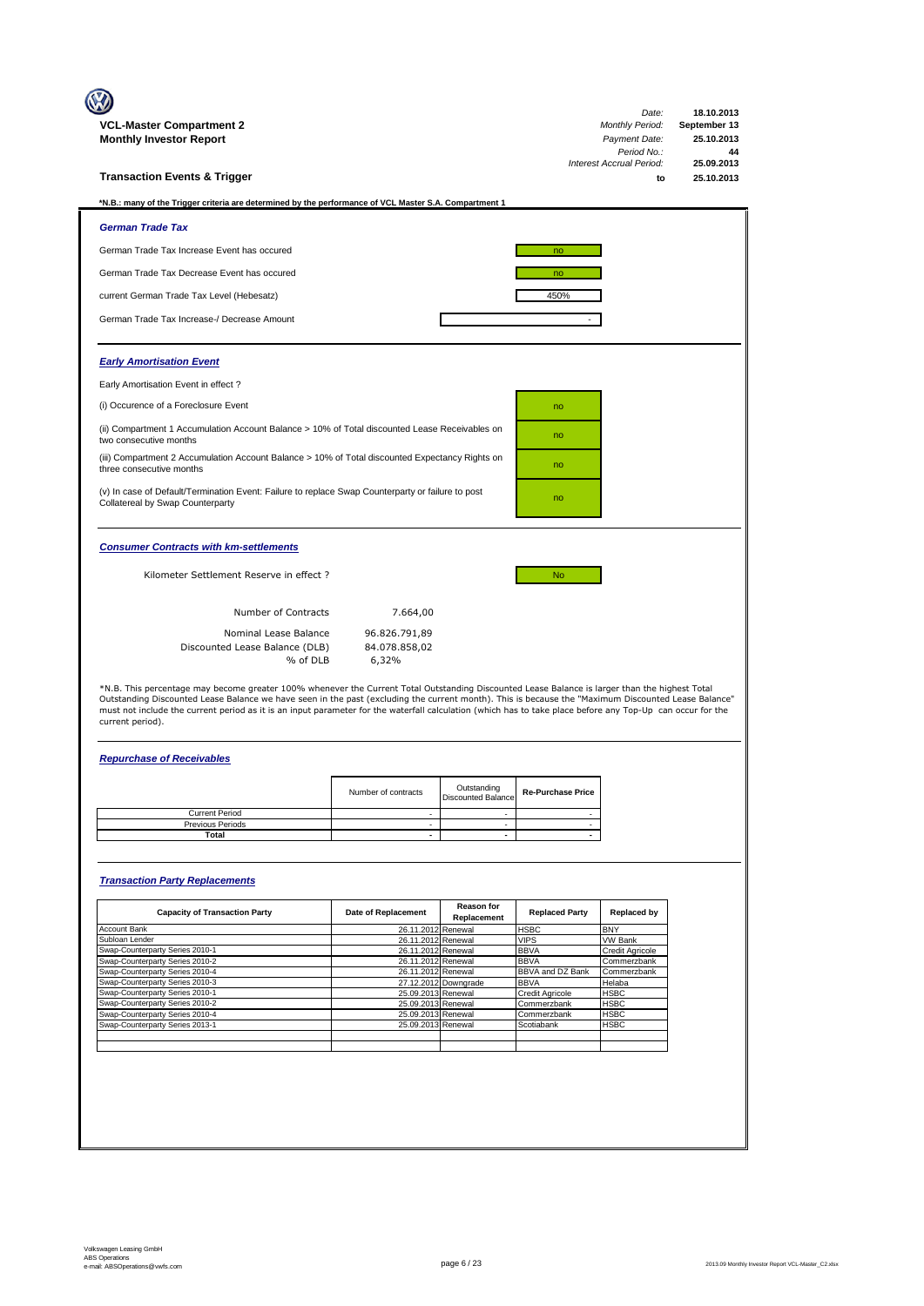| Period No.:<br>Interest Accrual Period:<br><b>Transaction Events &amp; Trigger</b><br>tΩ<br>*N.B.: many of the Trigger criteria are determined by the performance of VCL Master S.A. Compartment 1<br><b>German Trade Tax</b><br>German Trade Tax Increase Event has occured<br>no<br>German Trade Tax Decrease Event has occured<br>no<br>450%<br>current German Trade Tax Level (Hebesatz)<br>German Trade Tax Increase-/ Decrease Amount<br><b>Early Amortisation Event</b><br>Early Amortisation Event in effect?<br>(i) Occurence of a Foreclosure Event<br>no<br>(ii) Compartment 1 Accumulation Account Balance > 10% of Total discounted Lease Receivables on<br>no<br>two consecutive months<br>(iii) Compartment 2 Accumulation Account Balance > 10% of Total discounted Expectancy Rights on<br>no<br>three consecutive months<br>(v) In case of Default/Termination Event: Failure to replace Swap Counterparty or failure to post<br>no<br>Collatereal by Swap Counterparty<br><b>Consumer Contracts with km-settlements</b><br>Kilometer Settlement Reserve in effect ?<br>No.<br>Number of Contracts<br>7.664,00<br>Nominal Lease Balance<br>96.826.791,89<br>84.078.858,02<br>Discounted Lease Balance (DLB)<br>% of DLB<br>6,32%<br>*N.B. This percentage may become greater 100% whenever the Current Total Outstanding Discounted Lease Balance is larger than the highest Total<br>Outstanding Discounted Lease Balance we have seen in the past (excluding the current month). This is because the "Maximum Discounted Lease Balance"<br>must not include the current period as it is an input parameter for the waterfall calculation (which has to take place before any Top-Up can occur for the<br>current period).<br><b>Repurchase of Receivables</b><br>Outstanding<br>Number of contracts<br><b>Re-Purchase Price</b><br><b>Discounted Balance</b><br><b>Current Period</b><br>٠<br>Previous Periods<br>$\sim$<br>$\sim$<br>$\overline{\phantom{a}}$<br>Total<br>$\sim$<br>$\mathbf{r}$<br><b>Transaction Party Replacements</b><br>Reason for<br><b>Replaced by</b><br><b>Capacity of Transaction Party</b><br>Date of Replacement<br><b>Replaced Party</b><br>Replacement<br>Account Bank<br><b>HSBC</b><br><b>BNY</b><br>26.11.2012 Renewal<br>Subloan Lender<br>26.11.2012 Renewal<br><b>VIPS</b><br>VW Bank | 44<br>25.09.2013<br>25.10.2013 |
|------------------------------------------------------------------------------------------------------------------------------------------------------------------------------------------------------------------------------------------------------------------------------------------------------------------------------------------------------------------------------------------------------------------------------------------------------------------------------------------------------------------------------------------------------------------------------------------------------------------------------------------------------------------------------------------------------------------------------------------------------------------------------------------------------------------------------------------------------------------------------------------------------------------------------------------------------------------------------------------------------------------------------------------------------------------------------------------------------------------------------------------------------------------------------------------------------------------------------------------------------------------------------------------------------------------------------------------------------------------------------------------------------------------------------------------------------------------------------------------------------------------------------------------------------------------------------------------------------------------------------------------------------------------------------------------------------------------------------------------------------------------------------------------------------------------------------------------------------------------------------------------------------------------------------------------------------------------------------------------------------------------------------------------------------------------------------------------------------------------------------------------------------------------------------------------------------------------------------------------------------------------------------------------------------------------------------------------------|--------------------------------|
|                                                                                                                                                                                                                                                                                                                                                                                                                                                                                                                                                                                                                                                                                                                                                                                                                                                                                                                                                                                                                                                                                                                                                                                                                                                                                                                                                                                                                                                                                                                                                                                                                                                                                                                                                                                                                                                                                                                                                                                                                                                                                                                                                                                                                                                                                                                                                |                                |
|                                                                                                                                                                                                                                                                                                                                                                                                                                                                                                                                                                                                                                                                                                                                                                                                                                                                                                                                                                                                                                                                                                                                                                                                                                                                                                                                                                                                                                                                                                                                                                                                                                                                                                                                                                                                                                                                                                                                                                                                                                                                                                                                                                                                                                                                                                                                                |                                |
|                                                                                                                                                                                                                                                                                                                                                                                                                                                                                                                                                                                                                                                                                                                                                                                                                                                                                                                                                                                                                                                                                                                                                                                                                                                                                                                                                                                                                                                                                                                                                                                                                                                                                                                                                                                                                                                                                                                                                                                                                                                                                                                                                                                                                                                                                                                                                |                                |
|                                                                                                                                                                                                                                                                                                                                                                                                                                                                                                                                                                                                                                                                                                                                                                                                                                                                                                                                                                                                                                                                                                                                                                                                                                                                                                                                                                                                                                                                                                                                                                                                                                                                                                                                                                                                                                                                                                                                                                                                                                                                                                                                                                                                                                                                                                                                                |                                |
|                                                                                                                                                                                                                                                                                                                                                                                                                                                                                                                                                                                                                                                                                                                                                                                                                                                                                                                                                                                                                                                                                                                                                                                                                                                                                                                                                                                                                                                                                                                                                                                                                                                                                                                                                                                                                                                                                                                                                                                                                                                                                                                                                                                                                                                                                                                                                |                                |
|                                                                                                                                                                                                                                                                                                                                                                                                                                                                                                                                                                                                                                                                                                                                                                                                                                                                                                                                                                                                                                                                                                                                                                                                                                                                                                                                                                                                                                                                                                                                                                                                                                                                                                                                                                                                                                                                                                                                                                                                                                                                                                                                                                                                                                                                                                                                                |                                |
|                                                                                                                                                                                                                                                                                                                                                                                                                                                                                                                                                                                                                                                                                                                                                                                                                                                                                                                                                                                                                                                                                                                                                                                                                                                                                                                                                                                                                                                                                                                                                                                                                                                                                                                                                                                                                                                                                                                                                                                                                                                                                                                                                                                                                                                                                                                                                |                                |
|                                                                                                                                                                                                                                                                                                                                                                                                                                                                                                                                                                                                                                                                                                                                                                                                                                                                                                                                                                                                                                                                                                                                                                                                                                                                                                                                                                                                                                                                                                                                                                                                                                                                                                                                                                                                                                                                                                                                                                                                                                                                                                                                                                                                                                                                                                                                                |                                |
|                                                                                                                                                                                                                                                                                                                                                                                                                                                                                                                                                                                                                                                                                                                                                                                                                                                                                                                                                                                                                                                                                                                                                                                                                                                                                                                                                                                                                                                                                                                                                                                                                                                                                                                                                                                                                                                                                                                                                                                                                                                                                                                                                                                                                                                                                                                                                |                                |
|                                                                                                                                                                                                                                                                                                                                                                                                                                                                                                                                                                                                                                                                                                                                                                                                                                                                                                                                                                                                                                                                                                                                                                                                                                                                                                                                                                                                                                                                                                                                                                                                                                                                                                                                                                                                                                                                                                                                                                                                                                                                                                                                                                                                                                                                                                                                                |                                |
|                                                                                                                                                                                                                                                                                                                                                                                                                                                                                                                                                                                                                                                                                                                                                                                                                                                                                                                                                                                                                                                                                                                                                                                                                                                                                                                                                                                                                                                                                                                                                                                                                                                                                                                                                                                                                                                                                                                                                                                                                                                                                                                                                                                                                                                                                                                                                |                                |
|                                                                                                                                                                                                                                                                                                                                                                                                                                                                                                                                                                                                                                                                                                                                                                                                                                                                                                                                                                                                                                                                                                                                                                                                                                                                                                                                                                                                                                                                                                                                                                                                                                                                                                                                                                                                                                                                                                                                                                                                                                                                                                                                                                                                                                                                                                                                                |                                |
|                                                                                                                                                                                                                                                                                                                                                                                                                                                                                                                                                                                                                                                                                                                                                                                                                                                                                                                                                                                                                                                                                                                                                                                                                                                                                                                                                                                                                                                                                                                                                                                                                                                                                                                                                                                                                                                                                                                                                                                                                                                                                                                                                                                                                                                                                                                                                |                                |
|                                                                                                                                                                                                                                                                                                                                                                                                                                                                                                                                                                                                                                                                                                                                                                                                                                                                                                                                                                                                                                                                                                                                                                                                                                                                                                                                                                                                                                                                                                                                                                                                                                                                                                                                                                                                                                                                                                                                                                                                                                                                                                                                                                                                                                                                                                                                                |                                |
|                                                                                                                                                                                                                                                                                                                                                                                                                                                                                                                                                                                                                                                                                                                                                                                                                                                                                                                                                                                                                                                                                                                                                                                                                                                                                                                                                                                                                                                                                                                                                                                                                                                                                                                                                                                                                                                                                                                                                                                                                                                                                                                                                                                                                                                                                                                                                |                                |
|                                                                                                                                                                                                                                                                                                                                                                                                                                                                                                                                                                                                                                                                                                                                                                                                                                                                                                                                                                                                                                                                                                                                                                                                                                                                                                                                                                                                                                                                                                                                                                                                                                                                                                                                                                                                                                                                                                                                                                                                                                                                                                                                                                                                                                                                                                                                                |                                |
|                                                                                                                                                                                                                                                                                                                                                                                                                                                                                                                                                                                                                                                                                                                                                                                                                                                                                                                                                                                                                                                                                                                                                                                                                                                                                                                                                                                                                                                                                                                                                                                                                                                                                                                                                                                                                                                                                                                                                                                                                                                                                                                                                                                                                                                                                                                                                |                                |
|                                                                                                                                                                                                                                                                                                                                                                                                                                                                                                                                                                                                                                                                                                                                                                                                                                                                                                                                                                                                                                                                                                                                                                                                                                                                                                                                                                                                                                                                                                                                                                                                                                                                                                                                                                                                                                                                                                                                                                                                                                                                                                                                                                                                                                                                                                                                                |                                |
|                                                                                                                                                                                                                                                                                                                                                                                                                                                                                                                                                                                                                                                                                                                                                                                                                                                                                                                                                                                                                                                                                                                                                                                                                                                                                                                                                                                                                                                                                                                                                                                                                                                                                                                                                                                                                                                                                                                                                                                                                                                                                                                                                                                                                                                                                                                                                |                                |
|                                                                                                                                                                                                                                                                                                                                                                                                                                                                                                                                                                                                                                                                                                                                                                                                                                                                                                                                                                                                                                                                                                                                                                                                                                                                                                                                                                                                                                                                                                                                                                                                                                                                                                                                                                                                                                                                                                                                                                                                                                                                                                                                                                                                                                                                                                                                                |                                |
|                                                                                                                                                                                                                                                                                                                                                                                                                                                                                                                                                                                                                                                                                                                                                                                                                                                                                                                                                                                                                                                                                                                                                                                                                                                                                                                                                                                                                                                                                                                                                                                                                                                                                                                                                                                                                                                                                                                                                                                                                                                                                                                                                                                                                                                                                                                                                |                                |
|                                                                                                                                                                                                                                                                                                                                                                                                                                                                                                                                                                                                                                                                                                                                                                                                                                                                                                                                                                                                                                                                                                                                                                                                                                                                                                                                                                                                                                                                                                                                                                                                                                                                                                                                                                                                                                                                                                                                                                                                                                                                                                                                                                                                                                                                                                                                                |                                |
|                                                                                                                                                                                                                                                                                                                                                                                                                                                                                                                                                                                                                                                                                                                                                                                                                                                                                                                                                                                                                                                                                                                                                                                                                                                                                                                                                                                                                                                                                                                                                                                                                                                                                                                                                                                                                                                                                                                                                                                                                                                                                                                                                                                                                                                                                                                                                |                                |
|                                                                                                                                                                                                                                                                                                                                                                                                                                                                                                                                                                                                                                                                                                                                                                                                                                                                                                                                                                                                                                                                                                                                                                                                                                                                                                                                                                                                                                                                                                                                                                                                                                                                                                                                                                                                                                                                                                                                                                                                                                                                                                                                                                                                                                                                                                                                                |                                |
|                                                                                                                                                                                                                                                                                                                                                                                                                                                                                                                                                                                                                                                                                                                                                                                                                                                                                                                                                                                                                                                                                                                                                                                                                                                                                                                                                                                                                                                                                                                                                                                                                                                                                                                                                                                                                                                                                                                                                                                                                                                                                                                                                                                                                                                                                                                                                |                                |
|                                                                                                                                                                                                                                                                                                                                                                                                                                                                                                                                                                                                                                                                                                                                                                                                                                                                                                                                                                                                                                                                                                                                                                                                                                                                                                                                                                                                                                                                                                                                                                                                                                                                                                                                                                                                                                                                                                                                                                                                                                                                                                                                                                                                                                                                                                                                                |                                |
|                                                                                                                                                                                                                                                                                                                                                                                                                                                                                                                                                                                                                                                                                                                                                                                                                                                                                                                                                                                                                                                                                                                                                                                                                                                                                                                                                                                                                                                                                                                                                                                                                                                                                                                                                                                                                                                                                                                                                                                                                                                                                                                                                                                                                                                                                                                                                |                                |
|                                                                                                                                                                                                                                                                                                                                                                                                                                                                                                                                                                                                                                                                                                                                                                                                                                                                                                                                                                                                                                                                                                                                                                                                                                                                                                                                                                                                                                                                                                                                                                                                                                                                                                                                                                                                                                                                                                                                                                                                                                                                                                                                                                                                                                                                                                                                                |                                |
| Swap-Counterparty Series 2010-1<br>26.11.2012 Renewal<br><b>BBVA</b><br><b>Credit Agricole</b>                                                                                                                                                                                                                                                                                                                                                                                                                                                                                                                                                                                                                                                                                                                                                                                                                                                                                                                                                                                                                                                                                                                                                                                                                                                                                                                                                                                                                                                                                                                                                                                                                                                                                                                                                                                                                                                                                                                                                                                                                                                                                                                                                                                                                                                 |                                |
| Swap-Counterparty Series 2010-2<br><b>BBVA</b><br>26.11.2012 Renewal<br>Commerzbank                                                                                                                                                                                                                                                                                                                                                                                                                                                                                                                                                                                                                                                                                                                                                                                                                                                                                                                                                                                                                                                                                                                                                                                                                                                                                                                                                                                                                                                                                                                                                                                                                                                                                                                                                                                                                                                                                                                                                                                                                                                                                                                                                                                                                                                            |                                |
| Swap-Counterparty Series 2010-4<br>26.11.2012 Renewal<br><b>BBVA and DZ Bank</b><br>Commerzbank<br>Swap-Counterparty Series 2010-3<br>27.12.2012 Downgrade<br>Helaba<br>BBVA                                                                                                                                                                                                                                                                                                                                                                                                                                                                                                                                                                                                                                                                                                                                                                                                                                                                                                                                                                                                                                                                                                                                                                                                                                                                                                                                                                                                                                                                                                                                                                                                                                                                                                                                                                                                                                                                                                                                                                                                                                                                                                                                                                   |                                |
| Swap-Counterparty Series 2010-1<br>25.09.2013 Renewal<br>HSBC<br>Credit Agricole                                                                                                                                                                                                                                                                                                                                                                                                                                                                                                                                                                                                                                                                                                                                                                                                                                                                                                                                                                                                                                                                                                                                                                                                                                                                                                                                                                                                                                                                                                                                                                                                                                                                                                                                                                                                                                                                                                                                                                                                                                                                                                                                                                                                                                                               |                                |
| Swap-Counterparty Series 2010-2<br>25.09.2013 Renewal<br>Commerzbank<br>HSBC                                                                                                                                                                                                                                                                                                                                                                                                                                                                                                                                                                                                                                                                                                                                                                                                                                                                                                                                                                                                                                                                                                                                                                                                                                                                                                                                                                                                                                                                                                                                                                                                                                                                                                                                                                                                                                                                                                                                                                                                                                                                                                                                                                                                                                                                   |                                |
| Swap-Counterparty Series 2010-4<br>25.09.2013 Renewal<br>HSBC<br>Commerzbank<br>Swap-Counterparty Series 2013-1<br>25.09.2013 Renewal<br>Scotiabank<br>HSBC                                                                                                                                                                                                                                                                                                                                                                                                                                                                                                                                                                                                                                                                                                                                                                                                                                                                                                                                                                                                                                                                                                                                                                                                                                                                                                                                                                                                                                                                                                                                                                                                                                                                                                                                                                                                                                                                                                                                                                                                                                                                                                                                                                                    |                                |
|                                                                                                                                                                                                                                                                                                                                                                                                                                                                                                                                                                                                                                                                                                                                                                                                                                                                                                                                                                                                                                                                                                                                                                                                                                                                                                                                                                                                                                                                                                                                                                                                                                                                                                                                                                                                                                                                                                                                                                                                                                                                                                                                                                                                                                                                                                                                                |                                |
|                                                                                                                                                                                                                                                                                                                                                                                                                                                                                                                                                                                                                                                                                                                                                                                                                                                                                                                                                                                                                                                                                                                                                                                                                                                                                                                                                                                                                                                                                                                                                                                                                                                                                                                                                                                                                                                                                                                                                                                                                                                                                                                                                                                                                                                                                                                                                |                                |
|                                                                                                                                                                                                                                                                                                                                                                                                                                                                                                                                                                                                                                                                                                                                                                                                                                                                                                                                                                                                                                                                                                                                                                                                                                                                                                                                                                                                                                                                                                                                                                                                                                                                                                                                                                                                                                                                                                                                                                                                                                                                                                                                                                                                                                                                                                                                                |                                |
|                                                                                                                                                                                                                                                                                                                                                                                                                                                                                                                                                                                                                                                                                                                                                                                                                                                                                                                                                                                                                                                                                                                                                                                                                                                                                                                                                                                                                                                                                                                                                                                                                                                                                                                                                                                                                                                                                                                                                                                                                                                                                                                                                                                                                                                                                                                                                |                                |
|                                                                                                                                                                                                                                                                                                                                                                                                                                                                                                                                                                                                                                                                                                                                                                                                                                                                                                                                                                                                                                                                                                                                                                                                                                                                                                                                                                                                                                                                                                                                                                                                                                                                                                                                                                                                                                                                                                                                                                                                                                                                                                                                                                                                                                                                                                                                                |                                |
|                                                                                                                                                                                                                                                                                                                                                                                                                                                                                                                                                                                                                                                                                                                                                                                                                                                                                                                                                                                                                                                                                                                                                                                                                                                                                                                                                                                                                                                                                                                                                                                                                                                                                                                                                                                                                                                                                                                                                                                                                                                                                                                                                                                                                                                                                                                                                |                                |
|                                                                                                                                                                                                                                                                                                                                                                                                                                                                                                                                                                                                                                                                                                                                                                                                                                                                                                                                                                                                                                                                                                                                                                                                                                                                                                                                                                                                                                                                                                                                                                                                                                                                                                                                                                                                                                                                                                                                                                                                                                                                                                                                                                                                                                                                                                                                                |                                |
|                                                                                                                                                                                                                                                                                                                                                                                                                                                                                                                                                                                                                                                                                                                                                                                                                                                                                                                                                                                                                                                                                                                                                                                                                                                                                                                                                                                                                                                                                                                                                                                                                                                                                                                                                                                                                                                                                                                                                                                                                                                                                                                                                                                                                                                                                                                                                |                                |
|                                                                                                                                                                                                                                                                                                                                                                                                                                                                                                                                                                                                                                                                                                                                                                                                                                                                                                                                                                                                                                                                                                                                                                                                                                                                                                                                                                                                                                                                                                                                                                                                                                                                                                                                                                                                                                                                                                                                                                                                                                                                                                                                                                                                                                                                                                                                                |                                |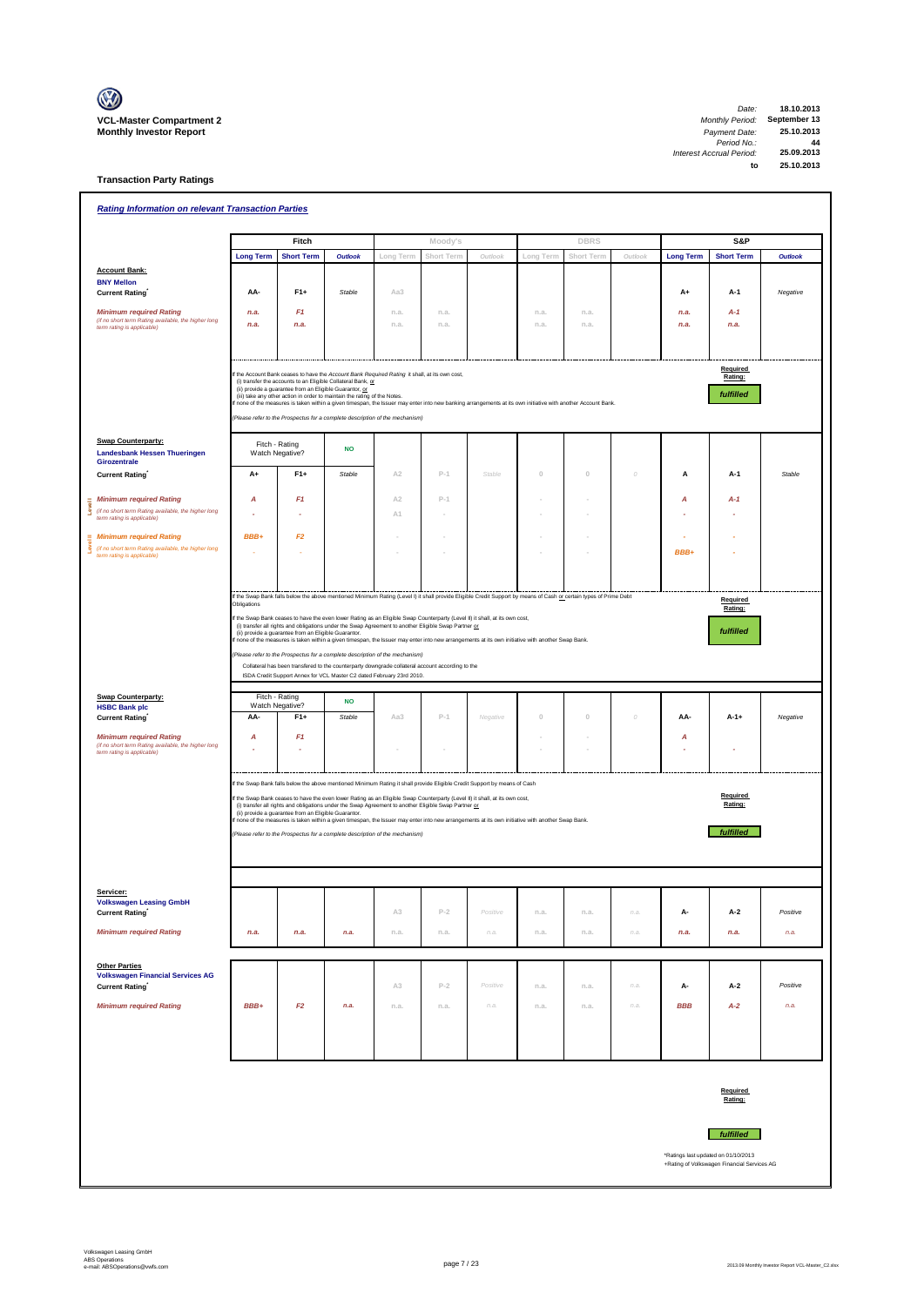

**Transaction Party Ratings**

| <b>Rating Information on relevant Transaction Parties</b>                                  |                  |                                                         |                                                                                                                                                                                                                                                            |                |            |          |             |             |          |                  |                                             |                |
|--------------------------------------------------------------------------------------------|------------------|---------------------------------------------------------|------------------------------------------------------------------------------------------------------------------------------------------------------------------------------------------------------------------------------------------------------------|----------------|------------|----------|-------------|-------------|----------|------------------|---------------------------------------------|----------------|
|                                                                                            |                  | Fitch                                                   |                                                                                                                                                                                                                                                            |                | Moody's    |          |             | <b>DBRS</b> |          |                  | S&P                                         |                |
|                                                                                            | <b>Long Term</b> | <b>Short Term</b>                                       | <b>Outlook</b>                                                                                                                                                                                                                                             | Long Term      | Short Term | Outlook  | Long Term   | Short Term  | Outlook  | <b>Long Term</b> | <b>Short Term</b>                           | <b>Outlook</b> |
| <b>Account Bank:</b><br><b>BNY Mellon</b>                                                  |                  |                                                         |                                                                                                                                                                                                                                                            |                |            |          |             |             |          |                  |                                             |                |
| <b>Current Rating</b>                                                                      | AA-              | $F1+$                                                   | Stable                                                                                                                                                                                                                                                     | Aa3            |            |          |             |             |          | A+               | A-1                                         | Negative       |
| <b>Minimum required Rating</b>                                                             | n.a.             | F1                                                      |                                                                                                                                                                                                                                                            | n.a.           | n.a.       |          | n.a.        | n.a.        |          | n.a.             | $A-1$                                       |                |
| (if no short term Rating available, the higher long<br>term rating is applicable)          | n.a.             | n.a.                                                    |                                                                                                                                                                                                                                                            | n.a.           | n.a.       |          | n.a.        | n.a.        |          | n.a.             | n.a.                                        |                |
|                                                                                            |                  |                                                         |                                                                                                                                                                                                                                                            |                |            |          |             |             |          |                  |                                             |                |
|                                                                                            |                  |                                                         |                                                                                                                                                                                                                                                            |                |            |          |             |             |          |                  | Required                                    |                |
|                                                                                            |                  | (ii) provide a guarantee from an Eligible Guarantor, or | f the Account Bank ceases to have the Account Bank Required Rating it shall, at its own cost,<br>(i) transfer the accounts to an Eligible Collateral Bank, or                                                                                              |                |            |          |             |             |          |                  | Rating:                                     |                |
|                                                                                            |                  |                                                         | (iii) take any other action in order to maintain the rating of the Notes.<br>none of the measures is taken within a given timespan, the Issuer may enter into new banking arrangements at its own initiative with another Account Bank.                    |                |            |          |             |             |          |                  | fulfilled                                   |                |
|                                                                                            |                  |                                                         | Please refer to the Prospectus for a complete description of the mechanism)                                                                                                                                                                                |                |            |          |             |             |          |                  |                                             |                |
| <b>Swap Counterparty:</b><br><b>Landesbank Hessen Thueringen</b>                           |                  | Fitch - Rating<br>Watch Negative?                       | <b>NO</b>                                                                                                                                                                                                                                                  |                |            |          |             |             |          |                  |                                             |                |
| Girozentrale<br><b>Current Rating</b>                                                      | $A+$             | $F1+$                                                   | Stable                                                                                                                                                                                                                                                     | A <sub>2</sub> | $P-1$      | Stable   | $\mathbb O$ | $\,0\,$     | 0        | А                | A-1                                         | Stable         |
|                                                                                            |                  |                                                         |                                                                                                                                                                                                                                                            |                |            |          |             |             |          |                  |                                             |                |
| <b>Minimum required Rating</b><br>(if no short term Rating available, the higher long<br>ۇ | Α                | F1                                                      |                                                                                                                                                                                                                                                            | A <sub>2</sub> | $P-1$      |          |             |             |          | Α                | A-1                                         |                |
| term rating is applicable)                                                                 |                  |                                                         |                                                                                                                                                                                                                                                            | A1             |            |          |             |             |          |                  |                                             |                |
| <b>Minimum required Rating</b><br>(if no short term Rating available, the higher long      | BBB+             | F2                                                      |                                                                                                                                                                                                                                                            |                |            |          |             |             |          |                  |                                             |                |
| term rating is applicable)                                                                 |                  |                                                         |                                                                                                                                                                                                                                                            |                |            |          |             |             |          | BBB+             |                                             |                |
|                                                                                            |                  |                                                         |                                                                                                                                                                                                                                                            |                |            |          |             |             |          |                  |                                             |                |
|                                                                                            | Obligations      |                                                         | If the Swap Bank falls below the above mentioned Minimum Rating (Level I) it shall provide Eligible Credit Support by means of Cash or certain types of Prime Debt                                                                                         |                |            |          |             |             |          |                  | Required                                    |                |
|                                                                                            |                  |                                                         | If the Swap Bank ceases to have the even lower Rating as an Eligible Swap Counterparty (Level II) it shall, at its own cost,                                                                                                                               |                |            |          |             |             |          |                  | Rating:                                     |                |
|                                                                                            |                  | (ii) provide a guarantee from an Eligible Guarantor.    | (i) transfer all rights and obligations under the Swap Agreement to another Eligible Swap Partner or<br>f none of the measures is taken within a given timespan, the Issuer may enter into new arrangements at its own initiative with another Swap Bank.  |                |            |          |             |             |          |                  | fulfilled                                   |                |
|                                                                                            |                  |                                                         | Please refer to the Prospectus for a complete description of the mechanism)                                                                                                                                                                                |                |            |          |             |             |          |                  |                                             |                |
|                                                                                            |                  |                                                         | Collateral has been transfered to the counterparty downgrade collateral account according to the                                                                                                                                                           |                |            |          |             |             |          |                  |                                             |                |
|                                                                                            |                  |                                                         | ISDA Credit Support Annex for VCL Master C2 dated February 23rd 2010.                                                                                                                                                                                      |                |            |          |             |             |          |                  |                                             |                |
| <b>Swap Counterparty:</b><br><b>HSBC Bank plc</b>                                          |                  | Fitch - Rating<br>Watch Negative?                       | <b>NO</b>                                                                                                                                                                                                                                                  |                |            |          |             |             |          |                  |                                             |                |
| <b>Current Rating</b>                                                                      | AA-              | $F1+$                                                   | Stable                                                                                                                                                                                                                                                     | Aa3            | $P-1$      | Negative | $\theta$    | $\mathbb O$ | $\Omega$ | AA-              | $A-1+$                                      | Negative       |
| <b>Minimum required Rating</b><br>(if no short term Rating available, the higher long      | A                | F <sub>1</sub>                                          |                                                                                                                                                                                                                                                            |                |            |          |             |             |          | А                |                                             |                |
| term rating is applicable)                                                                 |                  |                                                         |                                                                                                                                                                                                                                                            |                |            |          |             |             |          |                  |                                             |                |
|                                                                                            |                  |                                                         | If the Swap Bank falls below the above mentioned Minimum Rating it shall provide Eligible Credit Support by means of Cash                                                                                                                                  |                |            |          |             |             |          |                  |                                             |                |
|                                                                                            |                  |                                                         | If the Swap Bank ceases to have the even lower Rating as an Eligible Swap Counterparty (Level II) it shall, at its own cost,                                                                                                                               |                |            |          |             |             |          |                  | Required                                    |                |
|                                                                                            |                  | (ii) provide a guarantee from an Eligible Guarantor.    | (i) transfer all rights and obligations under the Swap Agreement to another Eligible Swap Partner or<br>If none of the measures is taken within a given timespan, the Issuer may enter into new arrangements at its own initiative with another Swap Bank. |                |            |          |             |             |          |                  | Rating:                                     |                |
|                                                                                            |                  |                                                         | (Please refer to the Prospectus for a complete description of the mechanism)                                                                                                                                                                               |                |            |          |             |             |          |                  | fulfilled                                   |                |
|                                                                                            |                  |                                                         |                                                                                                                                                                                                                                                            |                |            |          |             |             |          |                  |                                             |                |
|                                                                                            |                  |                                                         |                                                                                                                                                                                                                                                            |                |            |          |             |             |          |                  |                                             |                |
| Servicer:                                                                                  |                  |                                                         |                                                                                                                                                                                                                                                            |                |            |          |             |             |          |                  |                                             |                |
| <b>Volkswagen Leasing GmbH</b><br><b>Current Rating</b>                                    |                  |                                                         |                                                                                                                                                                                                                                                            | A3             | $P-2$      | Positive | n.a.        | n.a.        | n.a.     | А-               | A-2                                         | Positive       |
| <b>Minimum required Rating</b>                                                             | n.a.             | n.a.                                                    | n.a.                                                                                                                                                                                                                                                       | n.a.           | n.a.       | n.a.     | n.a.        | n.a.        | n.a.     | n.a.             | n.a.                                        | n.a.           |
|                                                                                            |                  |                                                         |                                                                                                                                                                                                                                                            |                |            |          |             |             |          |                  |                                             |                |
| <b>Other Parties</b>                                                                       |                  |                                                         |                                                                                                                                                                                                                                                            |                |            |          |             |             |          |                  |                                             |                |
| <b>Volkswagen Financial Services AG</b><br><b>Current Rating</b>                           |                  |                                                         |                                                                                                                                                                                                                                                            | A3             | $P-2$      | Positive | n.a.        | n.a.        | n.a.     | А-               | A-2                                         | Positive       |
| <b>Minimum required Rating</b>                                                             | BBB+             | F2                                                      | n.a.                                                                                                                                                                                                                                                       | n.a.           | n.a.       | n.a.     | n.a.        | n.a.        | n.a.     | <b>BBB</b>       | $A-2$                                       | n.a.           |
|                                                                                            |                  |                                                         |                                                                                                                                                                                                                                                            |                |            |          |             |             |          |                  |                                             |                |
|                                                                                            |                  |                                                         |                                                                                                                                                                                                                                                            |                |            |          |             |             |          |                  |                                             |                |
|                                                                                            |                  |                                                         |                                                                                                                                                                                                                                                            |                |            |          |             |             |          |                  |                                             |                |
|                                                                                            |                  |                                                         |                                                                                                                                                                                                                                                            |                |            |          |             |             |          |                  |                                             |                |
|                                                                                            |                  |                                                         |                                                                                                                                                                                                                                                            |                |            |          |             |             |          |                  | Required<br>Rating:                         |                |
|                                                                                            |                  |                                                         |                                                                                                                                                                                                                                                            |                |            |          |             |             |          |                  |                                             |                |
|                                                                                            |                  |                                                         |                                                                                                                                                                                                                                                            |                |            |          |             |             |          |                  | fulfilled                                   |                |
|                                                                                            |                  |                                                         |                                                                                                                                                                                                                                                            |                |            |          |             |             |          |                  | *Ratings last updated on 01/10/2013         |                |
|                                                                                            |                  |                                                         |                                                                                                                                                                                                                                                            |                |            |          |             |             |          |                  | +Rating of Volkswagen Financial Services AG |                |
|                                                                                            |                  |                                                         |                                                                                                                                                                                                                                                            |                |            |          |             |             |          |                  |                                             |                |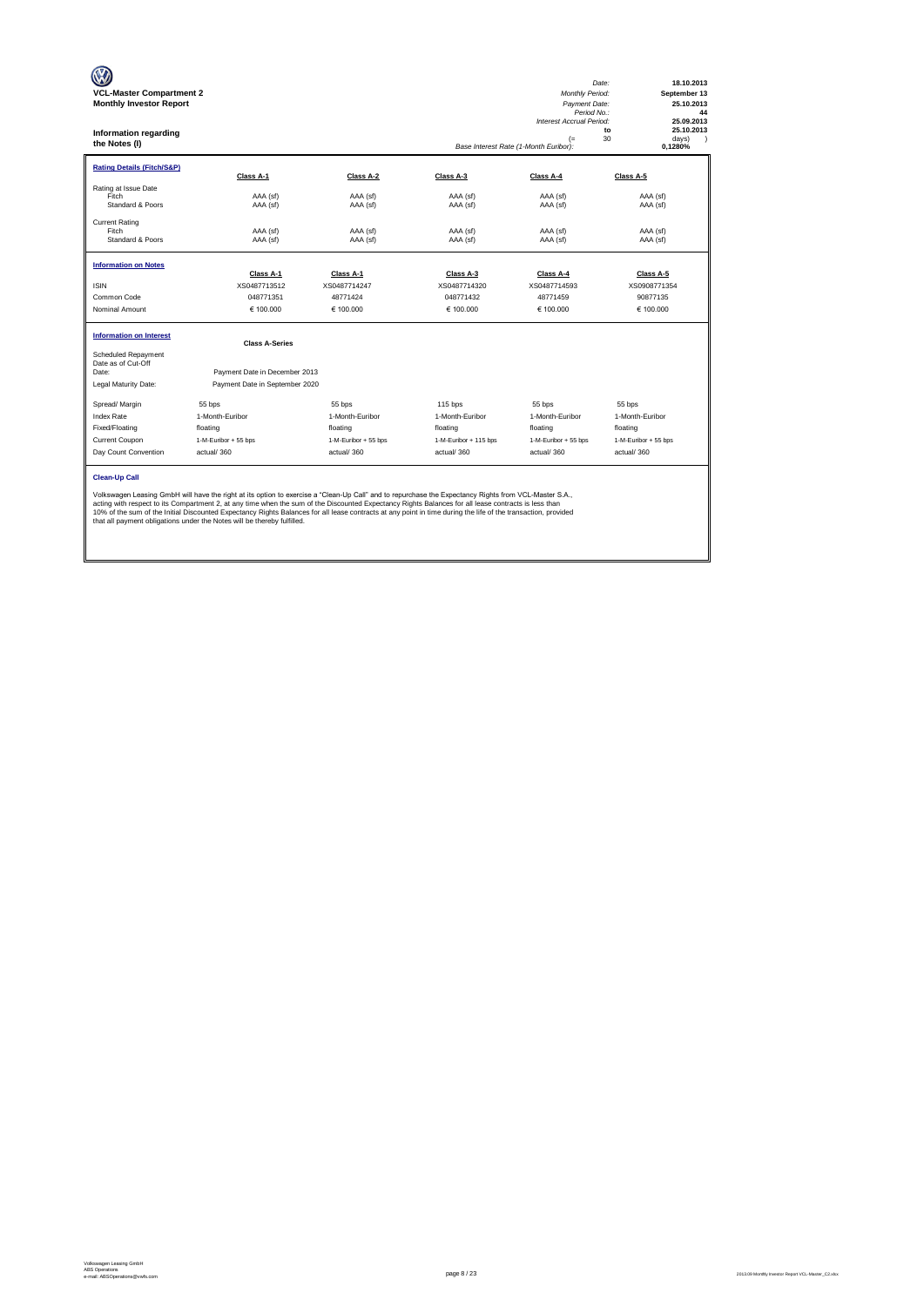| <b>VCL-Master Compartment 2</b><br><b>Monthly Investor Report</b><br>Information regarding<br>the Notes (I) |                                                                                                                                                                                                                                                                                                                                                                                                                                                                                                                                                           |                           |                       | <b>Monthly Period:</b><br>Payment Date:<br>Period No.:<br>Interest Accrual Period:<br>$(=$<br>Base Interest Rate (1-Month Euribor): | Date:<br>18.10.2013<br>September 13<br>25.10.2013<br>44<br>25.09.2013<br>25.10.2013<br>to<br>30<br>days)<br>$\lambda$<br>0,1280% |
|-------------------------------------------------------------------------------------------------------------|-----------------------------------------------------------------------------------------------------------------------------------------------------------------------------------------------------------------------------------------------------------------------------------------------------------------------------------------------------------------------------------------------------------------------------------------------------------------------------------------------------------------------------------------------------------|---------------------------|-----------------------|-------------------------------------------------------------------------------------------------------------------------------------|----------------------------------------------------------------------------------------------------------------------------------|
| <b>Rating Details (Fitch/S&amp;P)</b>                                                                       | Class A-1                                                                                                                                                                                                                                                                                                                                                                                                                                                                                                                                                 | Class A-2                 | Class A-3             | Class A-4                                                                                                                           | Class A-5                                                                                                                        |
| Rating at Issue Date<br>Fitch<br>Standard & Poors                                                           | AAA (sf)<br>AAA (sf)                                                                                                                                                                                                                                                                                                                                                                                                                                                                                                                                      | AAA (sf)<br>AAA (sf)      | AAA (sf)<br>AAA (sf)  | AAA (sf)<br>AAA (sf)                                                                                                                | AAA (sf)<br>AAA (sf)                                                                                                             |
| <b>Current Rating</b><br>Fitch<br>Standard & Poors                                                          | AAA (sf)<br>AAA (sf)                                                                                                                                                                                                                                                                                                                                                                                                                                                                                                                                      | AAA (sf)<br>AAA (sf)      | AAA (sf)<br>AAA (sf)  | AAA (sf)<br>AAA (sf)                                                                                                                | AAA (sf)<br>AAA (sf)                                                                                                             |
| <b>Information on Notes</b>                                                                                 | Class A-1                                                                                                                                                                                                                                                                                                                                                                                                                                                                                                                                                 |                           | Class A-3             | Class A-4                                                                                                                           | Class A-5                                                                                                                        |
| <b>ISIN</b>                                                                                                 | XS0487713512                                                                                                                                                                                                                                                                                                                                                                                                                                                                                                                                              | Class A-1<br>XS0487714247 | XS0487714320          | XS0487714593                                                                                                                        | XS0908771354                                                                                                                     |
| Common Code                                                                                                 | 048771351                                                                                                                                                                                                                                                                                                                                                                                                                                                                                                                                                 | 48771424                  | 048771432             | 48771459                                                                                                                            | 90877135                                                                                                                         |
| Nominal Amount                                                                                              | € 100,000                                                                                                                                                                                                                                                                                                                                                                                                                                                                                                                                                 | € 100.000                 | € 100.000             | € 100.000                                                                                                                           | € 100.000                                                                                                                        |
| <b>Information on Interest</b>                                                                              | <b>Class A-Series</b>                                                                                                                                                                                                                                                                                                                                                                                                                                                                                                                                     |                           |                       |                                                                                                                                     |                                                                                                                                  |
| <b>Scheduled Repayment</b><br>Date as of Cut-Off<br>Date:                                                   | Payment Date in December 2013                                                                                                                                                                                                                                                                                                                                                                                                                                                                                                                             |                           |                       |                                                                                                                                     |                                                                                                                                  |
| Legal Maturity Date:                                                                                        | Payment Date in September 2020                                                                                                                                                                                                                                                                                                                                                                                                                                                                                                                            |                           |                       |                                                                                                                                     |                                                                                                                                  |
| Spread/ Margin                                                                                              | 55 bps                                                                                                                                                                                                                                                                                                                                                                                                                                                                                                                                                    | 55 bps                    | 115 bps               | 55 bps                                                                                                                              | 55 bps                                                                                                                           |
| <b>Index Rate</b>                                                                                           | 1-Month-Euribor                                                                                                                                                                                                                                                                                                                                                                                                                                                                                                                                           | 1-Month-Euribor           | 1-Month-Euribor       | 1-Month-Euribor                                                                                                                     | 1-Month-Euribor                                                                                                                  |
| Fixed/Floating                                                                                              | floating                                                                                                                                                                                                                                                                                                                                                                                                                                                                                                                                                  | floating                  | floating              | floating                                                                                                                            | floating                                                                                                                         |
| Current Coupon                                                                                              | 1-M-Euribor + 55 bps                                                                                                                                                                                                                                                                                                                                                                                                                                                                                                                                      | 1-M-Euribor + 55 bps      | 1-M-Euribor + 115 bps | 1-M-Euribor + 55 bps                                                                                                                | 1-M-Euribor + 55 bps                                                                                                             |
| Day Count Convention                                                                                        | actual/360                                                                                                                                                                                                                                                                                                                                                                                                                                                                                                                                                | actual/360                | actual/360            | actual/360                                                                                                                          | actual/360                                                                                                                       |
| <b>Clean-Up Call</b>                                                                                        | Volkswagen Leasing GmbH will have the right at its option to exercise a "Clean-Up Call" and to repurchase the Expectancy Rights from VCL-Master S.A.,<br>acting with respect to its Compartment 2, at any time when the sum of the Discounted Expectancy Rights Balances for all lease contracts is less than<br>10% of the sum of the Initial Discounted Expectancy Rights Balances for all lease contracts at any point in time during the life of the transaction, provided<br>that all payment obligations under the Notes will be thereby fulfilled. |                           |                       |                                                                                                                                     |                                                                                                                                  |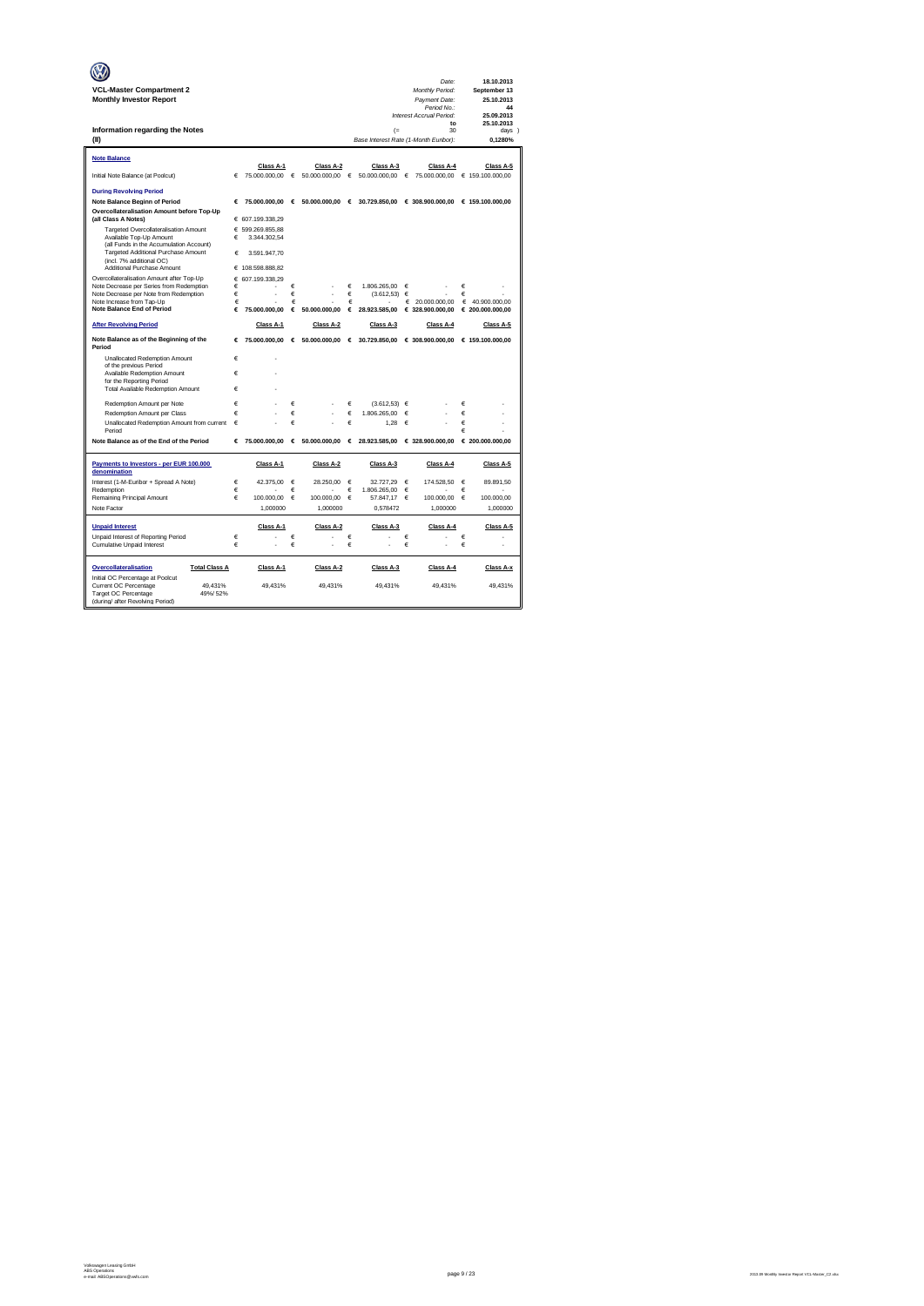|                                                                                    |        |                                  |            |                   |        |                                            |        | Date:                                           |        | 18.10.2013        |
|------------------------------------------------------------------------------------|--------|----------------------------------|------------|-------------------|--------|--------------------------------------------|--------|-------------------------------------------------|--------|-------------------|
| <b>VCL-Master Compartment 2</b>                                                    |        |                                  |            |                   |        |                                            |        | Monthly Period:                                 |        | September 13      |
| <b>Monthly Investor Report</b>                                                     |        |                                  |            |                   |        |                                            |        | Payment Date:<br>Period No.:                    |        | 25.10.2013<br>44  |
|                                                                                    |        |                                  |            |                   |        |                                            |        | Interest Accrual Period:                        |        | 25.09.2013        |
|                                                                                    |        |                                  |            |                   |        |                                            |        | to                                              |        | 25.10.2013        |
| Information regarding the Notes<br>(II)                                            |        |                                  |            |                   |        | (<br>Base Interest Rate (1-Month Euribor): |        | 30                                              |        | days )<br>0.1280% |
|                                                                                    |        |                                  |            |                   |        |                                            |        |                                                 |        |                   |
| <b>Note Balance</b>                                                                |        |                                  |            |                   |        |                                            |        |                                                 |        |                   |
|                                                                                    |        | Class A-1                        |            | Class A-2         |        | Class A-3                                  |        | Class A-4                                       |        | Class A-5         |
| Initial Note Balance (at Poolcut)                                                  | €      | 75.000.000,00                    | $\epsilon$ | 50.000.000,00     | €      | 50.000.000,00                              | €      | 75.000.000,00                                   |        | € 159.100.000,00  |
| <b>During Revolving Period</b>                                                     |        |                                  |            |                   |        |                                            |        |                                                 |        |                   |
| <b>Note Balance Beginn of Period</b>                                               | €      | 75,000,000,00                    |            | € 50.000.000.00 € |        |                                            |        | 30.729.850.00 € 308.900.000.00 € 159.100.000.00 |        |                   |
| Overcollateralisation Amount before Top-Up                                         |        |                                  |            |                   |        |                                            |        |                                                 |        |                   |
| (all Class A Notes)                                                                |        | € 607.199.338,29                 |            |                   |        |                                            |        |                                                 |        |                   |
| Targeted Overcollateralisation Amount<br>Available Top-Up Amount                   | €      | € 599.269.855,88<br>3.344.302.54 |            |                   |        |                                            |        |                                                 |        |                   |
| (all Funds in the Accumulation Account)                                            |        |                                  |            |                   |        |                                            |        |                                                 |        |                   |
| Targeted Additional Purchase Amount<br>(incl. 7% additional OC)                    | €      | 3.591.947.70                     |            |                   |        |                                            |        |                                                 |        |                   |
| Additional Purchase Amount                                                         |        | € 108.598.888,82                 |            |                   |        |                                            |        |                                                 |        |                   |
| Overcollateralisation Amount after Top-Up                                          | €      | 607.199.338.29                   |            |                   |        |                                            |        |                                                 |        |                   |
| Note Decrease per Series from Redemption<br>Note Decrease per Note from Redemption | €<br>€ |                                  | €<br>€     | í.                | €<br>€ | 1.806.265.00<br>(3.612, 53)                | €<br>€ |                                                 | €<br>€ |                   |
| Note Increase from Tap-Up                                                          | €      |                                  | €          |                   | €      |                                            | €      | 20.000.000,00                                   | €      | 40.900.000,00     |
| <b>Note Balance End of Period</b>                                                  | €      | 75.000.000.00                    | €          | 50,000,000.00     | €      | 28.923.585.00                              |        | € 328,900,000.00                                |        | € 200.000.000.00  |
| <b>After Revolving Period</b>                                                      |        | Class A-1                        |            | Class A-2         |        | Class A-3                                  |        | Class A-4                                       |        | Class A-5         |
| Note Balance as of the Beginning of the<br>Period                                  | €      | 75.000.000,00                    |            | 6.50.000.000,00   |        | € 30.729.850,00                            |        | € 308.900.000,00                                |        | € 159.100.000,00  |
| Unallocated Redemption Amount                                                      | €      | í.                               |            |                   |        |                                            |        |                                                 |        |                   |
| of the previous Period                                                             | €      |                                  |            |                   |        |                                            |        |                                                 |        |                   |
| Available Redemption Amount<br>for the Reporting Period                            |        |                                  |            |                   |        |                                            |        |                                                 |        |                   |
| <b>Total Available Redemption Amount</b>                                           | €      |                                  |            |                   |        |                                            |        |                                                 |        |                   |
| Redemotion Amount per Note                                                         | €      |                                  | €          |                   | €      | (3.612.53)                                 | €      |                                                 | €      |                   |
| Redemption Amount per Class                                                        | €      |                                  | €          |                   | €      | 1.806.265.00                               | €      |                                                 | €      |                   |
| Unallocated Redemption Amount from current                                         | €      |                                  | €          |                   | €      | 1.28                                       | €      |                                                 | €      |                   |
| Period                                                                             |        |                                  |            |                   |        |                                            |        |                                                 | €      |                   |
| Note Balance as of the End of the Period                                           | €      | 75,000,000,00                    | $\epsilon$ | 50,000,000,00     | €      | 28,923,585.00                              |        | € 328,900,000,00                                |        | € 200.000.000,00  |
| Payments to Investors - per EUR 100.000<br>denomination                            |        | Class A-1                        |            | Class A-2         |        | Class A-3                                  |        | Class A-4                                       |        | Class A-5         |
| Interest (1-M-Euribor + Spread A Note)                                             | €      | 42.375,00                        | €          | 28.250,00         | €      | 32.727,29                                  | €      | 174.528,50                                      | €      | 89.891,50         |
| Redemption<br>Remaining Principal Amount                                           | €<br>€ | 100.000,00                       | €<br>€     | 100.000,00        | €<br>€ | 1.806.265.00<br>57.847,17                  | €<br>€ | 100.000,00                                      | €<br>€ | 100.000,00        |
| Note Factor                                                                        |        | 1,000000                         |            | 1,000000          |        | 0,578472                                   |        | 1,000000                                        |        | 1,000000          |
|                                                                                    |        |                                  |            |                   |        |                                            |        |                                                 |        |                   |
| <b>Unpaid Interest</b>                                                             |        | Class A-1                        |            | Class A-2         |        | Class A-3                                  |        | Class A-4                                       |        | Class A-5         |
| Unpaid Interest of Reporting Period<br>Cumulative Unpaid Interest                  | €<br>€ |                                  | €<br>€     |                   | €<br>€ |                                            | €<br>€ |                                                 | €<br>€ |                   |
|                                                                                    |        |                                  |            |                   |        |                                            |        |                                                 |        |                   |
| Overcollateralisation<br><b>Total Class A</b>                                      |        | Class A-1                        |            | Class A-2         |        | Class A-3                                  |        | Class A-4                                       |        | Class A-x         |
| Initial OC Percentage at Poolcut<br>Current OC Percentage<br>49.431%               |        | 49.431%                          |            | 49.431%           |        | 49.431%                                    |        | 49.431%                                         |        | 49.431%           |
| Target OC Percentage<br>49%/52%                                                    |        |                                  |            |                   |        |                                            |        |                                                 |        |                   |
| (during/ after Revolving Period)                                                   |        |                                  |            |                   |        |                                            |        |                                                 |        |                   |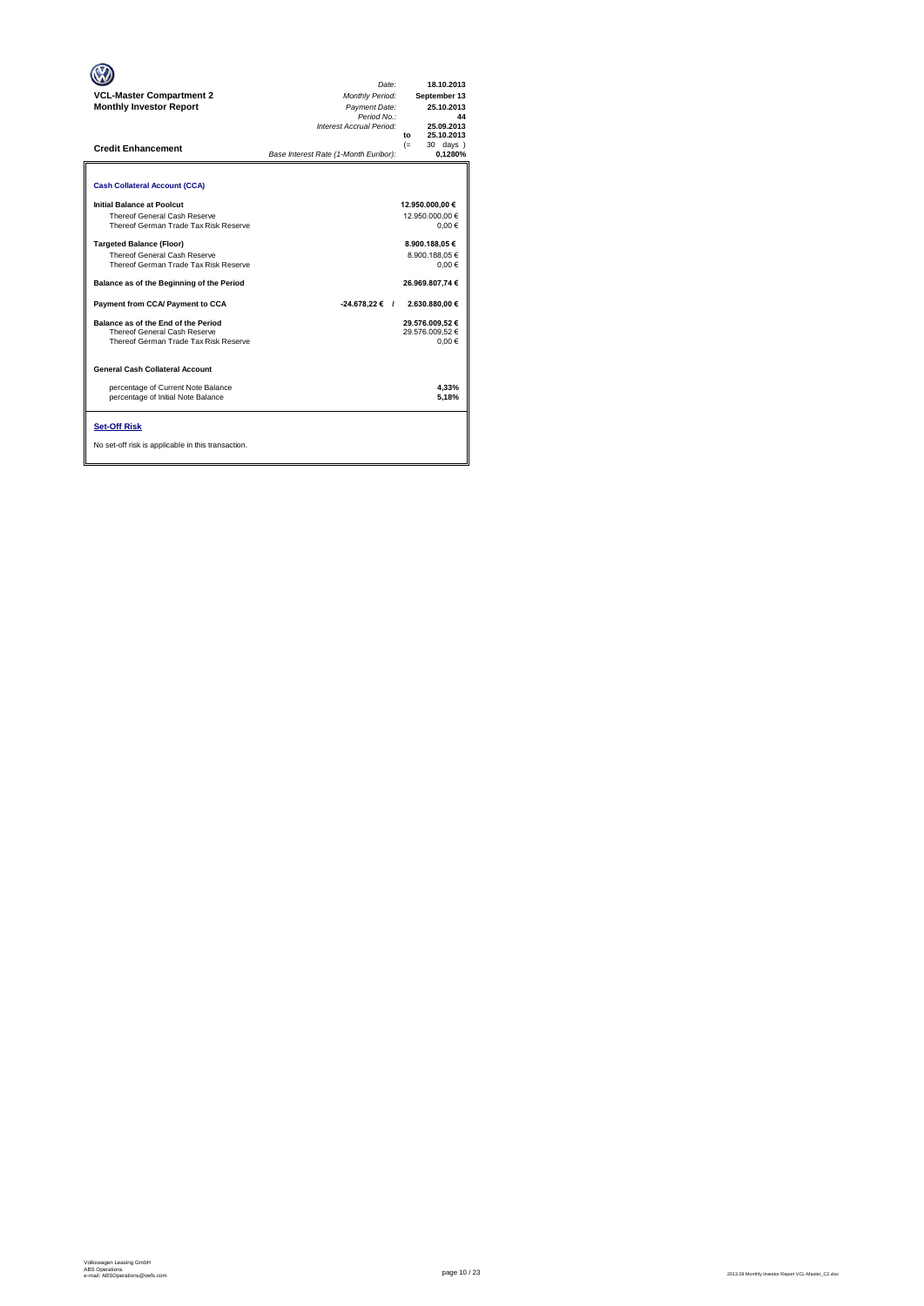| <b>VCL-Master Compartment 2</b><br><b>Monthly Investor Report</b><br><b>Credit Enhancement</b>                  | Date:<br><b>Monthly Period:</b><br>Payment Date:<br>Period No.:<br>Interest Accrual Period:<br>Base Interest Rate (1-Month Euribor): | 18.10.2013<br>September 13<br>25.10.2013<br>44<br>25.09.2013<br>25.10.2013<br>to<br>$(=$<br>30 days )<br>0,1280% |
|-----------------------------------------------------------------------------------------------------------------|--------------------------------------------------------------------------------------------------------------------------------------|------------------------------------------------------------------------------------------------------------------|
| <b>Cash Collateral Account (CCA)</b>                                                                            |                                                                                                                                      |                                                                                                                  |
| Initial Balance at Poolcut<br>Thereof General Cash Reserve<br>Thereof German Trade Tax Risk Reserve             |                                                                                                                                      | 12.950.000,00 €<br>12.950.000.00 €<br>0.00€                                                                      |
| <b>Targeted Balance (Floor)</b><br><b>Thereof General Cash Reserve</b><br>Thereof German Trade Tax Risk Reserve |                                                                                                                                      | 8.900.188,05€<br>8.900.188.05 €<br>0.00€                                                                         |
| Balance as of the Beginning of the Period                                                                       |                                                                                                                                      | 26.969.807,74 €                                                                                                  |
| Payment from CCA/ Payment to CCA                                                                                | $-24.678,22 \in$ /                                                                                                                   | 2.630.880.00 €                                                                                                   |
| Balance as of the End of the Period<br>Thereof General Cash Reserve<br>Thereof German Trade Tax Risk Reserve    |                                                                                                                                      | 29.576.009.52 €<br>29.576.009.52 €<br>0.00€                                                                      |
| General Cash Collateral Account                                                                                 |                                                                                                                                      |                                                                                                                  |
| percentage of Current Note Balance<br>percentage of Initial Note Balance                                        |                                                                                                                                      | 4,33%<br>5.18%                                                                                                   |
| <b>Set-Off Risk</b><br>No set-off risk is applicable in this transaction.                                       |                                                                                                                                      |                                                                                                                  |

**. . . .** Trigger Level 1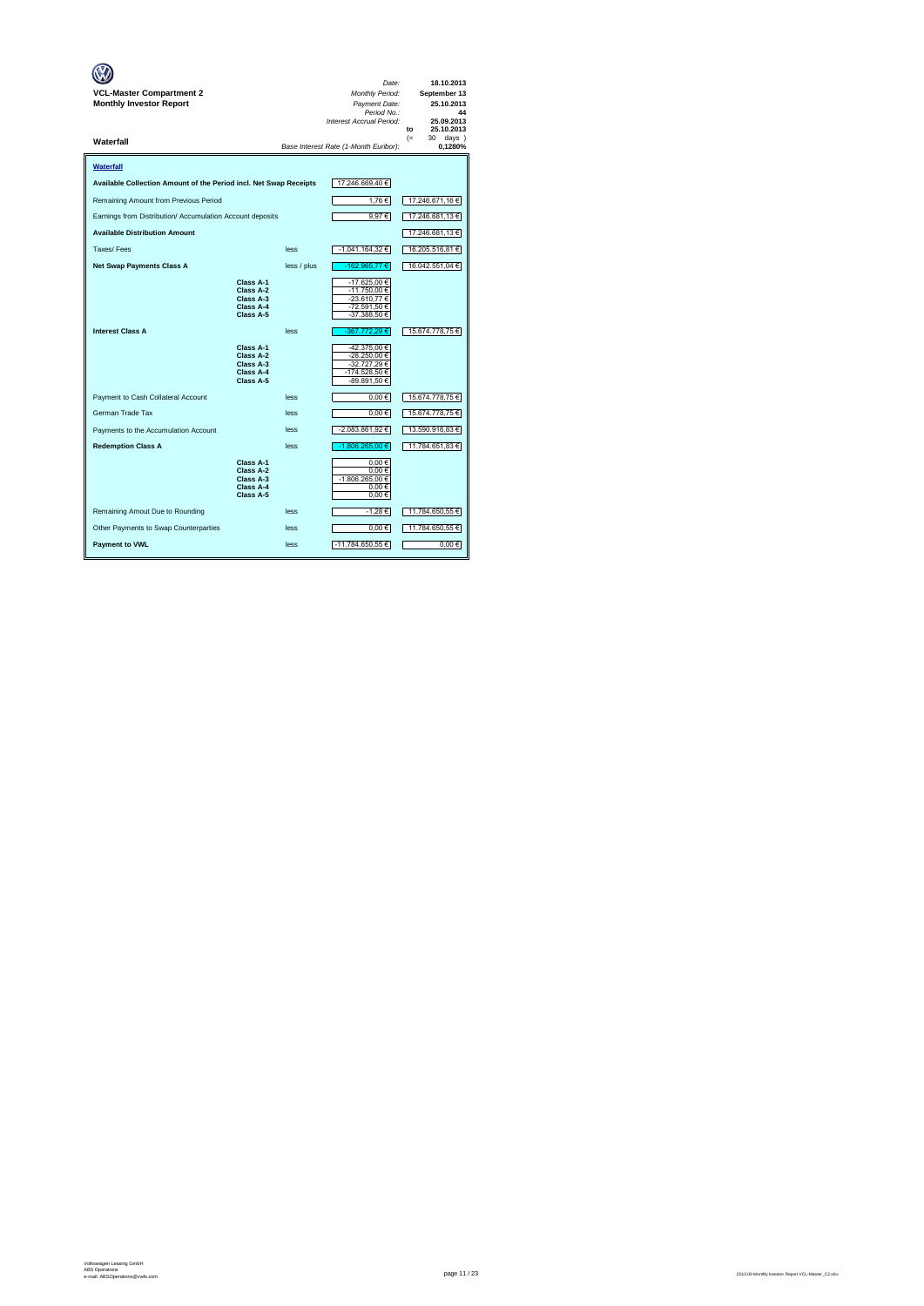| VCL-Master Compartment 2<br><b>Monthly Investor Report</b>        |                                                               |             | Date:<br>Monthly Period:<br>Payment Date:<br>Period No.:<br>Interest Accrual Period: | 18.10.2013<br>September 13<br>25.10.2013<br>44<br>25.09.2013<br>25.10.2013<br>to |
|-------------------------------------------------------------------|---------------------------------------------------------------|-------------|--------------------------------------------------------------------------------------|----------------------------------------------------------------------------------|
| Waterfall                                                         |                                                               |             | Base Interest Rate (1-Month Euribor):                                                | $(=$<br>30<br>$days$ )<br>0,1280%                                                |
| Waterfall                                                         |                                                               |             |                                                                                      |                                                                                  |
| Available Collection Amount of the Period incl. Net Swap Receipts |                                                               |             | 17.246.669,40 €                                                                      |                                                                                  |
| Remaining Amount from Previous Period                             |                                                               |             | 1,76€                                                                                | 17.246.671,16 €                                                                  |
| Earnings from Distribution/ Accumulation Account deposits         |                                                               |             | 9,97€                                                                                | 17.246.681,13 €                                                                  |
| <b>Available Distribution Amount</b>                              |                                                               |             |                                                                                      | 17.246.681,13 €                                                                  |
| Taxes/Fees                                                        |                                                               | less        | -1.041.164,32 €                                                                      | 16.205.516,81 €                                                                  |
| <b>Net Swap Payments Class A</b>                                  |                                                               | less / plus | -162.965,77 €                                                                        | 16.042.551,04 €                                                                  |
|                                                                   | Class A-1<br>Class A-2<br>Class A-3<br>Class A-4<br>Class A-5 |             | -17.625,00 €<br>-11.750,00 €<br>-23.610.77 €<br>-72.591,50 €<br>-37.388,50 €         |                                                                                  |
| <b>Interest Class A</b>                                           |                                                               | less        | -367.772,29€                                                                         | 15.674.778,75€                                                                   |
|                                                                   | Class A-1<br>Class A-2<br>Class A-3<br>Class A-4<br>Class A-5 |             | -42.375,00 €<br>-28.250,00 €<br>-32.727,29 €<br>-174.528,50 €<br>-89.891,50 €        |                                                                                  |
| Payment to Cash Collateral Account                                |                                                               | less        | $0.00 \in$                                                                           | 15.674.778,75 €                                                                  |
| German Trade Tax                                                  |                                                               | less        | $0,00 \in$                                                                           | 15.674.778,75 €                                                                  |
| Payments to the Accumulation Account                              |                                                               | less        | -2.083.861,92 €                                                                      | 13.590.916,83 €                                                                  |
| <b>Redemption Class A</b>                                         |                                                               | less        | -1.806.265.00 €                                                                      | 11.784.651,83 €                                                                  |
|                                                                   | Class A-1<br>Class A-2<br>Class A-3<br>Class A-4<br>Class A-5 |             | 0.00€<br>0.00€<br>-1.806.265,00 €<br>0,00€<br>$0,00 \in$                             |                                                                                  |
| Remaining Amout Due to Rounding                                   |                                                               | less        | -1,28€                                                                               | 11.784.650,55 €                                                                  |
| Other Payments to Swap Counterparties                             |                                                               | less        | $0,00 \in$                                                                           | 11.784.650,55 €                                                                  |
| <b>Payment to VWL</b>                                             |                                                               | less        | -11.784.650,55 €                                                                     | 0.00€                                                                            |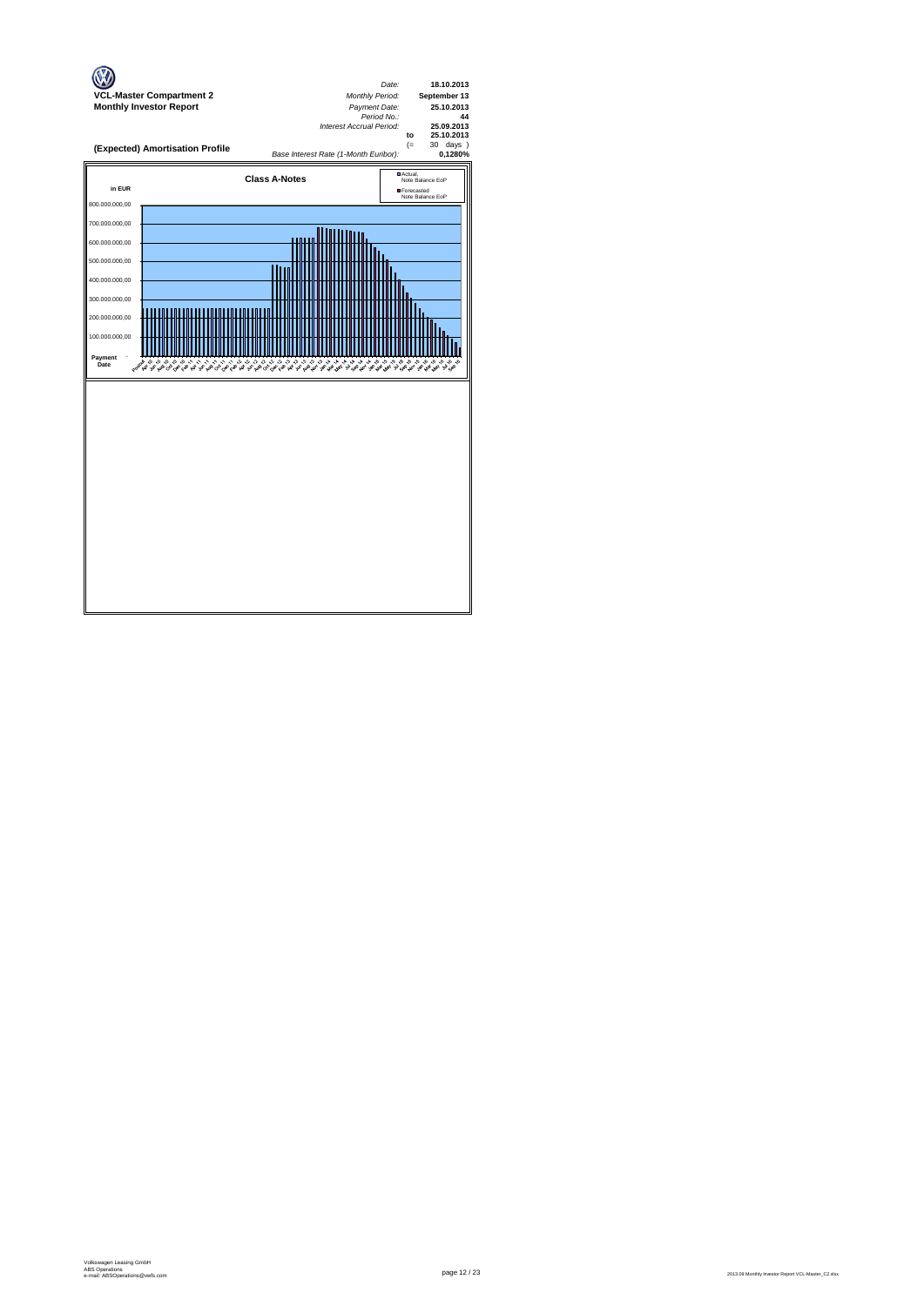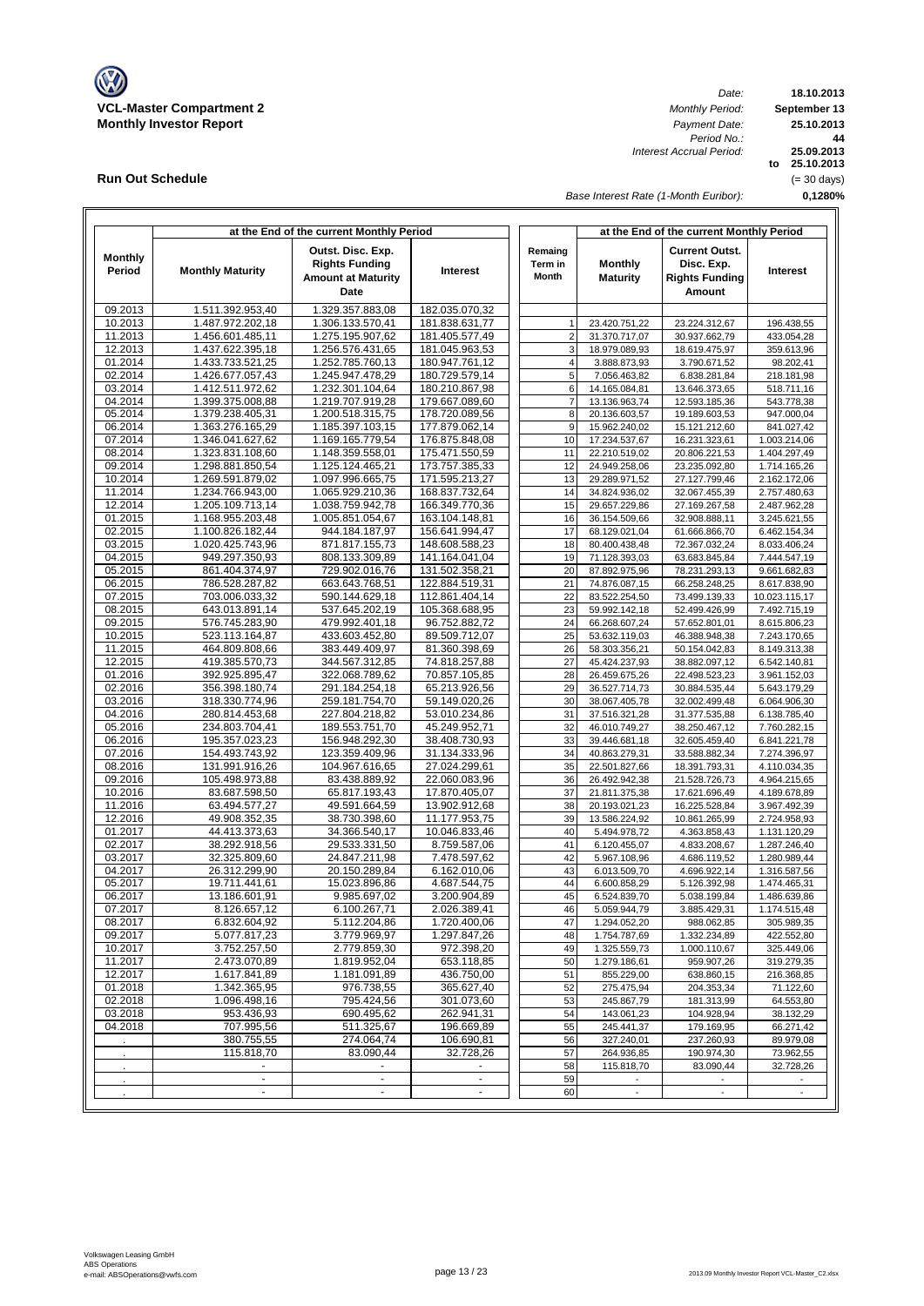

**Run Out Schedule**

*Date: Period No.: Interest Accrual Period:*

**18.10.2013 September 13 to 25.10.2013 25.09.2013 0,1280% 44 25.10.2013** (= 30 days)

*Base Interest Rate (1-Month Euribor):*

|                          |                                      | at the End of the current Monthly Period                                        |                                  |                             |                                   | at the End of the current Monthly Period                                      |                              |
|--------------------------|--------------------------------------|---------------------------------------------------------------------------------|----------------------------------|-----------------------------|-----------------------------------|-------------------------------------------------------------------------------|------------------------------|
| <b>Monthly</b><br>Period | <b>Monthly Maturity</b>              | Outst. Disc. Exp.<br><b>Rights Funding</b><br><b>Amount at Maturity</b><br>Date | Interest                         | Remaing<br>Term in<br>Month | <b>Monthly</b><br><b>Maturity</b> | <b>Current Outst.</b><br>Disc. Exp.<br><b>Rights Funding</b><br><b>Amount</b> | Interest                     |
| 09.2013                  | 1.511.392.953,40                     | 1.329.357.883,08                                                                | 182.035.070,32                   |                             |                                   |                                                                               |                              |
| 10.2013                  | 1.487.972.202,18                     | 1.306.133.570,41                                                                | 181.838.631,77                   | 1                           | 23.420.751.22                     | 23.224.312,67                                                                 | 196.438,55                   |
| 11.2013                  | 1.456.601.485,11                     | 1.275.195.907,62                                                                | 181.405.577,49                   | $\overline{2}$              | 31.370.717,07                     | 30.937.662,79                                                                 | 433.054,28                   |
| 12.2013                  | 1.437.622.395,18                     | 1.256.576.431,65                                                                | 181.045.963,53                   | 3                           | 18.979.089,93                     | 18.619.475,97                                                                 | 359.613,96                   |
| 01.2014                  | 1.433.733.521,25                     | 1.252.785.760,13                                                                | 180.947.761,12                   | $\overline{4}$              | 3.888.873,93                      | 3.790.671,52                                                                  | 98.202,41                    |
| 02.2014<br>03.2014       | 1.426.677.057,43<br>1.412.511.972.62 | 1.245.947.478,29<br>1.232.301.104,64                                            | 180.729.579,14<br>180.210.867,98 | 5<br>6                      | 7.056.463,82<br>14.165.084,81     | 6.838.281,84<br>13.646.373,65                                                 | 218.181,98<br>518.711,16     |
| 04.2014                  | 1.399.375.008,88                     | 1.219.707.919,28                                                                | 179.667.089,60                   | $\overline{7}$              | 13.136.963,74                     | 12.593.185,36                                                                 | 543.778,38                   |
| 05.2014                  | 1.379.238.405,31                     | 1.200.518.315,75                                                                | 178.720.089,56                   | 8                           | 20.136.603,57                     | 19.189.603,53                                                                 | 947.000,04                   |
| 06.2014                  | 1.363.276.165,29                     | 1.185.397.103,15                                                                | 177.879.062,14                   | 9                           | 15.962.240,02                     | 15.121.212,60                                                                 | 841.027,42                   |
| 07.2014                  | 1.346.041.627,62                     | 1.169.165.779,54                                                                | 176.875.848,08                   | 10                          | 17.234.537,67                     | 16.231.323,61                                                                 | 1.003.214,06                 |
| 08.2014                  | 1.323.831.108,60                     | 1.148.359.558,01                                                                | 175.471.550,59                   | 11                          | 22.210.519,02                     | 20.806.221,53                                                                 | 1.404.297,49                 |
| 09.2014                  | 1.298.881.850,54                     | 1.125.124.465,21                                                                | 173.757.385,33                   | 12                          | 24.949.258,06                     | 23.235.092,80                                                                 | 1.714.165,26                 |
| 10.2014                  | 1.269.591.879,02                     | 1.097.996.665,75                                                                | 171.595.213,27                   | 13                          | 29.289.971,52                     | 27.127.799,46                                                                 | 2.162.172,06                 |
| 11.2014                  | 1.234.766.943,00                     | 1.065.929.210,36                                                                | 168.837.732,64                   | 14                          | 34.824.936,02                     | 32.067.455,39                                                                 | 2.757.480,63                 |
| 12.2014                  | 1.205.109.713,14                     | 1.038.759.942,78                                                                | 166.349.770,36                   | 15                          | 29.657.229,86                     | 27.169.267,58                                                                 | 2.487.962,28                 |
| 01.2015                  | 1.168.955.203,48                     | 1.005.851.054,67                                                                | 163.104.148,81                   | 16                          | 36.154.509,66                     | 32.908.888.11                                                                 | 3.245.621,55                 |
| 02.2015<br>03.2015       | 1.100.826.182,44<br>1.020.425.743,96 | 944.184.187,97<br>871.817.155,73                                                | 156.641.994,47<br>148.608.588,23 | 17<br>18                    | 68.129.021,04<br>80.400.438,48    | 61.666.866,70<br>72.367.032,24                                                | 6.462.154,34<br>8.033.406,24 |
| 04.2015                  | 949.297.350,93                       | 808.133.309,89                                                                  | 141.164.041,04                   | 19                          | 71.128.393,03                     | 63.683.845,84                                                                 | 7.444.547,19                 |
| 05.2015                  | 861.404.374,97                       | 729.902.016,76                                                                  | 131.502.358,21                   | 20                          | 87.892.975,96                     | 78.231.293,13                                                                 | 9.661.682,83                 |
| 06.2015                  | 786.528.287.82                       | 663.643.768,51                                                                  | 122.884.519,31                   | 21                          | 74.876.087.15                     | 66.258.248,25                                                                 | 8.617.838.90                 |
| 07.2015                  | 703.006.033,32                       | 590.144.629,18                                                                  | 112.861.404,14                   | 22                          | 83.522.254,50                     | 73.499.139,33                                                                 | 10.023.115,17                |
| 08.2015                  | 643.013.891,14                       | 537.645.202,19                                                                  | 105.368.688,95                   | 23                          | 59.992.142,18                     | 52.499.426,99                                                                 | 7.492.715,19                 |
| 09.2015                  | 576.745.283,90                       | 479.992.401,18                                                                  | 96.752.882,72                    | 24                          | 66.268.607,24                     | 57.652.801,01                                                                 | 8.615.806,23                 |
| 10.2015                  | 523.113.164,87                       | 433.603.452,80                                                                  | 89.509.712,07                    | 25                          | 53.632.119,03                     | 46.388.948,38                                                                 | 7.243.170,65                 |
| 11.2015                  | 464.809.808,66                       | 383.449.409,97                                                                  | 81.360.398.69                    | 26                          | 58.303.356,21                     | 50.154.042,83                                                                 | 8.149.313,38                 |
| 12.2015                  | 419.385.570,73                       | 344.567.312,85                                                                  | 74.818.257,88                    | 27                          | 45.424.237,93                     | 38.882.097,12                                                                 | 6.542.140,81                 |
| 01.2016                  | 392.925.895,47                       | 322.068.789,62                                                                  | 70.857.105,85                    | 28                          | 26.459.675,26                     | 22.498.523,23                                                                 | 3.961.152,03                 |
| 02.2016<br>03.2016       | 356.398.180,74<br>318.330.774,96     | 291.184.254,18<br>259.181.754,70                                                | 65.213.926,56<br>59.149.020,26   | 29<br>30                    | 36.527.714,73<br>38.067.405,78    | 30.884.535,44<br>32.002.499,48                                                | 5.643.179,29<br>6.064.906,30 |
| 04.2016                  | 280.814.453,68                       | 227.804.218,82                                                                  | 53.010.234,86                    | 31                          | 37.516.321,28                     | 31.377.535,88                                                                 | 6.138.785,40                 |
| 05.2016                  | 234.803.704,41                       | 189.553.751,70                                                                  | 45.249.952,71                    | 32                          | 46.010.749,27                     | 38.250.467,12                                                                 | 7.760.282,15                 |
| 06.2016                  | 195.357.023,23                       | 156.948.292,30                                                                  | 38.408.730,93                    | 33                          | 39.446.681,18                     | 32.605.459,40                                                                 | 6.841.221,78                 |
| 07.2016                  | 154.493.743,92                       | 123.359.409,96                                                                  | 31.134.333,96                    | 34                          | 40.863.279,31                     | 33.588.882,34                                                                 | 7.274.396,97                 |
| 08.2016                  | 131.991.916,26                       | 104.967.616,65                                                                  | 27.024.299,61                    | 35                          | 22.501.827,66                     | 18.391.793,31                                                                 | 4.110.034,35                 |
| 09.2016                  | 105.498.973,88                       | 83.438.889,92                                                                   | 22.060.083,96                    | 36                          | 26.492.942,38                     | 21.528.726,73                                                                 | 4.964.215,65                 |
| 10.2016                  | 83.687.598,50                        | 65.817.193,43                                                                   | 17.870.405,07                    | 37                          | 21.811.375,38                     | 17.621.696,49                                                                 | 4.189.678,89                 |
| 11.2016                  | 63.494.577,27                        | 49.591.664,59                                                                   | 13.902.912,68                    | 38                          | 20.193.021,23                     | 16.225.528,84                                                                 | 3.967.492,39                 |
| 12.2016                  | 49.908.352,35                        | 38.730.398,60                                                                   | 11.177.953,75                    | 39                          | 13.586.224,92                     | 10.861.265,99                                                                 | 2.724.958,93                 |
| 01.2017<br>02.2017       | 44.413.373,63<br>38.292.918,56       | 34.366.540,17<br>29.533.331,50                                                  | 10.046.833,46<br>8.759.587,06    | 40<br>41                    | 5.494.978,72                      | 4.363.858,43<br>4.833.208,67                                                  | 1.131.120,29<br>1.287.246,40 |
| 03.2017                  | 32.325.809,60                        | 24.847.211,98                                                                   | 7.478.597,62                     | 42                          | 6.120.455,07<br>5.967.108,96      | 4.686.119,52                                                                  | 1.280.989,44                 |
| 04.2017                  | 26.312.299,90                        | 20.150.289,84                                                                   | 6.162.010,06                     | 43                          | 6.013.509,70                      | 4.696.922,14                                                                  | 1.316.587,56                 |
| 05.2017                  | 19.711.441,61                        | 15.023.896,86                                                                   | 4.687.544,75                     | 44                          | 6.600.858,29                      | 5.126.392,98                                                                  | 1.474.465,31                 |
| 06.2017                  | 13.186.601,91                        | 9.985.697,02                                                                    | 3.200.904,89                     | 45                          | 6.524.839,70                      | 5.038.199,84                                                                  | 1.486.639,86                 |
| 07.2017                  | 8.126.657,12                         | 6.100.267,71                                                                    | 2.026.389,41                     | 46                          | 5.059.944,79                      | 3.885.429,31                                                                  | 1.174.515,48                 |
| 08.2017                  | 6.832.604,92                         | 5.112.204,86                                                                    | 1.720.400,06                     | 47                          | 1.294.052,20                      | 988.062,85                                                                    | 305.989,35                   |
| 09.2017                  | 5.077.817,23                         | 3.779.969,97                                                                    | 1.297.847,26                     | 48                          | 1.754.787,69                      | 1.332.234,89                                                                  | 422.552,80                   |
| 10.2017                  | 3.752.257,50                         | 2.779.859,30                                                                    | 972.398,20                       | 49                          | 1.325.559,73                      | 1.000.110,67                                                                  | 325.449,06                   |
| 11.2017                  | 2.473.070,89                         | 1.819.952,04                                                                    | 653.118,85                       | 50                          | 1.279.186,61                      | 959.907,26                                                                    | 319.279,35                   |
| 12.2017<br>01.2018       | 1.617.841,89<br>1.342.365,95         | 1.181.091,89<br>976.738,55                                                      | 436.750,00<br>365.627,40         | 51<br>52                    | 855.229,00<br>275.475,94          | 638.860,15<br>204.353,34                                                      | 216.368,85<br>71.122,60      |
| 02.2018                  | 1.096.498,16                         | 795.424,56                                                                      | 301.073,60                       | 53                          | 245.867,79                        | 181.313,99                                                                    | 64.553,80                    |
| 03.2018                  | 953.436,93                           | 690.495,62                                                                      | 262.941,31                       | 54                          | 143.061,23                        | 104.928,94                                                                    | 38.132,29                    |
| 04.2018                  | 707.995,56                           | 511.325,67                                                                      | 196.669,89                       | 55                          | 245.441,37                        | 179.169,95                                                                    | 66.271,42                    |
|                          | 380.755,55                           | 274.064,74                                                                      | 106.690,81                       | 56                          | 327.240,01                        | 237.260,93                                                                    | 89.979,08                    |
|                          | 115.818,70                           | 83.090,44                                                                       | 32.728,26                        | 57                          | 264.936,85                        | 190.974,30                                                                    | 73.962,55                    |
|                          |                                      |                                                                                 |                                  | 58                          | 115.818,70                        | 83.090,44                                                                     | 32.728,26                    |
|                          | $\blacksquare$                       | $\blacksquare$                                                                  | $\blacksquare$                   | 59                          | $\overline{\phantom{a}}$          |                                                                               |                              |
|                          | $\blacksquare$                       | $\blacksquare$                                                                  | ٠                                | 60                          | $\overline{\phantom{a}}$          | $\overline{\phantom{a}}$                                                      | $\overline{\phantom{a}}$     |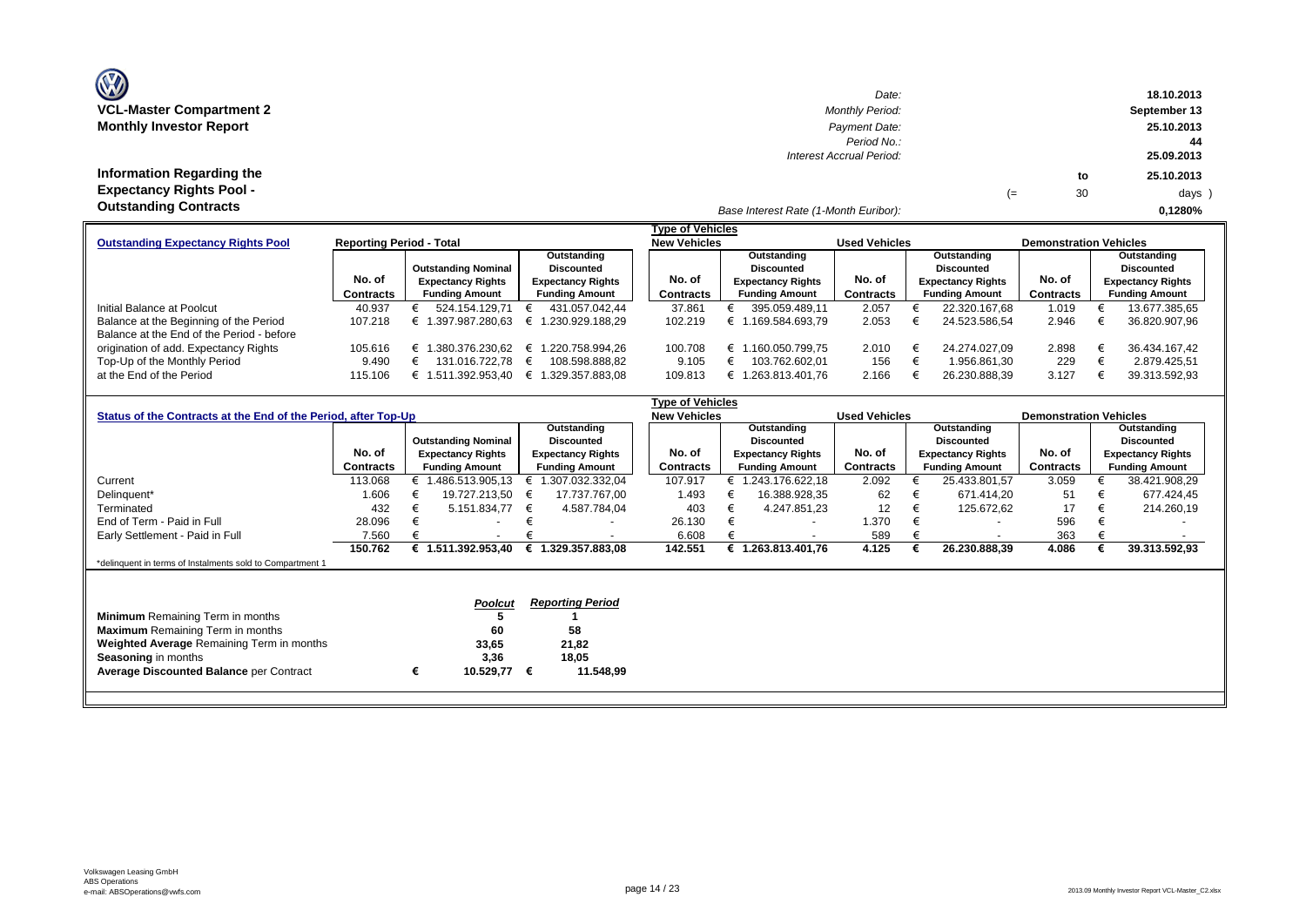| <b>OZ</b>                       |
|---------------------------------|
| <b>VCL-Master Compartment 2</b> |
| <b>Monthly Investor Report</b>  |

| $\mathbf{w}$                    | Date:                                 |    |    | 18.10.2013   |
|---------------------------------|---------------------------------------|----|----|--------------|
| VCL-Master Compartment 2        | <b>Monthly Period:</b>                |    |    | September 13 |
| <b>Monthly Investor Report</b>  | Payment Date:                         |    |    | 25.10.2013   |
|                                 | Period No.:                           |    |    | 44           |
|                                 | Interest Accrual Period:              |    |    | 25.09.2013   |
| Information Regarding the       |                                       |    | to | 25.10.2013   |
| <b>Expectancy Rights Pool -</b> |                                       | (≕ | 30 | days )       |
| <b>Outstanding Contracts</b>    | Base Interest Rate (1-Month Euribor): |    |    | 0.1280%      |

|                                           |                                 |                            |                          | Tvpe of Vehicles    |                          |                      |                          |                               |                          |
|-------------------------------------------|---------------------------------|----------------------------|--------------------------|---------------------|--------------------------|----------------------|--------------------------|-------------------------------|--------------------------|
| <b>Outstanding Expectancy Rights Pool</b> | <b>Reporting Period - Total</b> |                            |                          | <b>New Vehicles</b> |                          | <b>Used Vehicles</b> |                          | <b>Demonstration Vehicles</b> |                          |
|                                           |                                 |                            | Outstanding              |                     | Outstanding              |                      | Outstanding              |                               | Outstanding              |
|                                           |                                 | <b>Outstanding Nominal</b> | <b>Discounted</b>        |                     | Discounted               |                      | <b>Discounted</b>        |                               | Discounted               |
|                                           | No. of                          | <b>Expectancy Rights</b>   | <b>Expectancy Rights</b> | No. of              | <b>Expectancy Rights</b> | No. of               | <b>Expectancy Rights</b> | No. of                        | <b>Expectancy Rights</b> |
|                                           | <b>Contracts</b>                | <b>Funding Amount</b>      | <b>Funding Amount</b>    | Contracts           | <b>Funding Amount</b>    | Contracts            | <b>Funding Amount</b>    | Contracts                     | <b>Funding Amount</b>    |
| Initial Balance at Poolcut                | 40.937                          | 524.154.129.71             | 431.057.042.44           | 37.861              | 395.059.489.11           | 2.057                | 22.320.167.68            | 1.019                         | 13.677.385,65            |
| Balance at the Beginning of the Period    | 107.218                         | 1.397.987.280.63           | € 1.230.929.188.29       | 102.219             | .169.584.693.79          | 2.053                | 24.523.586.54            | 2.946                         | 36.820.907,96            |
| Balance at the End of the Period - before |                                 |                            |                          |                     |                          |                      |                          |                               |                          |
| origination of add. Expectancy Rights     | 105.616                         | .380.376.230.62<br>£       | € 1.220.758.994.26       | 100.708             | .160.050.799.75<br>╘     | 2.010                | 24.274.027.09            | 2.898                         | 36.434.167.42            |
| Top-Up of the Monthly Period              | 9.490                           | 131.016.722.78             | 108.598.888.82           | 9.105               | 103.762.602.01           | 156                  | 1.956.861.30             | 229                           | 2.879.425.51             |
| at the End of the Period                  | 115.106                         | 1.511.392.953.40<br>E      | .329.357.883.08<br>€ 1   | 109.813             | .263.813.401.76          | 2.166                | 26.230.888.39            | 3.127                         | 39.313.592,93            |

|                                                                |                  |   |                            |   |                          | Type of Vehicles    |                          |                      |                          |                               |                          |
|----------------------------------------------------------------|------------------|---|----------------------------|---|--------------------------|---------------------|--------------------------|----------------------|--------------------------|-------------------------------|--------------------------|
| Status of the Contracts at the End of the Period, after Top-Up |                  |   |                            |   |                          | <b>New Vehicles</b> |                          | <b>Used Vehicles</b> |                          | <b>Demonstration Vehicles</b> |                          |
|                                                                |                  |   |                            |   | Outstanding              |                     | Outstanding              |                      | Outstanding              |                               | Outstanding              |
|                                                                |                  |   | <b>Outstanding Nominal</b> |   | <b>Discounted</b>        |                     | <b>Discounted</b>        |                      | <b>Discounted</b>        |                               | <b>Discounted</b>        |
|                                                                | No. of           |   | <b>Expectancy Rights</b>   |   | <b>Expectancy Rights</b> | No. of              | <b>Expectancy Rights</b> | No. of               | <b>Expectancy Rights</b> | No. of                        | <b>Expectancy Rights</b> |
|                                                                | <b>Contracts</b> |   | <b>Funding Amount</b>      |   | <b>Funding Amount</b>    | Contracts           | <b>Funding Amount</b>    | Contracts            | <b>Funding Amount</b>    | Contracts                     | <b>Funding Amount</b>    |
| Current                                                        | 113.068          |   | € 1.486.513.905,13         | € | 1.307.032.332,04         | 107.917             | € 1.243.176.622,18       | 2.092                | 25.433.801,57            | 3.059                         | 38.421.908,29            |
| Delinquent*                                                    | 1.606            |   | 19.727.213.50              | € | 17.737.767.00            | 1.493               | 16.388.928,35            | 62                   | 671.414.20               | 51                            | 677.424,45               |
| Terminated                                                     | 432              |   | 5.151.834,77               | € | 4.587.784.04             | 403                 | 4.247.851.23             | $12 \overline{ }$    | 125.672,62               | 17                            | 214.260,19               |
| End of Term - Paid in Full                                     | 28.096           |   |                            |   |                          | 26.130              |                          | 1.370                |                          | 596                           |                          |
| Early Settlement - Paid in Full                                | 7.560            |   |                            |   |                          | 6.608               |                          | 589                  | $\overline{\phantom{a}}$ | 363                           |                          |
|                                                                | 150.762          |   | € 1.511.392.953.40         | € | 1.329.357.883.08         | 142.551             | 1.263.813.401.76         | 4.125                | 26.230.888,39            | 4.086                         | 39.313.592,93            |
| *delinquent in terms of Instalments sold to Compartment 1      |                  |   |                            |   |                          |                     |                          |                      |                          |                               |                          |
|                                                                |                  |   |                            |   |                          |                     |                          |                      |                          |                               |                          |
|                                                                |                  |   |                            |   |                          |                     |                          |                      |                          |                               |                          |
|                                                                |                  |   | Poolcut                    |   | <b>Reporting Period</b>  |                     |                          |                      |                          |                               |                          |
| <b>Minimum</b> Remaining Term in months                        |                  |   |                            |   |                          |                     |                          |                      |                          |                               |                          |
| <b>Maximum</b> Remaining Term in months                        |                  |   | 60                         |   | 58                       |                     |                          |                      |                          |                               |                          |
| <b>Weighted Average Remaining Term in months</b>               |                  |   | 33,65                      |   | 21,82                    |                     |                          |                      |                          |                               |                          |
| <b>Seasoning in months</b>                                     |                  |   | 3,36                       |   | 18,05                    |                     |                          |                      |                          |                               |                          |
| <b>Average Discounted Balance per Contract</b>                 |                  | € | 10.529,77                  | € | 11.548,99                |                     |                          |                      |                          |                               |                          |
|                                                                |                  |   |                            |   |                          |                     |                          |                      |                          |                               |                          |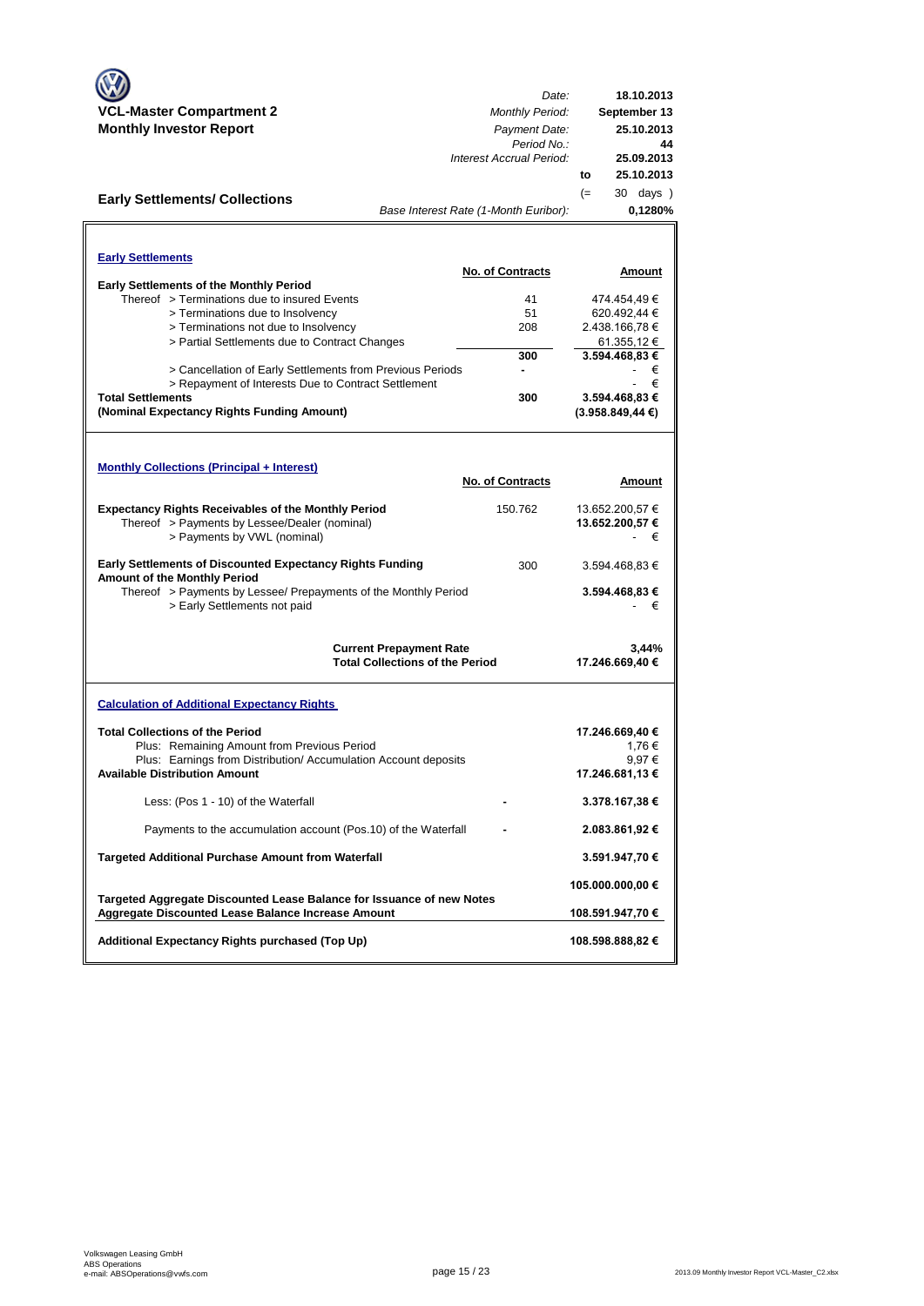|                                                                                                  | Date:                                  | 18.10.2013                  |
|--------------------------------------------------------------------------------------------------|----------------------------------------|-----------------------------|
| <b>VCL-Master Compartment 2</b><br><b>Monthly Investor Report</b>                                | <b>Monthly Period:</b>                 | September 13                |
|                                                                                                  | Payment Date:<br>Period No.:           | 25.10.2013<br>44            |
|                                                                                                  | Interest Accrual Period:               | 25.09.2013                  |
|                                                                                                  |                                        | 25.10.2013<br>to            |
| <b>Early Settlements/ Collections</b>                                                            |                                        | $(=$<br>30 days )           |
|                                                                                                  | Base Interest Rate (1-Month Euribor):  | 0,1280%                     |
|                                                                                                  |                                        |                             |
| <b>Early Settlements</b>                                                                         |                                        |                             |
|                                                                                                  | <b>No. of Contracts</b>                | Amount                      |
| <b>Early Settlements of the Monthly Period</b><br>Thereof > Terminations due to insured Events   | 41                                     |                             |
| > Terminations due to Insolvency                                                                 | 51                                     | 474.454,49€<br>620.492,44 € |
| > Terminations not due to Insolvency                                                             | 208                                    | 2.438.166,78 €              |
| > Partial Settlements due to Contract Changes                                                    |                                        | 61.355,12 €                 |
|                                                                                                  | 300                                    | 3.594.468,83 €              |
| > Cancellation of Early Settlements from Previous Periods                                        |                                        | €                           |
| > Repayment of Interests Due to Contract Settlement                                              |                                        | €                           |
| <b>Total Settlements</b>                                                                         | 300                                    | 3.594.468,83 €              |
| (Nominal Expectancy Rights Funding Amount)                                                       |                                        | (3.958.849, 44€)            |
|                                                                                                  |                                        |                             |
|                                                                                                  |                                        |                             |
| <b>Monthly Collections (Principal + Interest)</b>                                                |                                        |                             |
|                                                                                                  | <b>No. of Contracts</b>                | Amount                      |
| <b>Expectancy Rights Receivables of the Monthly Period</b>                                       | 150.762                                | 13.652.200,57 €             |
| Thereof > Payments by Lessee/Dealer (nominal)                                                    |                                        | 13.652.200,57 €             |
| > Payments by VWL (nominal)                                                                      |                                        | €                           |
|                                                                                                  |                                        |                             |
| <b>Early Settlements of Discounted Expectancy Rights Funding</b><br>Amount of the Monthly Period | 300                                    | 3.594.468,83 €              |
| Thereof > Payments by Lessee/ Prepayments of the Monthly Period                                  |                                        | 3.594.468,83 €              |
| > Early Settlements not paid                                                                     |                                        | €                           |
|                                                                                                  |                                        |                             |
|                                                                                                  | <b>Current Prepayment Rate</b>         | 3,44%                       |
|                                                                                                  | <b>Total Collections of the Period</b> | 17.246.669,40 €             |
|                                                                                                  |                                        |                             |
| <b>Calculation of Additional Expectancy Rights</b>                                               |                                        |                             |
| <b>Total Collections of the Period</b>                                                           |                                        | 17.246.669,40 €             |
| Plus: Remaining Amount from Previous Period                                                      |                                        | 1,76€                       |
| Plus: Earnings from Distribution/Accumulation Account deposits                                   |                                        | 9,97€                       |
| <b>Available Distribution Amount</b>                                                             |                                        | 17.246.681,13 €             |
|                                                                                                  |                                        |                             |
| Less: (Pos 1 - 10) of the Waterfall                                                              |                                        | 3.378.167,38 €              |
| Payments to the accumulation account (Pos.10) of the Waterfall                                   |                                        | 2.083.861,92 €              |
|                                                                                                  |                                        |                             |
| <b>Targeted Additional Purchase Amount from Waterfall</b>                                        |                                        | 3.591.947,70€               |
|                                                                                                  |                                        | 105.000.000,00 €            |
| Targeted Aggregate Discounted Lease Balance for Issuance of new Notes                            |                                        |                             |
| Aggregate Discounted Lease Balance Increase Amount                                               |                                        | 108.591.947,70 €            |
| Additional Expectancy Rights purchased (Top Up)                                                  |                                        | 108.598.888,82 €            |
|                                                                                                  |                                        |                             |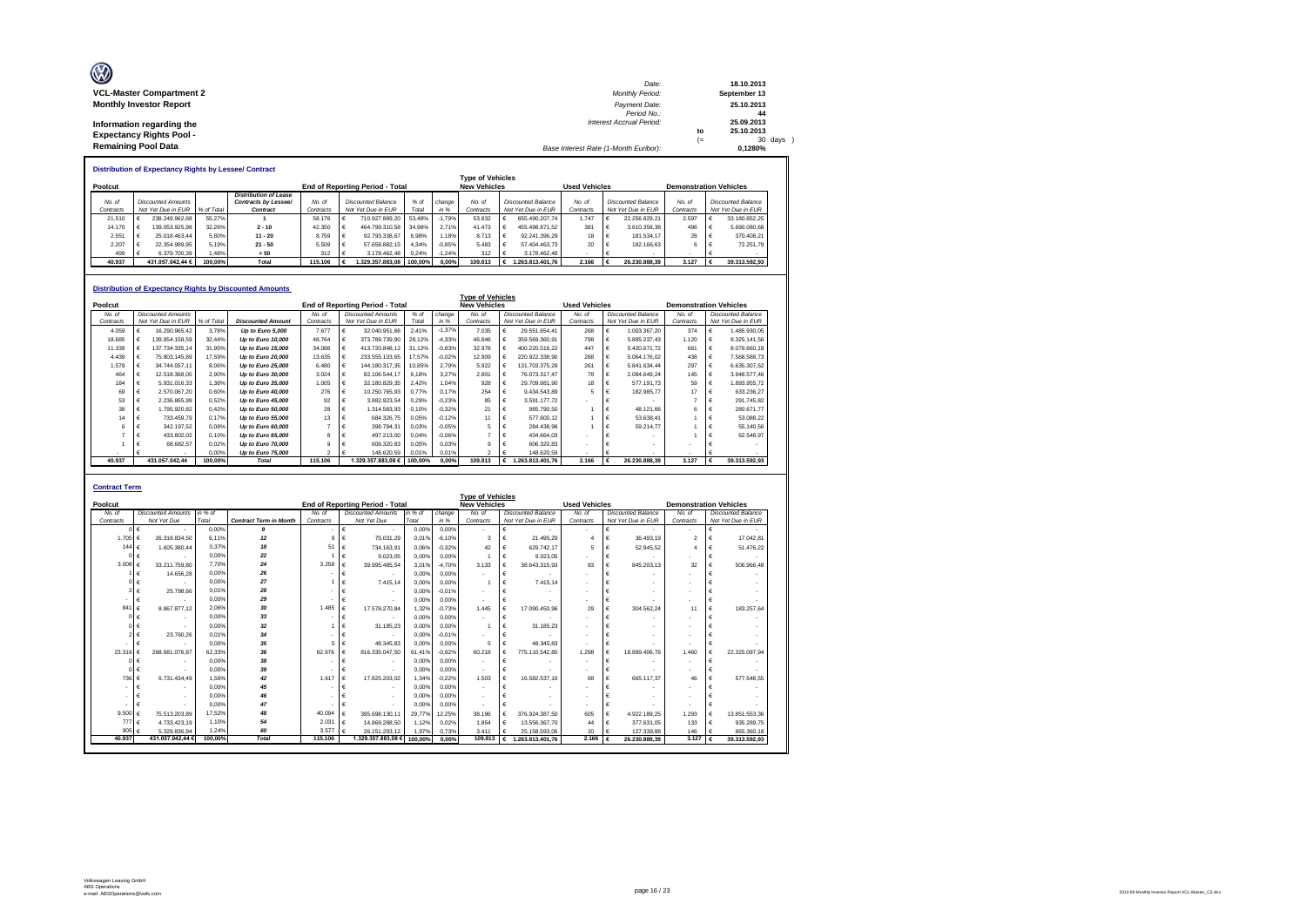| Ø                               | Date:                                 |     | 18.10.2013   |
|---------------------------------|---------------------------------------|-----|--------------|
| <b>VCL-Master Compartment 2</b> | <b>Monthly Period:</b>                |     | September 13 |
| <b>Monthly Investor Report</b>  | Payment Date:                         |     | 25.10.2013   |
|                                 | Period No.:                           |     | 44           |
| Information regarding the       | <b>Interest Accrual Period:</b>       |     | 25.09.2013   |
| <b>Expectancy Rights Pool -</b> |                                       | to  | 25.10.2013   |
|                                 |                                       | $=$ | 30 days )    |
| <b>Remaining Pool Data</b>      | Base Interest Rate (1-Month Euribor): |     | 0.1280%      |

**Distribution of Expectancy Rights by Lessee/ Contract**

|           |                               |         |                              |                                        |                                             |                    |         |          | <b>Type of Vehicles</b> |                               |                    |           |  |                           |           |  |                    |
|-----------|-------------------------------|---------|------------------------------|----------------------------------------|---------------------------------------------|--------------------|---------|----------|-------------------------|-------------------------------|--------------------|-----------|--|---------------------------|-----------|--|--------------------|
| Poolcut   |                               |         |                              | <b>End of Reporting Period - Total</b> | <b>New Vehicles</b><br><b>Used Vehicles</b> |                    |         |          |                         | <b>Demonstration Vehicles</b> |                    |           |  |                           |           |  |                    |
|           |                               |         | <b>Distribution of Lease</b> |                                        |                                             |                    |         |          |                         |                               |                    |           |  |                           |           |  |                    |
| No. of    | <b>Discounted Amounts</b>     |         | Contracts by Lessee/         | No. of                                 |                                             | Discounted Balance | $%$ of  | change   | No. of                  |                               | Discounted Balance | No of     |  | <b>Discounted Balance</b> | No. of    |  | Discounted Balance |
| Contracts | Not Yet Due in EUR % of Total |         | Contract                     | Contracts                              |                                             | Not Yet Due in EUR | Total   | in %     | Contracts               |                               | Not Yet Due in EUR | Contracts |  | Not Yet Due in EUR        | Contracts |  | Not Yet Due in EUR |
| 21.510    | 238.249.962.68                | 55.27%  |                              | 58.176                                 |                                             | 710.927.889.20     | 53.48%  | $-1.79%$ | 53.832                  |                               | 655.490.207.74     | 1 747     |  | 22.256.829.21             | 2.597     |  | 33.180.852.25      |
| 14.170    | 139.053.925.98                | 32.26%  | $2 - 10$                     | 42.350                                 |                                             | 464.799.310.58     | 34.96%  | 2.71%    | 41.473                  |                               | 455.498.871.52     | 381       |  | 3.610.358.38              | 496       |  | 5,690,080.68       |
| 2.551     | 25.018.463.44                 | 5.80%   | $11 - 20$                    | 8.759                                  |                                             | 92.793.338.67      | 6.98%   | 1.18%    | 8.713                   |                               | 92.241.396.29      | 18        |  | 181.534.17                | 28        |  | 370.408.21         |
| 2.207     | 22.354.989.95                 | 5.19%   | $21 - 50$                    | 5.509                                  |                                             | 57.658.882.15      | 4.34%   | $-0.85%$ | 5.483                   |                               | 57.404.463.73      | 20        |  | 182.166.63                |           |  | 72.251.79          |
| 499       | 6.379.700.39                  | 1.48%   | > 50                         | 312                                    |                                             | 3.178.462.48 0.24% |         | $-1.24%$ | 312                     |                               | 3.178.462.48       |           |  |                           |           |  |                    |
| 40.937    | 431.057.042.44 €              | 100.00% | Total                        | 115,106                                |                                             | 1.329.357.883.08   | 100.00% | 0.00%    | 109.813                 |                               | .263.813.401.76    | 2.166     |  | 26.230.888.39             | 3.127     |  | 39.313.592.93      |

|           |   |                           |            | <b>Distribution of Expectancy Rights by Discounted Amounts</b> |               |   |                                        |         |          |                         |   |                           |                      |   |                           |                               |   |                           |
|-----------|---|---------------------------|------------|----------------------------------------------------------------|---------------|---|----------------------------------------|---------|----------|-------------------------|---|---------------------------|----------------------|---|---------------------------|-------------------------------|---|---------------------------|
|           |   |                           |            |                                                                |               |   |                                        |         |          | <b>Type of Vehicles</b> |   |                           |                      |   |                           |                               |   |                           |
| Poolcut   |   |                           |            |                                                                |               |   | <b>End of Reporting Period - Total</b> |         |          | <b>New Vehicles</b>     |   |                           | <b>Used Vehicles</b> |   |                           | <b>Demonstration Vehicles</b> |   |                           |
| No. of    |   | <b>Discounted Amounts</b> |            |                                                                | No of         |   | <b>Discounted Amounts</b>              | $%$ of  | change   | No. of                  |   | <b>Discounted Balance</b> | No. of               |   | <b>Discounted Balance</b> | No. of                        |   | <b>Discounted Balance</b> |
| Contracts |   | Not Yet Due in EUR        | % of Total | <b>Discounted Amount</b>                                       | Contracts     |   | Not Yet Due in EUR                     | Total   | in %     | Contracts               |   | Not Yet Due in EUR        | Contracts            |   | Not Yet Due in EUR        | Contracts                     |   | Not Yet Due in EUR        |
| 4.059     |   | 16.290.965.42             | 3.78%      | Up to Euro 5,000                                               | 7.677         |   | 32.040.951.66                          | 2.41%   | $-1.37%$ | 7.035                   |   | 29.551.654.41             | 268                  |   | 1.003.367.20              | 374                           |   | 1.485.930.05              |
| 18.685    | € | 139.854.158.59            | 32.44%     | Up to Euro 10,000                                              | 48.764        | € | 373.789.739.90                         | 28.12%  | $-4.33%$ | 46.846                  | £ | 359.569.360.91            | 798                  |   | 5.895.237.43              | 1.120                         | € | 8.325.141,56              |
| 11.339    |   | 137.734.335.14            | 31.95%     | Up to Euro 15,000                                              | 34.086        |   | 413.720.848.12                         | 31.12%  | $-0.83%$ | 32.978                  |   | 400.220.516.22            | 447                  |   | 5.420.671.72              | 661                           | € | 8.079.660.18              |
| 4.439     |   | 75.803.145.89             | 17.59%     | Up to Euro 20,000                                              | 13.635        | € | 233.555.103.65                         | 17,57%  | $-0.02%$ | 12.909                  | € | 220.922.338.90            | 288                  |   | 5.064.176.02              | 438                           |   | 7.568.588,73              |
| 1.579     |   | 34.744.057.11             | 8.06%      | Up to Euro 25,000                                              | 6.480         |   | 144.180.317.35                         | 10.85%  | 2.79%    | 5.922                   | € | 131.703.375.29            | 261                  |   | 5.841.634.44              | 297                           |   | 6.635.307,62              |
| 464       |   | 12.518.368.05             | 2.90%      | Up to Euro 30,000                                              | 3.024         |   | 82.106.544.17                          | 6.18%   | 3.27%    | 2.801                   |   | 76.073.317.47             | 78                   |   | 2.084.649.24              | 145                           |   | 3.948.577.46              |
| 184       |   | 5.931.016.33              | 1.38%      | Up to Euro 35,000                                              | 1.005         | € | 32.180.829,35                          | 2.42%   | 1.04%    | 928                     |   | 29.709.681.90             | 18                   |   | 577.191.73                | 59                            |   | 1.893.955.72              |
| 69        |   | 2.570.067.20              | 0.60%      | Up to Euro 40,000                                              | 276           |   | 10.250.765.93                          | 0.77%   | 0.17%    | 254                     | € | 9.434.543.89              | 5                    |   | 182.985.77                | 17                            |   | 633.236.27                |
| 53        |   | 2.236.865.99              | 0.52%      | Up to Euro 45,000                                              | 92            |   | 3.882.923.54                           | 0.29%   | $-0.23%$ | 85                      | € | 3.591.177.72              |                      |   |                           |                               |   | 291.745,82                |
| 38        |   | 1.795.920.82              | 0.42%      | Up to Euro 50,000                                              | 28            |   | 1.314.583.93                           | 0.10%   | $-0.32%$ | 21                      | € | 985.790.50                |                      |   | 48.121.66                 |                               |   | 280.671.77                |
| 14        |   | 733.459.79                | 0.17%      | Up to Euro 55,000                                              | 13            |   | 684.326,75                             | 0.05%   | $-0.12%$ | 11                      | € | 577,600.12                |                      |   | 53.638.41                 |                               |   | 53.088,22                 |
| 6         |   | 342.197.52                | 0.08%      | Up to Euro 60,000                                              |               |   | 398.794.31                             | 0.03%   | $-0.05%$ | 5                       | € | 284.438.98                |                      |   | 59.214.77                 |                               |   | 55.140,56                 |
|           |   | 433.802.02                | 0.10%      | Up to Euro 65,000                                              | R             |   | 497.213,00                             | 0.04%   | $-0.06%$ |                         | € | 434.664.03                |                      |   |                           |                               |   | 62.548,97                 |
|           |   | 68.682.57                 | 0.02%      | Up to Euro 70,000                                              |               |   | 606.320.83                             | 0.05%   | 0.03%    | a                       | € | 606.320.83                |                      |   |                           |                               |   |                           |
|           |   |                           | 0.00%      | Up to Euro 75,000                                              | $\mathcal{P}$ |   | 148.620.59                             | 0.01%   | 0.01%    | $\mathfrak{p}$          |   | 148.620.59                |                      |   |                           | $\overline{\phantom{a}}$      |   |                           |
| 40.937    |   | 431.057.042.44            | 100.00%    | <b>Total</b>                                                   | 115,106       |   | 1.329.357.883,08 €                     | 100.00% | 0.00%    | 109,813                 | € | 1.263.813.401,76          | 2.166                | € | 26,230,888,39             | 3.127                         | € | 39.313.592.93             |

| <b>Type of Vehicles</b><br>End of Reporting Period - Total<br><b>New Vehicles</b><br><b>Used Vehicles</b><br>Poolcut<br><b>Demonstration Vehicles</b><br><b>Discounted Amounts</b><br>in % of<br><b>Discounted Amounts</b><br>in % of<br><b>Discounted Balance</b><br>No. of<br>No. of<br>change<br>No of<br>Discounted Balance<br>No of<br>No of<br>Discounted Balance<br>Not Yet Due<br><b>Contract Term in Month</b><br>in %<br>Not Yet Due in EUR<br>Total<br>Not Yet Due<br>Total<br>Not Yet Due in EUR<br>Not Yet Due in EUR<br>Contracts<br>Contracts<br>Contracts<br>Contracts<br>Contracts<br>0.00%<br>$\boldsymbol{9}$<br>€<br>0.00%<br>0.00%<br>€<br>€<br>€<br>$\overline{\phantom{a}}$<br>$\sim$<br>$\sim$<br>$-6.10%$<br>1.705 $\epsilon$<br>12<br>$\mathbf{Q}$<br>€<br>26.318.834.50<br>6.11%<br>75.031.29<br>0.019<br>3<br>21.495.29<br>36.493.19<br>$\mathfrak{p}$<br>17.042.81<br>€<br>€<br>0.37%<br>18<br>51<br>144 $\in$<br>0.06%<br>$-0.32%$<br>52.945.52<br>51.476.22<br>1.605.380.44<br>€<br>734.163.91<br>42<br>€<br>629.742.17<br>5<br>€<br>0.00%<br>22<br>$\epsilon$<br>9.023.05<br>9.023.05<br>0.00%<br>0.00%<br>$\epsilon$<br>€<br>24<br>3.008 $\epsilon$<br>7.70%<br>3.258<br>€<br>845.203.13<br>33.211.759.80<br>39.995.485.54<br>3.019<br>$-4.70%$<br>3.133<br>38.643.315.93<br>93<br>32<br>€<br>$\epsilon$<br>26<br>0.00%<br>14.656.28<br>€<br>0.00%<br>0.00%<br>€<br>€<br>€<br>$\blacksquare$<br>27<br>0.00%<br>€<br>0.00%<br>$\epsilon$<br>7.415.14<br>0.00%<br>7.415.14<br>€<br>0.01%<br>28<br>25.798.66<br>€<br>0.00%<br>$-0.01%$<br>€<br>$\overline{\phantom{a}}$<br>$\overline{\phantom{a}}$<br>29<br>0.00%<br>€<br>€<br>0.00%<br>0.00%<br>€<br>€<br>٠<br>$\overline{\phantom{a}}$<br>$\overline{\phantom{a}}$<br>30<br>2.06%<br>1.485<br>841<br>$\epsilon$<br>304.562.24<br>8.867.877.12<br>17.578.270.84<br>1.32%<br>$-0.73%$<br>1 4 4 5<br>17.090.450.96<br>29<br>€<br>€<br>11<br>€<br>33<br>0.00%<br>0.00%<br>0.00%<br>€<br>€<br>€<br>01 €<br>$\overline{\phantom{a}}$<br>$\sim$<br>32<br>0.00%<br>€<br>0.00%<br>31.185.23<br>0.00%<br>€<br>31.185.23<br>€<br>34<br>0.01%<br>23,760.26<br>0.00%<br>$-0.01%$<br>€<br>€<br>$\overline{\phantom{a}}$<br>35<br>0.00%<br>5.<br>€<br>48.345.83<br>0.00%<br>0.00%<br>€<br>48.345.83<br>5<br>€<br>$\overline{\phantom{a}}$<br>€<br>268.681.076.87<br>62.33%<br>36<br>62.976<br>816.335.047.50<br>$-0.92%$<br>60.218<br>775.110.542.80<br>1.298<br>18,899,406.76<br>23.31<br>61.41%<br>€<br>1.460<br>€<br>38<br>0.00%<br>0.00%<br>€<br>0.00%<br>€<br>€<br>39<br>0.00%<br>0.00%<br>$\epsilon$<br>0.00%<br>€<br>€<br>$\overline{\phantom{a}}$<br>42<br>€<br>$-0.22%$<br>$\epsilon$<br>736 €<br>6.731.434.49<br>1.56%<br>1.617<br>17.825.203.02<br>1.34%<br>1.503<br>16.582.537.10<br>68<br>665.117.37<br>46<br>€<br>0.00%<br>45<br>0.00%<br>0.00%<br>€<br>€<br>€<br>$\overline{\phantom{a}}$<br>46<br>0.00%<br>0.00%<br>€<br>0.00%<br>€<br>$\overline{\phantom{a}}$<br>47<br>0.00%<br>0.00%<br>0.00%<br>$\epsilon$<br>€<br>€<br>48<br>9,500<br>17.52%<br>40.094<br>75.513.203.89<br>€<br>29,77%<br>395.698.130.11<br>12.25%<br>38.196<br>€<br>376.924.387.50<br>605<br>4.922.189.25<br>1.293<br>€<br>13.851.553.36<br>€<br>777 €<br>1.10%<br>54<br>2.031<br>€<br>4.733.423.19<br>14.869.288.50<br>1.12%<br>0.02%<br>1.854<br>13.556.367.70<br>377.631.05<br>133<br>935.289.75<br>€<br>44<br>€<br>60<br>905 $\in$<br>1.24%<br>3.577<br>5.329.836.94<br>€<br>0.73%<br>3.411<br>127.339.88<br>865,360.18<br>26.151.293.12<br>1.97%<br>25.158.593.06<br>20<br>146<br>€ | <b>Contract Term</b> |                  |         |       |         |                  |  |         |  |       |  |       |               |
|--------------------------------------------------------------------------------------------------------------------------------------------------------------------------------------------------------------------------------------------------------------------------------------------------------------------------------------------------------------------------------------------------------------------------------------------------------------------------------------------------------------------------------------------------------------------------------------------------------------------------------------------------------------------------------------------------------------------------------------------------------------------------------------------------------------------------------------------------------------------------------------------------------------------------------------------------------------------------------------------------------------------------------------------------------------------------------------------------------------------------------------------------------------------------------------------------------------------------------------------------------------------------------------------------------------------------------------------------------------------------------------------------------------------------------------------------------------------------------------------------------------------------------------------------------------------------------------------------------------------------------------------------------------------------------------------------------------------------------------------------------------------------------------------------------------------------------------------------------------------------------------------------------------------------------------------------------------------------------------------------------------------------------------------------------------------------------------------------------------------------------------------------------------------------------------------------------------------------------------------------------------------------------------------------------------------------------------------------------------------------------------------------------------------------------------------------------------------------------------------------------------------------------------------------------------------------------------------------------------------------------------------------------------------------------------------------------------------------------------------------------------------------------------------------------------------------------------------------------------------------------------------------------------------------------------------------------------------------------------------------------------------------------------------------------------------------------------------------------------------------------------------------------------------------------------------------------------------------------------------------------------------------------------------------------------------------------------------------------------------------------------------------------------------------------------------------------------------------------------------------------------------------------------------------|----------------------|------------------|---------|-------|---------|------------------|--|---------|--|-------|--|-------|---------------|
|                                                                                                                                                                                                                                                                                                                                                                                                                                                                                                                                                                                                                                                                                                                                                                                                                                                                                                                                                                                                                                                                                                                                                                                                                                                                                                                                                                                                                                                                                                                                                                                                                                                                                                                                                                                                                                                                                                                                                                                                                                                                                                                                                                                                                                                                                                                                                                                                                                                                                                                                                                                                                                                                                                                                                                                                                                                                                                                                                                                                                                                                                                                                                                                                                                                                                                                                                                                                                                                                                                                                                  |                      |                  |         |       |         |                  |  |         |  |       |  |       |               |
|                                                                                                                                                                                                                                                                                                                                                                                                                                                                                                                                                                                                                                                                                                                                                                                                                                                                                                                                                                                                                                                                                                                                                                                                                                                                                                                                                                                                                                                                                                                                                                                                                                                                                                                                                                                                                                                                                                                                                                                                                                                                                                                                                                                                                                                                                                                                                                                                                                                                                                                                                                                                                                                                                                                                                                                                                                                                                                                                                                                                                                                                                                                                                                                                                                                                                                                                                                                                                                                                                                                                                  |                      |                  |         |       |         |                  |  |         |  |       |  |       |               |
|                                                                                                                                                                                                                                                                                                                                                                                                                                                                                                                                                                                                                                                                                                                                                                                                                                                                                                                                                                                                                                                                                                                                                                                                                                                                                                                                                                                                                                                                                                                                                                                                                                                                                                                                                                                                                                                                                                                                                                                                                                                                                                                                                                                                                                                                                                                                                                                                                                                                                                                                                                                                                                                                                                                                                                                                                                                                                                                                                                                                                                                                                                                                                                                                                                                                                                                                                                                                                                                                                                                                                  |                      |                  |         |       |         |                  |  |         |  |       |  |       |               |
|                                                                                                                                                                                                                                                                                                                                                                                                                                                                                                                                                                                                                                                                                                                                                                                                                                                                                                                                                                                                                                                                                                                                                                                                                                                                                                                                                                                                                                                                                                                                                                                                                                                                                                                                                                                                                                                                                                                                                                                                                                                                                                                                                                                                                                                                                                                                                                                                                                                                                                                                                                                                                                                                                                                                                                                                                                                                                                                                                                                                                                                                                                                                                                                                                                                                                                                                                                                                                                                                                                                                                  |                      |                  |         |       |         |                  |  |         |  |       |  |       |               |
|                                                                                                                                                                                                                                                                                                                                                                                                                                                                                                                                                                                                                                                                                                                                                                                                                                                                                                                                                                                                                                                                                                                                                                                                                                                                                                                                                                                                                                                                                                                                                                                                                                                                                                                                                                                                                                                                                                                                                                                                                                                                                                                                                                                                                                                                                                                                                                                                                                                                                                                                                                                                                                                                                                                                                                                                                                                                                                                                                                                                                                                                                                                                                                                                                                                                                                                                                                                                                                                                                                                                                  |                      |                  |         |       |         |                  |  |         |  |       |  |       |               |
|                                                                                                                                                                                                                                                                                                                                                                                                                                                                                                                                                                                                                                                                                                                                                                                                                                                                                                                                                                                                                                                                                                                                                                                                                                                                                                                                                                                                                                                                                                                                                                                                                                                                                                                                                                                                                                                                                                                                                                                                                                                                                                                                                                                                                                                                                                                                                                                                                                                                                                                                                                                                                                                                                                                                                                                                                                                                                                                                                                                                                                                                                                                                                                                                                                                                                                                                                                                                                                                                                                                                                  |                      |                  |         |       |         |                  |  |         |  |       |  |       |               |
|                                                                                                                                                                                                                                                                                                                                                                                                                                                                                                                                                                                                                                                                                                                                                                                                                                                                                                                                                                                                                                                                                                                                                                                                                                                                                                                                                                                                                                                                                                                                                                                                                                                                                                                                                                                                                                                                                                                                                                                                                                                                                                                                                                                                                                                                                                                                                                                                                                                                                                                                                                                                                                                                                                                                                                                                                                                                                                                                                                                                                                                                                                                                                                                                                                                                                                                                                                                                                                                                                                                                                  |                      |                  |         |       |         |                  |  |         |  |       |  |       |               |
|                                                                                                                                                                                                                                                                                                                                                                                                                                                                                                                                                                                                                                                                                                                                                                                                                                                                                                                                                                                                                                                                                                                                                                                                                                                                                                                                                                                                                                                                                                                                                                                                                                                                                                                                                                                                                                                                                                                                                                                                                                                                                                                                                                                                                                                                                                                                                                                                                                                                                                                                                                                                                                                                                                                                                                                                                                                                                                                                                                                                                                                                                                                                                                                                                                                                                                                                                                                                                                                                                                                                                  |                      |                  |         |       |         |                  |  |         |  |       |  |       |               |
|                                                                                                                                                                                                                                                                                                                                                                                                                                                                                                                                                                                                                                                                                                                                                                                                                                                                                                                                                                                                                                                                                                                                                                                                                                                                                                                                                                                                                                                                                                                                                                                                                                                                                                                                                                                                                                                                                                                                                                                                                                                                                                                                                                                                                                                                                                                                                                                                                                                                                                                                                                                                                                                                                                                                                                                                                                                                                                                                                                                                                                                                                                                                                                                                                                                                                                                                                                                                                                                                                                                                                  |                      |                  |         |       |         |                  |  |         |  |       |  |       | 506.966.48    |
|                                                                                                                                                                                                                                                                                                                                                                                                                                                                                                                                                                                                                                                                                                                                                                                                                                                                                                                                                                                                                                                                                                                                                                                                                                                                                                                                                                                                                                                                                                                                                                                                                                                                                                                                                                                                                                                                                                                                                                                                                                                                                                                                                                                                                                                                                                                                                                                                                                                                                                                                                                                                                                                                                                                                                                                                                                                                                                                                                                                                                                                                                                                                                                                                                                                                                                                                                                                                                                                                                                                                                  |                      |                  |         |       |         |                  |  |         |  |       |  |       |               |
|                                                                                                                                                                                                                                                                                                                                                                                                                                                                                                                                                                                                                                                                                                                                                                                                                                                                                                                                                                                                                                                                                                                                                                                                                                                                                                                                                                                                                                                                                                                                                                                                                                                                                                                                                                                                                                                                                                                                                                                                                                                                                                                                                                                                                                                                                                                                                                                                                                                                                                                                                                                                                                                                                                                                                                                                                                                                                                                                                                                                                                                                                                                                                                                                                                                                                                                                                                                                                                                                                                                                                  |                      |                  |         |       |         |                  |  |         |  |       |  |       |               |
|                                                                                                                                                                                                                                                                                                                                                                                                                                                                                                                                                                                                                                                                                                                                                                                                                                                                                                                                                                                                                                                                                                                                                                                                                                                                                                                                                                                                                                                                                                                                                                                                                                                                                                                                                                                                                                                                                                                                                                                                                                                                                                                                                                                                                                                                                                                                                                                                                                                                                                                                                                                                                                                                                                                                                                                                                                                                                                                                                                                                                                                                                                                                                                                                                                                                                                                                                                                                                                                                                                                                                  |                      |                  |         |       |         |                  |  |         |  |       |  |       |               |
|                                                                                                                                                                                                                                                                                                                                                                                                                                                                                                                                                                                                                                                                                                                                                                                                                                                                                                                                                                                                                                                                                                                                                                                                                                                                                                                                                                                                                                                                                                                                                                                                                                                                                                                                                                                                                                                                                                                                                                                                                                                                                                                                                                                                                                                                                                                                                                                                                                                                                                                                                                                                                                                                                                                                                                                                                                                                                                                                                                                                                                                                                                                                                                                                                                                                                                                                                                                                                                                                                                                                                  |                      |                  |         |       |         |                  |  |         |  |       |  |       |               |
|                                                                                                                                                                                                                                                                                                                                                                                                                                                                                                                                                                                                                                                                                                                                                                                                                                                                                                                                                                                                                                                                                                                                                                                                                                                                                                                                                                                                                                                                                                                                                                                                                                                                                                                                                                                                                                                                                                                                                                                                                                                                                                                                                                                                                                                                                                                                                                                                                                                                                                                                                                                                                                                                                                                                                                                                                                                                                                                                                                                                                                                                                                                                                                                                                                                                                                                                                                                                                                                                                                                                                  |                      |                  |         |       |         |                  |  |         |  |       |  |       | 183.257.64    |
|                                                                                                                                                                                                                                                                                                                                                                                                                                                                                                                                                                                                                                                                                                                                                                                                                                                                                                                                                                                                                                                                                                                                                                                                                                                                                                                                                                                                                                                                                                                                                                                                                                                                                                                                                                                                                                                                                                                                                                                                                                                                                                                                                                                                                                                                                                                                                                                                                                                                                                                                                                                                                                                                                                                                                                                                                                                                                                                                                                                                                                                                                                                                                                                                                                                                                                                                                                                                                                                                                                                                                  |                      |                  |         |       |         |                  |  |         |  |       |  |       |               |
|                                                                                                                                                                                                                                                                                                                                                                                                                                                                                                                                                                                                                                                                                                                                                                                                                                                                                                                                                                                                                                                                                                                                                                                                                                                                                                                                                                                                                                                                                                                                                                                                                                                                                                                                                                                                                                                                                                                                                                                                                                                                                                                                                                                                                                                                                                                                                                                                                                                                                                                                                                                                                                                                                                                                                                                                                                                                                                                                                                                                                                                                                                                                                                                                                                                                                                                                                                                                                                                                                                                                                  |                      |                  |         |       |         |                  |  |         |  |       |  |       |               |
|                                                                                                                                                                                                                                                                                                                                                                                                                                                                                                                                                                                                                                                                                                                                                                                                                                                                                                                                                                                                                                                                                                                                                                                                                                                                                                                                                                                                                                                                                                                                                                                                                                                                                                                                                                                                                                                                                                                                                                                                                                                                                                                                                                                                                                                                                                                                                                                                                                                                                                                                                                                                                                                                                                                                                                                                                                                                                                                                                                                                                                                                                                                                                                                                                                                                                                                                                                                                                                                                                                                                                  |                      |                  |         |       |         |                  |  |         |  |       |  |       |               |
|                                                                                                                                                                                                                                                                                                                                                                                                                                                                                                                                                                                                                                                                                                                                                                                                                                                                                                                                                                                                                                                                                                                                                                                                                                                                                                                                                                                                                                                                                                                                                                                                                                                                                                                                                                                                                                                                                                                                                                                                                                                                                                                                                                                                                                                                                                                                                                                                                                                                                                                                                                                                                                                                                                                                                                                                                                                                                                                                                                                                                                                                                                                                                                                                                                                                                                                                                                                                                                                                                                                                                  |                      |                  |         |       |         |                  |  |         |  |       |  |       |               |
|                                                                                                                                                                                                                                                                                                                                                                                                                                                                                                                                                                                                                                                                                                                                                                                                                                                                                                                                                                                                                                                                                                                                                                                                                                                                                                                                                                                                                                                                                                                                                                                                                                                                                                                                                                                                                                                                                                                                                                                                                                                                                                                                                                                                                                                                                                                                                                                                                                                                                                                                                                                                                                                                                                                                                                                                                                                                                                                                                                                                                                                                                                                                                                                                                                                                                                                                                                                                                                                                                                                                                  |                      |                  |         |       |         |                  |  |         |  |       |  |       | 22.325.097.94 |
|                                                                                                                                                                                                                                                                                                                                                                                                                                                                                                                                                                                                                                                                                                                                                                                                                                                                                                                                                                                                                                                                                                                                                                                                                                                                                                                                                                                                                                                                                                                                                                                                                                                                                                                                                                                                                                                                                                                                                                                                                                                                                                                                                                                                                                                                                                                                                                                                                                                                                                                                                                                                                                                                                                                                                                                                                                                                                                                                                                                                                                                                                                                                                                                                                                                                                                                                                                                                                                                                                                                                                  |                      |                  |         |       |         |                  |  |         |  |       |  |       |               |
|                                                                                                                                                                                                                                                                                                                                                                                                                                                                                                                                                                                                                                                                                                                                                                                                                                                                                                                                                                                                                                                                                                                                                                                                                                                                                                                                                                                                                                                                                                                                                                                                                                                                                                                                                                                                                                                                                                                                                                                                                                                                                                                                                                                                                                                                                                                                                                                                                                                                                                                                                                                                                                                                                                                                                                                                                                                                                                                                                                                                                                                                                                                                                                                                                                                                                                                                                                                                                                                                                                                                                  |                      |                  |         |       |         |                  |  |         |  |       |  |       |               |
|                                                                                                                                                                                                                                                                                                                                                                                                                                                                                                                                                                                                                                                                                                                                                                                                                                                                                                                                                                                                                                                                                                                                                                                                                                                                                                                                                                                                                                                                                                                                                                                                                                                                                                                                                                                                                                                                                                                                                                                                                                                                                                                                                                                                                                                                                                                                                                                                                                                                                                                                                                                                                                                                                                                                                                                                                                                                                                                                                                                                                                                                                                                                                                                                                                                                                                                                                                                                                                                                                                                                                  |                      |                  |         |       |         |                  |  |         |  |       |  |       | 577.548.55    |
|                                                                                                                                                                                                                                                                                                                                                                                                                                                                                                                                                                                                                                                                                                                                                                                                                                                                                                                                                                                                                                                                                                                                                                                                                                                                                                                                                                                                                                                                                                                                                                                                                                                                                                                                                                                                                                                                                                                                                                                                                                                                                                                                                                                                                                                                                                                                                                                                                                                                                                                                                                                                                                                                                                                                                                                                                                                                                                                                                                                                                                                                                                                                                                                                                                                                                                                                                                                                                                                                                                                                                  |                      |                  |         |       |         |                  |  |         |  |       |  |       |               |
|                                                                                                                                                                                                                                                                                                                                                                                                                                                                                                                                                                                                                                                                                                                                                                                                                                                                                                                                                                                                                                                                                                                                                                                                                                                                                                                                                                                                                                                                                                                                                                                                                                                                                                                                                                                                                                                                                                                                                                                                                                                                                                                                                                                                                                                                                                                                                                                                                                                                                                                                                                                                                                                                                                                                                                                                                                                                                                                                                                                                                                                                                                                                                                                                                                                                                                                                                                                                                                                                                                                                                  |                      |                  |         |       |         |                  |  |         |  |       |  |       |               |
|                                                                                                                                                                                                                                                                                                                                                                                                                                                                                                                                                                                                                                                                                                                                                                                                                                                                                                                                                                                                                                                                                                                                                                                                                                                                                                                                                                                                                                                                                                                                                                                                                                                                                                                                                                                                                                                                                                                                                                                                                                                                                                                                                                                                                                                                                                                                                                                                                                                                                                                                                                                                                                                                                                                                                                                                                                                                                                                                                                                                                                                                                                                                                                                                                                                                                                                                                                                                                                                                                                                                                  |                      |                  |         |       |         |                  |  |         |  |       |  |       |               |
|                                                                                                                                                                                                                                                                                                                                                                                                                                                                                                                                                                                                                                                                                                                                                                                                                                                                                                                                                                                                                                                                                                                                                                                                                                                                                                                                                                                                                                                                                                                                                                                                                                                                                                                                                                                                                                                                                                                                                                                                                                                                                                                                                                                                                                                                                                                                                                                                                                                                                                                                                                                                                                                                                                                                                                                                                                                                                                                                                                                                                                                                                                                                                                                                                                                                                                                                                                                                                                                                                                                                                  |                      |                  |         |       |         |                  |  |         |  |       |  |       |               |
|                                                                                                                                                                                                                                                                                                                                                                                                                                                                                                                                                                                                                                                                                                                                                                                                                                                                                                                                                                                                                                                                                                                                                                                                                                                                                                                                                                                                                                                                                                                                                                                                                                                                                                                                                                                                                                                                                                                                                                                                                                                                                                                                                                                                                                                                                                                                                                                                                                                                                                                                                                                                                                                                                                                                                                                                                                                                                                                                                                                                                                                                                                                                                                                                                                                                                                                                                                                                                                                                                                                                                  |                      |                  |         |       |         |                  |  |         |  |       |  |       |               |
|                                                                                                                                                                                                                                                                                                                                                                                                                                                                                                                                                                                                                                                                                                                                                                                                                                                                                                                                                                                                                                                                                                                                                                                                                                                                                                                                                                                                                                                                                                                                                                                                                                                                                                                                                                                                                                                                                                                                                                                                                                                                                                                                                                                                                                                                                                                                                                                                                                                                                                                                                                                                                                                                                                                                                                                                                                                                                                                                                                                                                                                                                                                                                                                                                                                                                                                                                                                                                                                                                                                                                  |                      |                  |         |       |         |                  |  |         |  |       |  |       |               |
| 100,009<br>0.00%<br>1.263.813.401.76<br>26.230.888.39<br>€                                                                                                                                                                                                                                                                                                                                                                                                                                                                                                                                                                                                                                                                                                                                                                                                                                                                                                                                                                                                                                                                                                                                                                                                                                                                                                                                                                                                                                                                                                                                                                                                                                                                                                                                                                                                                                                                                                                                                                                                                                                                                                                                                                                                                                                                                                                                                                                                                                                                                                                                                                                                                                                                                                                                                                                                                                                                                                                                                                                                                                                                                                                                                                                                                                                                                                                                                                                                                                                                                       | 40,937               | 431.057.042.44 € | 100.00% | Total | 115,106 | 1.329.357.883.08 |  | 109,813 |  | 2.166 |  | 3.127 | 39.313.592.93 |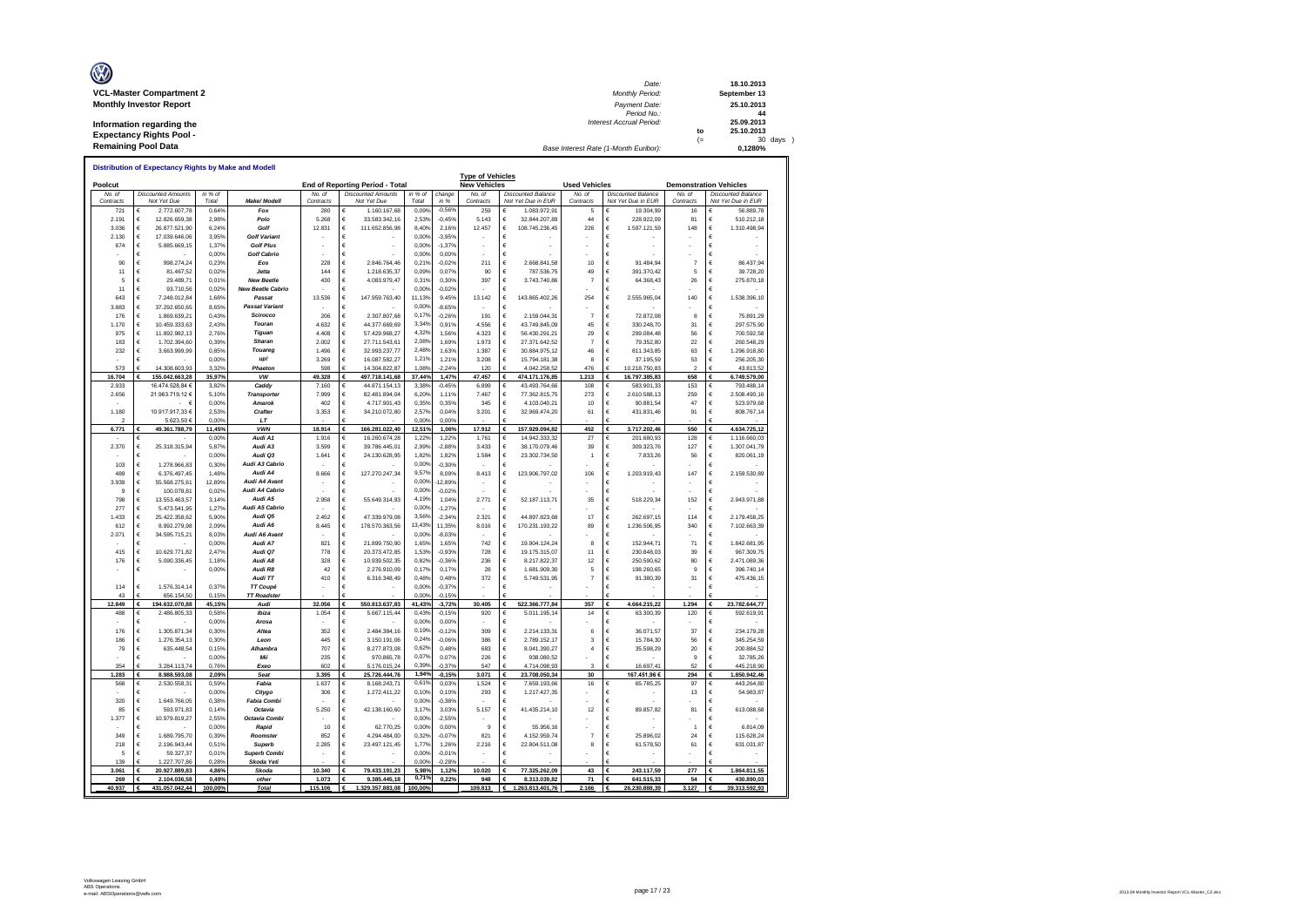| Ø                               | Date:                                 |     | 18.10.2013   |
|---------------------------------|---------------------------------------|-----|--------------|
| <b>VCL-Master Compartment 2</b> | <b>Monthly Period:</b>                |     | September 13 |
| <b>Monthly Investor Report</b>  | Payment Date:                         |     | 25.10.2013   |
|                                 | Period No.:                           |     | 44           |
| Information regarding the       | <b>Interest Accrual Period:</b>       |     | 25.09.2013   |
| <b>Expectancy Rights Pool -</b> |                                       | to  | 25.10.2013   |
|                                 |                                       | $=$ | 30 days      |
| <b>Remaining Pool Data</b>      | Base Interest Rate (1-Month Euribor): |     | 0.1280%      |

|                     | Distribution of Expectancy Rights by Make and Modell |                  |                                      |                     |                                          |                  |                      |                                                |                                                 |                         |                                                 |                     |                                                 |
|---------------------|------------------------------------------------------|------------------|--------------------------------------|---------------------|------------------------------------------|------------------|----------------------|------------------------------------------------|-------------------------------------------------|-------------------------|-------------------------------------------------|---------------------|-------------------------------------------------|
| Poolcut             |                                                      |                  |                                      |                     | End of Reporting Period - Total          |                  |                      | <b>Type of Vehicles</b><br><b>New Vehicles</b> |                                                 | <b>Used Vehicles</b>    |                                                 |                     | <b>Demonstration Vehicles</b>                   |
| No. of<br>Contracts | <b>Discounted Amounts</b><br>Not Yet Due             | in % of<br>Total | Make/ Modell                         | No. of<br>Contracts | <b>Discounted Amounts</b><br>Not Yet Due | in % of<br>Total | change<br>in %       | No. of<br>Contracts                            | <b>Discounted Balance</b><br>Not Yet Due in EUR | No. of<br>Contracts     | <b>Discounted Balance</b><br>Not Yet Due in FUR | No. of<br>Contracts | <b>Discounted Balance</b><br>Not Yet Due in FUR |
| 721                 | €<br>2.772.607.78                                    | 0.64%            | Fox                                  | 280                 | 1.160.167.68<br>€                        | 0,09%            | $-0,569$             | 259                                            | €<br>1.083.972.91                               | 5                       | 19,304.99                                       | 16                  | €<br>56.889.78                                  |
| 2.191               | €<br>12.826.659.38                                   | 2.98%            | Polo                                 | 5 268               | €<br>33 583 342 16                       | 2.53%            | $-0,45%$             | 5.143                                          | $\epsilon$<br>32.844.207.89                     | 44                      | 228 922 09<br>€                                 | 81                  | €<br>510.212.18                                 |
| 3.036               | €<br>26.877.521,90                                   | 6,24%            | Golf                                 | 12.831              | €<br>111.652.856,98                      | 8.40%            | 2,16%                | 12.457                                         | $\epsilon$<br>108.745.236,45                    | 226                     | €<br>1.597.121,59                               | 148                 | €<br>1.310.498,94                               |
| 2.130               | €<br>17.039.646,06                                   | 3,95%            | <b>Golf Variant</b>                  |                     | €                                        | 0,00%            | $-3,95%$             |                                                | €                                               |                         | Ë                                               |                     | €                                               |
| 674                 | €<br>5.885.669,15                                    | 1.37%            | <b>Golf Plus</b>                     |                     | €                                        | 0.00%            | $-1.379$             |                                                | €                                               |                         | €                                               |                     | €                                               |
| 90                  | €<br>€<br>998.274,24                                 | 0,00%<br>0,23%   | <b>Golf Cabrio</b><br>Eos            | 228                 | €<br>€<br>2.846.764.46                   | 0,00%<br>0.21%   | 0.00%<br>$-0,02%$    | 211                                            | €<br>€<br>2.668.841.58                          | 10                      | Ė<br>€<br>91.484.94                             | $\overline{7}$      | €<br>€<br>86.437,94                             |
| 11                  | 81 467 52<br>€                                       | 0.02%            | .letta                               | 144                 | 1 218 635 37<br>€                        | 0.09%            | 0.07%                | 90                                             | $\epsilon$<br>787 536 75                        | 49                      | 391 370 42<br>€                                 | 5                   | €<br>39 728 20                                  |
| 5                   | 29.489.71<br>€                                       | 0.01%            | <b>New Beetle</b>                    | 430                 | 4.083.979.47<br>€                        | 0.31%            | 0.30%                | 397                                            | €<br>3.743.740,86                               | 7                       | 64.368,43<br>€                                  | 26                  | €<br>275.870,18                                 |
| 11                  | €<br>93,710.56                                       | 0.02%            | <b>New Beetle Cabrio</b>             |                     | €                                        | 0.00%            | $-0.02%$             |                                                | $\epsilon$                                      |                         | €                                               |                     | €                                               |
| 643                 | €<br>7.248.012,84                                    | 1,68%            | Passat                               | 13.536              | 147.959.763,40<br>€                      | 11,13%           | 9,45%                | 13.142                                         | €<br>143.865.402,26                             | 254                     | 2.555.965,04<br>€                               | 140                 | €<br>1.538.396,10                               |
| 3.883               | €<br>37.292.650,65                                   | 8,65%            | <b>Passat Variant</b>                |                     | €                                        | 0.00%            | $-8,65%$             |                                                | $\epsilon$                                      |                         | €                                               |                     | €                                               |
| 176                 | €<br>1.869.639.21                                    | 0.43%            | Scirocco                             | 206                 | 2.307.807.68<br>€                        | 0.17%            | $-0.26%$             | 191                                            | €<br>2.159.044.31                               | $\overline{7}$          | 72,872.08<br>€                                  | 8                   | €<br>75,891.29                                  |
| 1.170               | $\epsilon$<br>10.459.333,63                          | 2 43%            | Touran                               | 4 632               | 44.377.669,69<br>€                       | 3.349            | 0.91%                | 4.556                                          | $\epsilon$<br>43.749.845,09                     | 45                      | 330.248,70<br>€                                 | 31                  | €<br>297 575 90                                 |
| 975                 | €<br>11.892.982,13                                   | 2.76%            | Tiguan                               | 4.408               | 57.429.968.27<br>€                       | 4.32%            | 1.56%                | 4.323                                          | €<br>56.430.291,21                              | 29                      | 299.084.48<br>€                                 | 56                  | €<br>700.592.58                                 |
| 183                 | €<br>1.702.394,60                                    | 0.39%            | Sharan                               | 2.002               | €<br>27.711.543,61                       | 2.08%            | 1,69%                | 1.973                                          | $\in$<br>27.371.642,52                          | $\overline{7}$          | €<br>79,352.80                                  | 22                  | €<br>260.548.29                                 |
| 232                 | $\epsilon$<br>3.663.999,99                           | 0,85%            | Touared                              | 1.496               | €<br>32.993.237,77                       | 2.48%            | 1,63%                | 1.387                                          | $\in$<br>30.884.975,12                          | 46                      | €<br>811.343,85                                 | 63                  | €<br>1.296.918,80                               |
| 573                 | €<br>14.308.603.93                                   | 0,00%<br>3.32%   | up!<br>Phaeton                       | 3.269<br>598        | 16.087.582,27<br>€<br>14 304 822 8       | 1,219<br>1.089   | 1.219<br>2249        | 3.208                                          | €<br>15.794.181,38<br>4.042.258.52              | 8<br>476                | €<br>37.195,59<br>10 218 750 83                 | 53<br>2             | €<br>256.205,30<br>43 813 52                    |
| 16.704              | €<br>155.042.663,28                                  | 35,97%           | vw                                   | 49.328              | 497.718.141,68<br>€                      | 37,44%           | 1,47%                | 120<br>47.457                                  | €<br>474.171.176,85                             | 1.213                   | 16.797.385,83                                   | 658                 | €<br>6.749.579,00                               |
| 2.933               | 16 474 528 84 6                                      | 3.82%            | Caddy                                | 7 160               | 44 871 154 13<br>€                       | 3.38%            | $-0.45%$             | 6.899                                          | €<br>43 493 764 66                              | 108                     | 583 901 33<br>€                                 | 153                 | €<br>793 488 14                                 |
| 2.656               | 21.963.719.12 €                                      | 5.10%            | <b>Transporter</b>                   | 7999                | 82.481.894.04<br>€                       | 6,20%            | 1.11%                | 7467                                           | €<br>77.362.815.75                              | 273                     | 2.610.588.13<br>€                               | 259                 | €<br>2.508.490.16                               |
|                     | $ \epsilon$                                          | 0.00%            | Amarok                               | 402                 | €<br>4.717.901.43                        | 0.35%            | 0.35%                | 345                                            | $\epsilon$<br>4.103.040.21                      | 10                      | €<br>90.881.54                                  | 47                  | €<br>523.979.68                                 |
| 1.180               | 10.917.917,33 €                                      | 2.53%            | Crafter                              | 3.353               | €<br>34.210.072,80                       | 2,57%            | 0.04%                | 3.201                                          | €<br>32.969.474,20                              | 61                      | €<br>431.831,46                                 | 91                  | €<br>808.767,14                                 |
|                     | 5.623,50 €                                           | 0,00%            | LT                                   |                     |                                          | 0,00%            | 0,00%                |                                                |                                                 |                         |                                                 |                     |                                                 |
| 6.771               | 49.361.788,79                                        | 11,45%           | <b>VWN</b>                           | 18.914              | 166.281.022,40<br>€                      | 12,51%           | 1,06%                | 17.912                                         | 157.929.094,82<br>€                             | 452                     | 3.717.202,46                                    | 550                 | 4.634.725,12                                    |
|                     | €                                                    | 0,00%            | Audi A1                              | 1.916               | €<br>16 260 674 28                       | 1.229            | 1.229                | 1.761                                          | $\epsilon$<br>14 942 333 32                     | 27                      | €<br>201.680,93                                 | 128                 | €<br>1.116.660,03                               |
| 2.370               | €<br>25.318.315,94                                   | 5,87%            | Audi A3                              | 3.599               | €<br>39.786.445.01                       | 2,99%            | $-2,88%$             | 3.433                                          | €<br>38.170.079,46                              | 39                      | 309.323,76<br>€                                 | 127                 | €<br>1.307.041.79                               |
| 103                 | €<br>€                                               | 0.00%<br>0.30%   | Audi Q3<br>Audi A3 Cabrio            | 1.641               | 24 130 628 95<br>€<br>€                  | 1.82%<br>0.00%   | 1.82%<br>$-0.30%$    | 1.584                                          | $\epsilon$<br>23 302 734 50<br>€                | 1                       | 783326<br>€<br>€                                | 56                  | €<br>820.061.19<br>€                            |
| 489                 | 1.278.966.83<br>€<br>6.376.497.45                    | 1,48%            | Audi A4                              | 8.666               | €<br>127.270.247,34                      | 9.57%            | 8,09%                | 8.413                                          | €<br>123.906.797,02                             | 106                     | 1.203.919,43<br>Ë                               | 147                 | €<br>2.159.530,89                               |
| 3.939               | €<br>55.568.275.6                                    | 12.89%           | Audi A4 Avant                        |                     | €                                        | 0,00%            | 12.89%               |                                                | €                                               |                         | €                                               |                     | €                                               |
| $\mathbf{Q}$        | €<br>100.078,81                                      | 0,02%            | Audi A4 Cabrio                       |                     | €                                        | 0,00%            | $-0,02%$             |                                                | €                                               |                         | Ë                                               |                     | €                                               |
| 798                 | €<br>13.553.463,57                                   | 3,14%            | Audi A5                              | 2.958               | 55.649.314,93<br>€                       | 4.19%            | 1,04%                | 2.77'                                          | €<br>52.187.113.71                              | 35                      | €<br>518,229.34                                 | 152                 | €<br>2.943.971,88                               |
| 277                 | €<br>5.473.541.95                                    | 1.27%            | Audi A5 Cabrio                       |                     | €                                        | 0,00%            | $-1.27%$             |                                                | €                                               |                         | €                                               |                     | €                                               |
| 1.433               | 25.422.358.62<br>€                                   | 5.90%            | Audi Q5                              | 2452                | €<br>47.339.979.08                       | 3.56%            | $-2.34%$             | 2.321                                          | $\epsilon$<br>44 897 823 68                     | 17                      | €<br>262.697.15                                 | 114                 | €<br>2 179 458 25                               |
| 612                 | €<br>8.992.279.98                                    | 2.09%            | Audi A6                              | 8.445               | €<br>178.570.363.56                      | 13 43%           | 11,35%               | 8.016                                          | €<br>170.231.193.22                             | 89                      | €<br>1.236.506,95                               | 340                 | €<br>7.102.663.39                               |
| 2.071               | €<br>34.595.715,21                                   | 8,03%            | Audi A6 Avant                        |                     | €                                        | 0.00%            | $-8,03%$             |                                                | €                                               |                         | €                                               |                     | €                                               |
|                     | €                                                    | 0,00%            | Audi A7                              | 821                 | €<br>21.899.750.90                       | 1,65%            | 1,65%                | 742                                            | €<br>19.904.124,24                              | 8                       | €<br>152.944.71                                 | 71                  | €<br>1.842.681,95                               |
| 415<br>176          | €<br>10.629.771,82<br>€<br>5.090.336,45              | 2.47%<br>1,18%   | Audi Q7<br>Audi A8                   | 778<br>328          | €<br>20.373.472.85<br>10.939.502,35<br>€ | 1,53%<br>0.829   | $-0.93%$<br>$-0,36%$ | 728<br>236                                     | $\in$<br>19.175.315,07<br>$\in$<br>8.217.822,37 | 11<br>12                | €<br>230.848.03<br>250.590,62<br>€              | 39<br>80            | €<br>967.309.75<br>€<br>2.471.089,36            |
|                     | €                                                    | 0.00%            | Audi R8                              | 42                  | €<br>2.276.910.09                        | 0.17%            | 0.17%                | 28                                             | €<br>1.681.909.30                               | 5                       | 198.260.65<br>€                                 | 9                   | €<br>396,740.14                                 |
|                     |                                                      |                  | Audi TT                              | 410                 | 6.316.348,49<br>€                        | 0,48%            | 0.48%                | 372                                            | $\in$<br>5.749.531,95                           | $\overline{7}$          | 91.380,39<br>€                                  | 31                  | €<br>475.436,15                                 |
| 114                 | €<br>1.576.314,14                                    | 0.37%            | TT Coupé                             |                     | €                                        | 0.00%            | $-0,37%$             |                                                | €                                               |                         | €                                               |                     | €                                               |
| 43                  | 656 154 50<br>€                                      | 0.15%            | <b>TT Roadster</b>                   |                     | £                                        | 0,00%            | $-0,15%$             |                                                | €                                               |                         |                                                 |                     |                                                 |
| 12.849              | 194.632.070,88                                       | 45,15%           | Audi                                 | 32.056              | €<br>550.813.637,83                      | 41,43%           | $-3,72%$             | 30.405                                         | 522.366.777,84<br>€                             | 357                     | 4.664.215,22                                    | 1.294               | 23.782.644,77                                   |
| 488                 | €<br>2.486.805.33                                    | 0.58%            | Ibiza                                | 1.054               | €<br>5.667.115.44                        | 0.43%            | $-0.159$             | 920                                            | €<br>5.011.195.14                               | 14                      | €<br>63.300.39                                  | 120                 | €<br>592.619.91                                 |
|                     | €                                                    | 0.00%            | Arosa                                |                     | €                                        | 0.00%            | 0.00%                |                                                | €                                               |                         | Ë                                               |                     | €                                               |
| 176                 | €<br>1.305.871,34                                    | 0,30%            | Altea                                | 352                 | €<br>2.484.384,16                        | 0.19%            | $-0,12%$             | 309                                            | €<br>2.214.133,31                               | 6                       | €<br>36.071,57                                  | 37                  | €<br>234.179,28                                 |
| 186                 | €<br>1 276 354 13                                    | 0.30%            | Leon                                 | 445                 | €<br>3 150 191 06                        | 0.24%            | $-0.06%$             | 386                                            | $\epsilon$<br>2 789 152 17                      | $\overline{\mathbf{3}}$ | €<br>15 784 30                                  | 56                  | €<br>345 254 59                                 |
| 79                  | €<br>635.448,54                                      | 0,15%            | Alhambra                             | 707                 | €<br>8.277.873,08                        | 0.62%<br>0.07%   | 0,48%                | 683                                            | $\in$<br>8.041.390,27                           | $\overline{a}$          | €<br>35.598.29                                  | 20<br>$\mathbf{Q}$  | €<br>200.884,52                                 |
| 354                 | €<br>3.284.113.74                                    | 0,00%<br>0,76%   | Mii<br>Exeo                          | 235<br>602          | €<br>970.865,78<br>5.176.015.24          | 0.39%            | 0,07%<br>$-0.379$    | 226<br>547                                     | €<br>938.080,52<br>4.714.098.93                 | 3                       | €<br>16.697,41                                  | 52                  | €<br>32.785,26<br>445.218.90                    |
| 1.283               | €<br>8.988.593,08                                    | 2,09%            | Seat                                 | 3.395               | 25.726.444,76<br>€                       | 1,94%            | $-0,15%$             | 3.071                                          | €<br>23.708.050,34                              | 30                      | 167.451,96€                                     | 294                 | €<br>1.850.942,46                               |
| 568                 | €<br>2.530.558,31                                    | 0,59%            | Fabia                                | 1.637               | €<br>8.168.243.71                        | 0.61%            | 0,03%                | 1.524                                          | €<br>7.659.193,66                               | 16                      | 65.785,25<br>€                                  | 97                  | €<br>443.264.80                                 |
|                     | €                                                    | 0.00%            | Citygo                               | 306                 | 1.272.411,22<br>€                        | 0,10%            | 0.10%                | 293                                            | $\epsilon$<br>1.217.427,35                      |                         | E                                               | 13                  | €<br>54.983,87                                  |
| 320                 | €<br>1.649.766,05                                    | 0.38%            | <b>Fabia Combi</b>                   |                     | €                                        | 0.00%            | $-0.38%$             |                                                | €                                               |                         | €                                               |                     | €                                               |
| 85                  | €<br>593.971,83                                      | 0.14%            | Octavia                              | 5.250               | €<br>42.138.160,60                       | 3.17%            | 3.03%                | 5.157                                          | $\epsilon$<br>41.435.214.10                     | 12                      | €<br>89.857.82                                  | 81                  | €<br>613.088.68                                 |
| 1.377               | €<br>10.979.819,27                                   | 2,55%            | Octavia Combi                        |                     | €                                        | 0.00%            | $-2,55%$             |                                                | €                                               |                         | €                                               |                     | €                                               |
|                     | €                                                    | 0,00%            | Rapid                                | 10                  | 62.770,25<br>€                           | 0.00%            | 0,00%                | $\boldsymbol{9}$                               | €<br>55.956,16                                  |                         | €                                               |                     | €<br>6.814.09                                   |
| 349                 | €<br>1.689.795.70                                    | 0.39%            | Roomster                             | 852                 | €<br>4.294.484.00                        | 0,32%            | $-0.07%$             | 821                                            | €<br>4.152.959.74                               | 7                       | €<br>25.896.02                                  | 24                  | €<br>115,628.24                                 |
| 218<br>5            | €<br>2.196.943,44<br>€<br>59.327.37                  | 0,51%            | <b>Superb</b><br><b>Superb Combi</b> | 2.285               | €<br>23.497.121,45<br>€                  | 1.779<br>0.00%   | 1,26%                | 2.216                                          | $\epsilon$<br>22.804.511,08<br>€                | 8                       | €<br>61.578,50<br>€                             | 61                  | €<br>631.031,87                                 |
| 139                 | 1 227 707 86                                         | 0,01%<br>0.28%   | Skoda Yeti                           |                     |                                          | 0.00%            | $-0,01%$<br>$-0.28%$ |                                                |                                                 |                         |                                                 |                     | €                                               |
| 3.061               | 20.927.889,83<br>€                                   | 4.86%            | Skoda                                | 10.340              | 79.433.191,23                            | 5.98%            | 1,12%                | 10.020                                         | 77.325.262.09<br>€                              | 43                      | 243.117,59                                      | 277                 | 1.864.811.55<br>€                               |
| 269                 | 2.104.036.58<br>€                                    | 0.49%            | other                                | 1.073               | 9.385.445,18<br>€                        | 0.719            | 0.22%                | 948                                            | 8.313.039.82<br>€                               | 71                      | 641.515.33<br>€                                 | 54                  | 430.890.03<br>€                                 |
| 40.937              | 431.057.042.44                                       | 100.00%          | Total                                | 115.106             | 1.329.357.883.08                         | 100.00%          |                      | 109.813                                        | €<br>1.263.813.401.76                           | 2.166                   | 26.230.888.39                                   | 3.127               | 39.313.592.93                                   |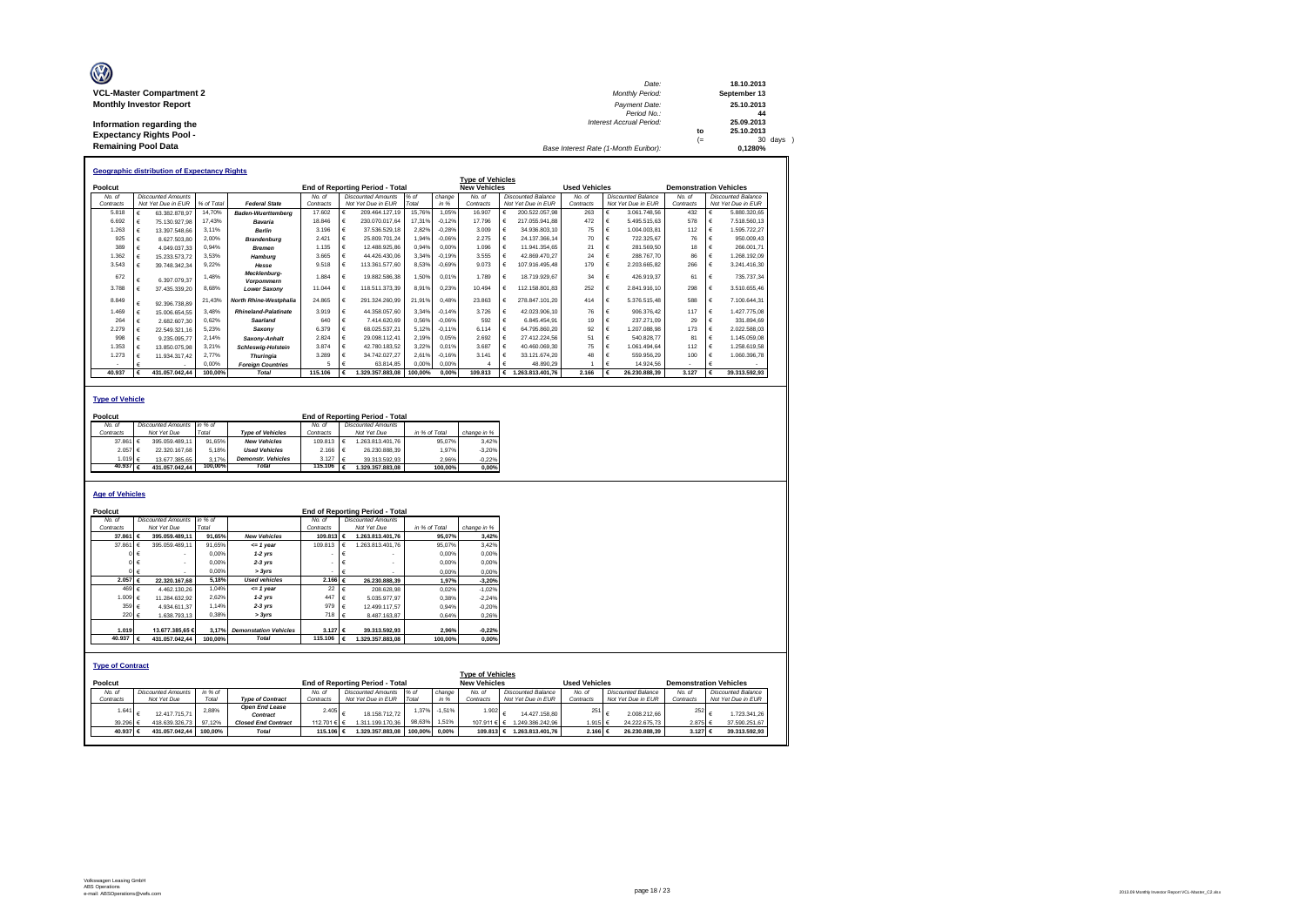| Ø                               | Date:                                 |     | 18.10.2013   |
|---------------------------------|---------------------------------------|-----|--------------|
| <b>VCL-Master Compartment 2</b> | <b>Monthly Period:</b>                |     | September 13 |
| <b>Monthly Investor Report</b>  | Payment Date:                         |     | 25.10.2013   |
|                                 | Period No.:                           |     | 44           |
| Information regarding the       | <b>Interest Accrual Period:</b>       |     | 25.09.2013   |
| <b>Expectancy Rights Pool -</b> |                                       | to  | 25.10.2013   |
|                                 |                                       | $=$ | 30 days      |
| <b>Remaining Pool Data</b>      | Base Interest Rate (1-Month Euribor): |     | 0.1280%      |

|           |            | <b>Geographic distribution of Expectancy Rights</b> |            |                                   |           |   |                                        |         |          |                         |            |                    |                      |                           |                               |   |                           |
|-----------|------------|-----------------------------------------------------|------------|-----------------------------------|-----------|---|----------------------------------------|---------|----------|-------------------------|------------|--------------------|----------------------|---------------------------|-------------------------------|---|---------------------------|
|           |            |                                                     |            |                                   |           |   |                                        |         |          | <b>Type of Vehicles</b> |            |                    |                      |                           |                               |   |                           |
| Poolcut   |            |                                                     |            |                                   |           |   | <b>End of Reporting Period - Total</b> |         |          | <b>New Vehicles</b>     |            |                    | <b>Used Vehicles</b> |                           | <b>Demonstration Vehicles</b> |   |                           |
| No. of    |            | <b>Discounted Amounts</b>                           |            |                                   | No. of    |   | <b>Discounted Amounts</b>              | % of    | change   | No of                   |            | Discounted Balance | No of                | <b>Discounted Balance</b> | No of                         |   | <b>Discounted Balance</b> |
| Contracts |            | Not Yet Due in EUR                                  | % of Total | <b>Federal State</b>              | Contracts |   | Not Yet Due in EUR                     | Total   | in %     | Contracts               |            | Not Yet Due in EUR | Contracts            | Not Yet Due in EUR        | Contracts                     |   | Not Yet Due in EUR        |
| 5.818     |            | 63.382.878.97                                       | 14.70%     | <b>Baden-Wuerttemberg</b>         | 17,602    | € | 209.464.127.19                         | 15.76%  | 1.05%    | 16.907                  | €          | 200.522.057.98     | 263                  | 3.061.748.56              | 432                           | € | 5.880.320.65              |
| 6.692     |            | 75.130.927.98                                       | 17.43%     | Bavaria                           | 18,846    | € | 230.070.017.64                         | 17.31%  | $-0.12%$ | 17 796                  | €          | 217.055.941.88     | 472                  | 5.495.515.63              | 578                           | € | 7.518.560.13              |
| 1.263     |            | 13.397.548.66                                       | 3.11%      | <b>Berlin</b>                     | 3.196     | € | 37.536.529.18                          | 2.82%   | $-0.28%$ | 3.009                   | £          | 34.936.803.10      | 75                   | 1.004.003.81              | 112                           | € | 1,595,722.27              |
| 925       |            | 8.627.503.80                                        | 2.00%      | <b>Brandenburg</b>                | 2.421     | € | 25.809.701.24                          | 1.94%   | $-0.06%$ | 2.275                   |            | 24.137.366.14      | 70                   | 722.325.67                | 76                            |   | 950.009.43                |
| 389       | €          | 4.049.037.33                                        | 0.94%      | <b>Bremen</b>                     | 1.135     | € | 12.488.925.86                          | 0.94%   | 0.00%    | 1.096                   |            | 11.941.354.65      | 21                   | 281.569.50                | 18                            |   | 266.001.71                |
| 1.362     |            | 15.233.573.72                                       | 3.53%      | Hamburg                           | 3.665     | € | 44.426.430.06                          | 3.34%   | $-0.19%$ | 3.555                   |            | 42.869.470.27      | 24                   | 288,767.70                | 86                            | € | .268.192.09               |
| 3.543     |            | 39.748.342.34                                       | 9.22%      | Hesse                             | 9.518     | € | 113.361.577.60                         | 8,53%   | $-0.69%$ | 9.073                   | €          | 107.916.495.48     | 179                  | 2.203.665.82              | 266                           | € | 3.241.416.30              |
| 672       |            | 6.397.079.37                                        | 1.48%      | Mecklenburg-<br><b>Vorpommern</b> | 1.884     | € | 19.882.586.38                          | 1.50%   | 0.01%    | 1.789                   | €          | 18.719.929.67      | 34                   | 426.919.37                | 61                            | € | 735.737.34                |
| 3.788     |            | 37.435.339.20                                       | 8.68%      | <b>Lower Saxony</b>               | 11.044    | € | 118.511.373.39                         | 8.91%   | 0.23%    | 10.494                  | €          | 112.158.801.83     | 252                  | 2.841.916.10              | 298                           | € | 3.510.655.46              |
| 8.849     | €          | 92.396.738.89                                       | 21.43%     | North Rhine-Westphalia            | 24.865    | € | 291.324.260.99                         | 21.91%  | 0.48%    | 23.863                  | €          | 278.847.101.20     | 414                  | 5.376.515.48              | 588                           | € | 7.100.644.31              |
| 1 469     | $\epsilon$ | 15.006.654.55                                       | 3.48%      | <b>Rhineland-Palatinate</b>       | 3.919     | € | 44.358.057.60                          | 3.34%   | $-0.14%$ | 3726                    | €          | 42.023.906.10      | 76                   | 906.376.42                | 117                           | € | 427 775 08                |
| 264       | €          | 2.682.607.30                                        | 0.62%      | Saarland                          | 640       | € | 7.414.620.69                           | 0.56%   | $-0.06%$ | 592                     | €          | 6.845.454.91       | 19                   | 237.271.09                | 29                            | € | 331.894.69                |
| 2.279     |            | 22.549.321.16                                       | 5.23%      | Saxony                            | 6.379     | € | 68.025.537.21                          | 5.12%   | $-0.11%$ | 6 1 1 4                 | $\epsilon$ | 64.795.860.20      | 92                   | 1.207.088.98              | 173                           | € | 2.022.588.03              |
| 998       | €          | 9.235.095.77                                        | 2.14%      | Saxony-Anhalt                     | 2.824     | € | 29.098.112.41                          | 2.19%   | 0.05%    | 2.692                   | €          | 27.412.224.56      | 51                   | 540.828.77                | 81                            | € | 1.145.059.08              |
| 1.353     |            | 13.850.075.98                                       | 3.21%      | <b>Schleswig-Holstein</b>         | 3,874     | € | 42.780.183.52                          | 3.22%   | 0.01%    | 3.687                   | $\epsilon$ | 40.460.069.30      | 75                   | 1.061.494.64              | 112                           | € | 1.258.619.58              |
| 1.273     |            | 11.934.317.42                                       | 2.77%      | <b>Thuringia</b>                  | 3.289     | € | 34.742.027.27                          | 2.61%   | $-0.16%$ | 3.141                   | $\epsilon$ | 33.121.674.20      | 48                   | 559.956.29                | 100                           | € | 1.060.396.78              |
|           |            |                                                     | 0.00%      | <b>Foreian Countries</b>          | 5         | £ | 63.814.85                              | 0.00%   | 0.00%    |                         | €          | 48.890.29          |                      | 14.924.56                 |                               | € |                           |
| 40.937    |            | 431.057.042.44                                      | 100.00%    | <b>Total</b>                      | 115.106   |   | 1.329.357.883.08                       | 100.00% | 0.00%    | 109.813                 | €          | 1.263.813.401.76   | 2.166                | 26.230.888.39             | 3.127                         |   | 39.313.592.93             |

#### **Type of Vehicle**

| No. of    |         |                                          |                                                              |                           | No of                               |                                                     |                           |                                        |
|-----------|---------|------------------------------------------|--------------------------------------------------------------|---------------------------|-------------------------------------|-----------------------------------------------------|---------------------------|----------------------------------------|
| Contracts |         | Not Yet Due                              | Total                                                        | <b>Type of Vehicles</b>   | Contracts                           | Not Yet Due                                         | in % of Total             | change in %                            |
|           |         |                                          |                                                              | <b>New Vehicles</b>       |                                     | 1.263.813.401.76                                    | 95.07%                    | 3.42%                                  |
|           |         | 22.320.167.68                            |                                                              | <b>Used Vehicles</b>      | 2.166                               | 26.230.888.39                                       | 1.97%                     | $-3.20%$                               |
|           |         |                                          |                                                              | <b>Demonstr.</b> Vehicles |                                     | 39.313.592.93                                       | 2.96%                     | $-0.22%$                               |
|           |         | 431.057.042.44                           |                                                              | <b>Total</b>              |                                     | 1.329.357.883.08                                    | 100.00%                   | 0.00%                                  |
|           | Poolcut | 37,861 €<br>2.057 €<br>1.019 €<br>40.937 | <b>Discounted Amounts</b><br>395.059.489.11<br>13.677.385.65 | in % of                   | 91.65%<br>5.18%<br>3.17%<br>100.00% | 109.813 €<br>3.127 $\epsilon$<br>115,106 $\epsilon$ | <b>Discounted Amounts</b> | <b>End of Reporting Period - Total</b> |

#### **Age of Vehicles**

| Poolcut                 |                      |                           |         |                              |                  |            | <b>End of Reporting Period - Total</b> |               |          |                         |                    |                      |                           |           |                               |
|-------------------------|----------------------|---------------------------|---------|------------------------------|------------------|------------|----------------------------------------|---------------|----------|-------------------------|--------------------|----------------------|---------------------------|-----------|-------------------------------|
| No. of                  |                      | <b>Discounted Amounts</b> | in %    |                              | No. of           |            | <b>Discounted Amounts</b>              |               |          |                         |                    |                      |                           |           |                               |
| Contracts               |                      | Not Yet Due               | Total   |                              | Contracts        |            | Not Yet Due                            | in % of Total |          | change in %             |                    |                      |                           |           |                               |
|                         | 37,861<br>€          | 395.059.489.11            | 91.65%  | <b>New Vehicles</b>          | 109.813 €        |            | 1.263.813.401.76                       |               | 95.07%   | 3.42%                   |                    |                      |                           |           |                               |
|                         | 37,861<br>$\epsilon$ | 395.059.489.11            | 91.65%  | $= 1$ year                   | 109.813          | €          | 1.263.813.401.76                       |               | 95.07%   | 3.42%                   |                    |                      |                           |           |                               |
|                         | $\epsilon$           |                           | 0.00%   | $1-2$ yrs                    |                  | €          |                                        |               | 0,00%    | 0.00%                   |                    |                      |                           |           |                               |
|                         | $\epsilon$           |                           | 0.00%   | $2-3$ yrs                    |                  |            |                                        |               | 0.00%    | 0.00%                   |                    |                      |                           |           |                               |
|                         | $\epsilon$           |                           | 0.00%   | > 3yrs                       |                  | €          | ۰                                      |               | 0.00%    | 0.00%                   |                    |                      |                           |           |                               |
|                         | 2.057 $\epsilon$     | 22.320.167.68             | 5.18%   | <b>Used vehicles</b>         | 2.166 ∈          |            | 26.230.888.39                          |               | 1.97%    | $-3.20%$                |                    |                      |                           |           |                               |
|                         | 469 €                | 4.462.130.26              | 1.04%   | $= 1$ vear                   | 22               | €          | 208.628.98                             |               | 0.02%    | $-1.02%$                |                    |                      |                           |           |                               |
|                         | 1.009 €              | 11.284.632.92             | 2.62%   | $1-2$ yrs                    | 447              | €          | 5.035.977.97                           |               | 0,38%    | $-2.24%$                |                    |                      |                           |           |                               |
|                         | 359 €                | 4.934.611.37              | 1.14%   | $2-3$ yrs                    | 979              | €          | 12.499.117.57                          |               | 0.94%    | $-0.20%$                |                    |                      |                           |           |                               |
|                         | 220 €                | 1.638.793.13              | 0,38%   | > 3yrs                       | 718              | $\epsilon$ | 8.487.163.87                           |               | 0.64%    | 0.26%                   |                    |                      |                           |           |                               |
|                         |                      |                           |         |                              |                  |            |                                        |               |          |                         |                    |                      |                           |           |                               |
|                         | 1.019                | 13,677,385,65€            | 3.17%   | <b>Demonstation Vehicles</b> | 3.127 $\epsilon$ |            | 39.313.592.93                          |               | 2,96%    | $-0,22%$                |                    |                      |                           |           |                               |
|                         | 40.937<br>€          | 431.057.042.44            | 100.00% | <b>Total</b>                 | 115,106          | €          | 1.329.357.883.08                       |               | 100.00%  | 0.00%                   |                    |                      |                           |           |                               |
|                         |                      |                           |         |                              |                  |            |                                        |               |          |                         |                    |                      |                           |           |                               |
|                         |                      |                           |         |                              |                  |            |                                        |               |          |                         |                    |                      |                           |           |                               |
| <b>Type of Contract</b> |                      |                           |         |                              |                  |            |                                        |               |          |                         |                    |                      |                           |           |                               |
|                         |                      |                           |         |                              |                  |            |                                        |               |          | <b>Type of Vehicles</b> |                    |                      |                           |           |                               |
| Poolcut                 |                      |                           |         |                              |                  |            | End of Reporting Period - Total        |               |          | <b>New Vehicles</b>     |                    | <b>Used Vehicles</b> |                           |           | <b>Demonstration Vehicles</b> |
| No. of                  |                      | <b>Discounted Amounts</b> | in % of |                              | No. of           |            | <b>Discounted Amounts</b>              | % of          | change   | No. of                  | Discounted Balance | No. of               | <b>Discounted Balance</b> | No. of    | <b>Discounted Balance</b>     |
| Contracts               |                      | Not Yet Due               | Total   | <b>Type of Contract</b>      | Contracts        |            | Not Yet Due in EUR                     | Total         | in %     | Contracts               | Not Yet Due in EUR | Contracts            | Not Yet Due in EUR        | Contracts | Not Yet Due in EUR            |
|                         | 1.641                |                           | 2.88%   | <b>Open End Lease</b>        | 2.405            |            |                                        | 1,37%         | $-1.51%$ | 1.902                   |                    | 251                  |                           | 252       |                               |
|                         |                      | 12.417.715.71             |         | Contract                     |                  | €          | 18.158.712.72                          |               |          |                         | 14.427.158.80      |                      | 2.008.212.66              |           | 1.723.341.26                  |
|                         | 39.296 €             | 418.639.326.73            | 97,12%  | <b>Closed End Contract</b>   | 112.701 € €      |            | 1.311.199.170.36                       | 98,63%        | 1,51%    | 107.911 € €             | 1.249.386.242.96   | 1.915 €              | 24.222.675.73             | 2.875 €   | 37.590.251,67                 |
|                         | 40.937 €             | 431.057.042,44            | 100.00% | <b>Total</b>                 | 115,106 €        |            | 1.329.357.883,08                       | 100,00%       | 0.00%    | 109.813 €               | 1.263.813.401.76   | 2.166 €              | 26.230.888.39             | $3.127$ € | 39.313.592,93                 |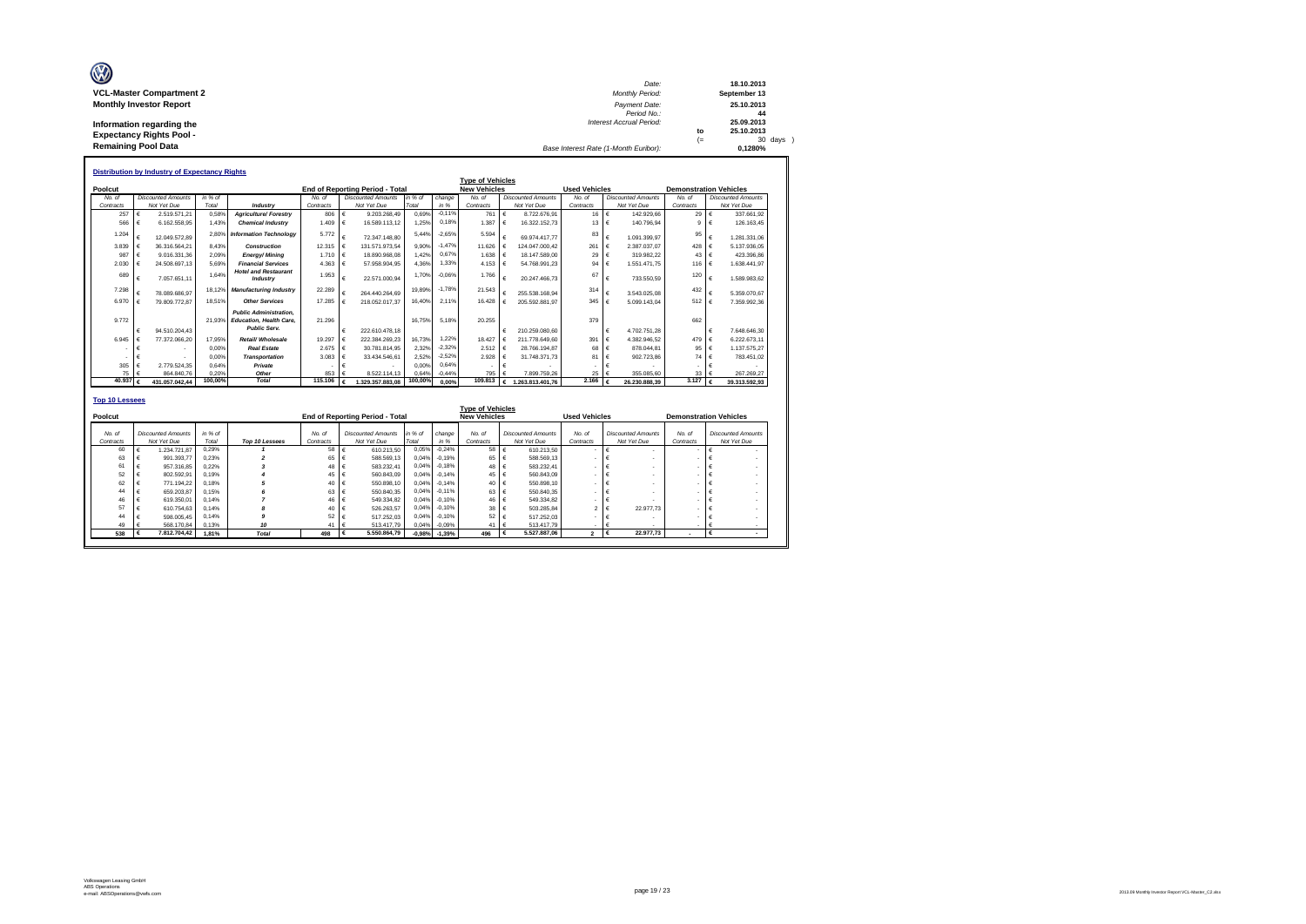| Ø                               | Date:                                 |      | 18.10.2013   |
|---------------------------------|---------------------------------------|------|--------------|
| <b>VCL-Master Compartment 2</b> | Monthly Period:                       |      | September 13 |
| <b>Monthly Investor Report</b>  | Payment Date:                         |      | 25.10.2013   |
|                                 | Period No.:                           |      | 44           |
| Information regarding the       | <b>Interest Accrual Period:</b>       |      | 25.09.2013   |
| <b>Expectancy Rights Pool -</b> |                                       | to   | 25.10.2013   |
|                                 |                                       | $(=$ | 30 days )    |
| <b>Remaining Pool Data</b>      | Base Interest Rate (1-Month Euribor): |      | 0.1280%      |

|                       |            | <b>Distribution by Industry of Expectancy Rights</b> |         |                                                                                        |           |            |                                        |         |          |                         |   |                           |                      |            |                           |                               |              |                           |
|-----------------------|------------|------------------------------------------------------|---------|----------------------------------------------------------------------------------------|-----------|------------|----------------------------------------|---------|----------|-------------------------|---|---------------------------|----------------------|------------|---------------------------|-------------------------------|--------------|---------------------------|
|                       |            |                                                      |         |                                                                                        |           |            |                                        |         |          | <b>Type of Vehicles</b> |   |                           |                      |            |                           |                               |              |                           |
| Poolcut               |            |                                                      |         |                                                                                        |           |            | <b>End of Reporting Period - Total</b> |         |          | <b>New Vehicles</b>     |   |                           | <b>Used Vehicles</b> |            |                           | <b>Demonstration Vehicles</b> |              |                           |
| No. of                |            | <b>Discounted Amounts</b>                            | in % of |                                                                                        | No. of    |            | <b>Discounted Amounts</b>              | in % of | change   | No of                   |   | <b>Discounted Amounts</b> | No. of               |            | <b>Discounted Amounts</b> | No. of                        |              | <b>Discounted Amounts</b> |
| Contracts             |            | Not Yet Due                                          | Total   | Industry                                                                               | Contracts |            | Not Yet Due                            | Total   | in %     | Contracts               |   | Not Yet Due               | Contracts            |            | Not Yet Due               | Contracts                     |              | Not Yet Due               |
| 257                   | €          | 2.519.571.21                                         | 0.58%   | <b>Agriculture/Forestrv</b>                                                            | 806       | $\epsilon$ | 9.203.268.49                           | 0.69%   | $-0.11%$ | 761                     | € | 8.722.676.91              | 16                   | €          | 142.929.66                | 29 $\epsilon$                 |              | 337.661.92                |
| 566                   | €          | 6.162.558.95                                         | 1.43%   | <b>Chemical Industry</b>                                                               | 1.409     | $\epsilon$ | 16.589.113.12                          | 1.25%   | 0.18%    | 1,387                   | € | 16.322.152.73             | 13                   | €          | 140.796.94                | $\mathbf{Q}$                  | €            | 126, 163, 45              |
| 1.204                 | €          | 12.049.572.89                                        |         | 2.80% Information Technology                                                           | 5.772     | €          | 72.347.148.80                          | 5 4 4 % | $-2.65%$ | 5.594                   |   | 69.974.417.77             | 83                   | €          | 1.091.399.97              | 95                            | €            | 1.281.331.06              |
| 3.839                 | $\epsilon$ | 36.316.564.21                                        | 8.43%   | Construction                                                                           | 12.315 €  |            | 131.571.973.54                         | 9.90%   | $-1.47%$ | 11.626                  |   | 124.047.000.42            | 261                  | €          | 2.387.037.07              | 428 €                         |              | 5.137.936.05              |
| 987                   | $\epsilon$ | 9.016.331.36                                         | 2.09%   | Eneray/Minina                                                                          | 1.710     | ∣€         | 18,890,968,08                          | 1.42%   | 0.67%    | 1.638                   | € | 18,147,589.00             | 29                   | €          | 319,982.22                | $43 \in$                      |              | 423.396.86                |
| 2.030                 | $\epsilon$ | 24.508.697.13                                        | 5.69%   | <b>Financial Services</b>                                                              | 4.363     | $\epsilon$ | 57.958.904.95                          | 4.36%   | 1.33%    | 4.153                   | € | 54.768.991.23             | 94                   | €          | 1.551.471.75              | 116 $\epsilon$                |              | 1.638.441.97              |
| 689                   | $\epsilon$ | 7.057.651.11                                         | 1.64%   | <b>Hotel and Restaurant</b><br>Industry                                                | 1.953     | €          | 22.571.000.94                          | 1.70%   | $-0.06%$ | 1.766                   | € | 20.247.466.73             | 67                   | $\epsilon$ | 733.550.59                | 120                           | €            | 1.589.983.62              |
| 7.298                 | €          | 78.089.686.97                                        | 18.129  | <b>Manufacturing Industry</b>                                                          | 22.289    | €          | 264.440.264.69                         | 19.89%  | $-1.78%$ | 21.543                  |   | 255.538.168.94            | 314                  | €          | 3.543.025.08              | 432                           | €            | 5.359.070.67              |
| 6.970                 | $\epsilon$ | 79.809.772.87                                        | 18.51%  | <b>Other Services</b>                                                                  | 17.285    | $\epsilon$ | 218.052.017.37                         | 16.40%  | 2.11%    | 16.428                  | € | 205.592.881.97            | 345                  | €          | 5.099.143.04              | 512 $\epsilon$                |              | 7.359.992,36              |
| 9.772                 | €          | 94.510.204.43                                        | 21.93%  | <b>Public Administration.</b><br><b>Education, Health Care.</b><br><b>Public Serv.</b> | 21.296    | €          | 222.610.478.18                         | 16.75%  | 5.18%    | 20.255                  | € | 210.259.080.60            | 379                  | €          | 4.702.751.28              | 662                           | €            | 7.648.646.30              |
| 6.945                 | €          | 77.372.066.20                                        | 17.95%  | Retail/ Wholesale                                                                      | 19.297    | $\epsilon$ | 222.384.269.23                         | 16.73%  | 1.22%    | 18.427                  |   | 211.778.649.60            | 391                  | €          | 4.382.946.52              | 479 $\epsilon$                |              | 6.222.673.11              |
|                       | $\epsilon$ |                                                      | 0.00%   | <b>Real Estate</b>                                                                     | 2.675     | $\epsilon$ | 30.781.814.95                          | 2.32%   | $-2.32%$ | 2.512                   | € | 28.766.194.87             | 68                   | $\epsilon$ | 878.044.81                | 95 $\epsilon$                 |              | 1.137.575.27              |
|                       | €          |                                                      | 0.00%   | <b>Transportation</b>                                                                  | 3.083     | €          | 33.434.546.61                          | 2.52%   | $-2.52%$ | 2.928                   |   | 31.748.371.73             | 81                   | €          | 902.723.86                | 74 $\epsilon$                 |              | 783.451,02                |
| 305                   | €          | 2.779.524.35                                         | 0.64%   | Private                                                                                |           | €          |                                        | 0.00%   | 0.64%    |                         | € |                           |                      | €          |                           |                               | €            |                           |
| 75                    | $\epsilon$ | 864.840.76                                           | 0.20%   | Other                                                                                  | 853       |            | 8.522.114.13                           | 0.64%   | $-0.44%$ | 795                     |   | 7.899.759.26              | 25                   |            | 355,085.60                | $33-1$                        |              | 267.269.27                |
| 40.937                | $\epsilon$ | 431.057.042.44                                       | 100,00% | <b>Total</b>                                                                           | 115,106   | €          | 1.329.357.883.08                       | 100,00% | 0.00%    | 109,813                 | € | 1.263.813.401.76          | 2.166                | €          | 26.230.888.39             | 3.127                         | $\mathbf{f}$ | 39.313.592.93             |
| <b>Top 10 Lessees</b> |            |                                                      |         |                                                                                        |           |            |                                        |         |          |                         |   |                           |                      |            |                           |                               |              |                           |

|                     |     |                                          |                    |                |                     |                                          |                  |                     | <b>Type of Vehicles</b> |                                          |                         |                                          |                     |                                          |
|---------------------|-----|------------------------------------------|--------------------|----------------|---------------------|------------------------------------------|------------------|---------------------|-------------------------|------------------------------------------|-------------------------|------------------------------------------|---------------------|------------------------------------------|
| Poolcut             |     |                                          |                    |                |                     | <b>End of Reporting Period - Total</b>   |                  |                     | <b>New Vehicles</b>     |                                          | <b>Used Vehicles</b>    |                                          |                     | <b>Demonstration Vehicles</b>            |
| No. of<br>Contracts |     | <b>Discounted Amounts</b><br>Not Yet Due | $in %$ of<br>Total | Top 10 Lessees | No. of<br>Contracts | <b>Discounted Amounts</b><br>Not Yet Due | in % of<br>Total | change<br>in %      | No. of<br>Contracts     | <b>Discounted Amounts</b><br>Not Yet Due | No. of<br>Contracts     | <b>Discounted Amounts</b><br>Not Yet Due | No. of<br>Contracts | <b>Discounted Amounts</b><br>Not Yet Due |
|                     | 60  | 1.234.721.87                             | 0.29%              |                | 58                  | $\epsilon$<br>610.213.50                 | 0,05%            | $-0.24%$            | 58                      | 610.213.50<br>∣€                         |                         |                                          |                     |                                          |
|                     | 63  | 991.393.77                               | 0.23%              |                | $65 \quad \in$      | 588,569.13                               | 0,04%            | $-0.19%$            | $65 \quad \in$          | 588,569.13                               |                         |                                          |                     | $\overline{\phantom{a}}$                 |
|                     | 61  | 957,316.85                               | 0.22%              |                | 48 €                | 583,232.41                               | 0.04%            | $-0.18%$            | 48 €                    | 583,232.41                               |                         |                                          |                     |                                          |
|                     | 52  | 802.592.91                               | 0.19%              |                | 45 €                | 560,843.09                               |                  | 0,04% -0,14%        | 45 €                    | 560,843.09                               |                         |                                          |                     |                                          |
|                     | 62  | 771.194.22                               | 0.18%              |                | 40 €                | 550,898.10                               | 0.04%            | $-0.14%$            | 40 €                    | 550,898.10                               |                         |                                          |                     |                                          |
|                     | 44  | 659,203.87                               | 0.15%              |                | 63 €                | 550,840.35                               |                  | 0,04% -0,11%        | 63 €                    | 550,840.35                               |                         |                                          |                     |                                          |
|                     | 46  | 619,350.01                               | 0.14%              |                | 46 €                | 549.334.82                               | 0.04%            | $-0.10%$            | 46 €                    | 549.334.82                               |                         |                                          |                     |                                          |
|                     | 57  | 610.754.63                               | 0.14%              |                | 40 €                | 526.263.57                               |                  | 0,04% -0,10%        | 38 €                    | 503.285.84                               | ×,                      | 22,977.73                                |                     |                                          |
|                     | 44  | 598,005.45                               | 0.14%              |                | 52 €                | 517.252.03                               | 0.04%            | $-0.10%$            | 52                      | 517,252.03                               |                         |                                          |                     |                                          |
|                     | 49  | 568,170.84                               | 0.13%              | 10             | 41                  | 513.417.79<br>∣€                         | 0,04%            | $-0.09%$            | 41                      | 513.417.79                               |                         |                                          |                     |                                          |
|                     | 538 | 7.812.704.42                             | 1.81%              | <b>Total</b>   | 498                 | 5,550,864.79<br>ι€                       |                  | $-0,98\%$ $-1,39\%$ | 496                     | 5.527.887.06<br>€                        | $\overline{\mathbf{2}}$ | 22,977.73<br>∣€                          | $\sim$              |                                          |
|                     |     |                                          |                    |                |                     |                                          |                  |                     |                         |                                          |                         |                                          |                     |                                          |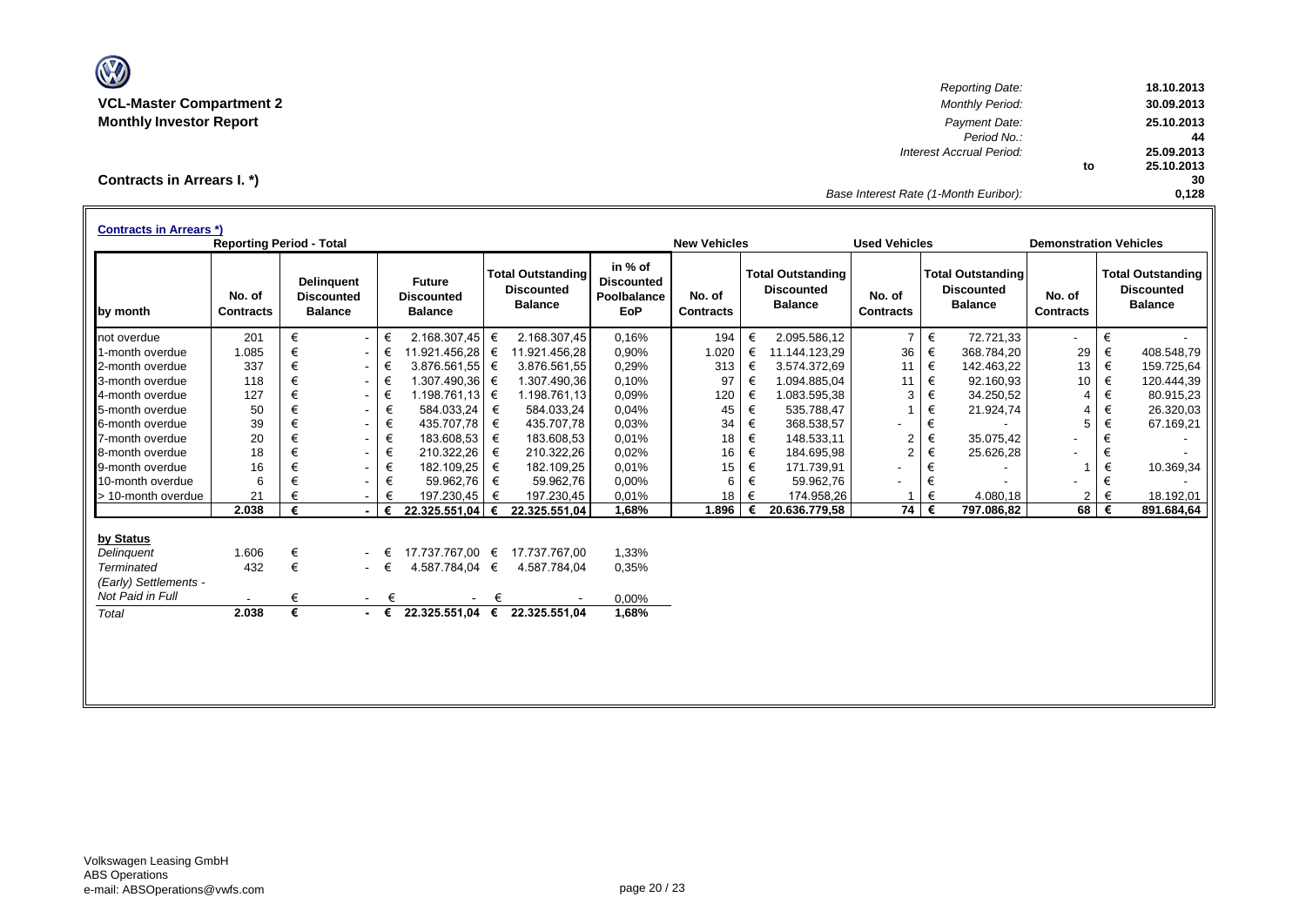

*Reporting Date:* **18.10.2013 VCL-Master Compartment 2** *Monthly Period:* **30.09.2013 Monthly Investor Report** *Payment Date:* **25.10.2013** *Period No.:* **44** *Interest Accrual Period:* **25.09.2013 to 25.10.2013 30** *Base Interest Rate (1-Month Euribor):* **0,128**

**Contracts in Arrears I. \*)**

| <b>Contracts in Arrears *)</b> | <b>Reporting Period - Total</b> |   |                                                          |   |                                                      |   |                                                                 |                                                           | <b>New Vehicles</b>        |   |                                                                 | <b>Used Vehicles</b>       |   |                                                                 | <b>Demonstration Vehicles</b> |   |                                                                 |
|--------------------------------|---------------------------------|---|----------------------------------------------------------|---|------------------------------------------------------|---|-----------------------------------------------------------------|-----------------------------------------------------------|----------------------------|---|-----------------------------------------------------------------|----------------------------|---|-----------------------------------------------------------------|-------------------------------|---|-----------------------------------------------------------------|
| by month                       | No. of<br><b>Contracts</b>      |   | <b>Delinguent</b><br><b>Discounted</b><br><b>Balance</b> |   | <b>Future</b><br><b>Discounted</b><br><b>Balance</b> |   | <b>Total Outstanding</b><br><b>Discounted</b><br><b>Balance</b> | in % of<br><b>Discounted</b><br>Poolbalance<br><b>EoP</b> | No. of<br><b>Contracts</b> |   | <b>Total Outstanding</b><br><b>Discounted</b><br><b>Balance</b> | No. of<br><b>Contracts</b> |   | <b>Total Outstanding</b><br><b>Discounted</b><br><b>Balance</b> | No. of<br><b>Contracts</b>    |   | <b>Total Outstanding</b><br><b>Discounted</b><br><b>Balance</b> |
| not overdue                    | 201                             | € | $\sim$                                                   | € | 2.168.307,45 $\in$                                   |   | 2.168.307,45                                                    | 0.16%                                                     | 194                        | € | 2.095.586,12                                                    | $\overline{7}$             | € | 72.721,33                                                       | $\blacksquare$                | € |                                                                 |
| 1-month overdue                | 1.085                           | € | $\sim$                                                   | € | 11.921.456,28 €                                      |   | 11.921.456,28                                                   | 0,90%                                                     | 1.020                      | € | 11.144.123,29                                                   | 36                         | € | 368.784,20                                                      | 29                            | € | 408.548,79                                                      |
| 2-month overdue                | 337                             | € | $\sim$                                                   | € | 3.876.561,55 €                                       |   | 3.876.561.55                                                    | 0,29%                                                     | 313                        | € | 3.574.372,69                                                    | 11                         | € | 142.463,22                                                      | 13                            | € | 159.725,64                                                      |
| 3-month overdue                | 118                             | € | $\sim$                                                   | € | 1.307.490,36 €                                       |   | 1.307.490,36                                                    | 0.10%                                                     | 97                         | € | 1.094.885,04                                                    | 11                         | € | 92.160,93                                                       | 10                            | € | 120.444,39                                                      |
| 4-month overdue                | 127                             | € | $\sim$                                                   | € | 1.198.761,13 €                                       |   | 1.198.761,13                                                    | 0,09%                                                     | 120                        | € | 1.083.595,38                                                    | 3                          | € | 34.250,52                                                       | 4                             | € | 80.915,23                                                       |
| 5-month overdue                | 50                              | € | $\overline{\phantom{a}}$                                 | € | 584.033.24                                           | € | 584.033.24                                                      | 0,04%                                                     | 45                         | € | 535.788.47                                                      |                            | € | 21.924,74                                                       | 4                             | € | 26.320,03                                                       |
| 6-month overdue                | 39                              | € | $\overline{\phantom{a}}$                                 | € | 435.707,78                                           | € | 435.707,78                                                      | 0,03%                                                     | 34                         | € | 368.538,57                                                      |                            | € |                                                                 | 5                             | € | 67.169,21                                                       |
| 7-month overdue                | 20                              | € | $\sim$                                                   | € | 183.608,53                                           | € | 183.608,53                                                      | 0,01%                                                     | 18                         | € | 148.533,11                                                      | $\overline{2}$             | € | 35.075,42                                                       | $\blacksquare$                | € |                                                                 |
| 8-month overdue                | 18                              | € | $\sim$                                                   | € | 210.322,26                                           | € | 210.322,26                                                      | 0,02%                                                     | 16                         | € | 184.695,98                                                      | $\overline{2}$             | € | 25.626,28                                                       |                               | € |                                                                 |
| 9-month overdue                | 16                              | € | $\sim$                                                   | € | 182.109,25                                           | € | 182.109,25                                                      | 0,01%                                                     | 15                         | € | 171.739,91                                                      | ۰                          | € |                                                                 |                               | € | 10.369,34                                                       |
| 10-month overdue               | 6                               | € |                                                          | € | 59.962,76                                            | € | 59.962,76                                                       | 0,00%                                                     | 6                          | € | 59.962.76                                                       |                            | € |                                                                 |                               | € |                                                                 |
| > 10-month overdue             | 21                              |   | $\sim$                                                   |   | 197.230,45                                           | € | 197.230,45                                                      | 0,01%                                                     | 18                         | € | 174.958,26                                                      |                            | € | 4.080,18                                                        | $\overline{2}$                | € | 18.192,01                                                       |
|                                | 2.038                           | € |                                                          | € | 22.325.551,04                                        | € | 22.325.551,04                                                   | 1,68%                                                     | 1.896                      | € | 20.636.779,58                                                   | 74 €                       |   | 797.086,82                                                      | 68                            | € | 891.684,64                                                      |
| by Status                      |                                 |   |                                                          |   |                                                      |   |                                                                 |                                                           |                            |   |                                                                 |                            |   |                                                                 |                               |   |                                                                 |
| Delinguent                     | 1.606                           | € |                                                          | € | 17.737.767,00 €                                      |   | 17.737.767,00                                                   | 1.33%                                                     |                            |   |                                                                 |                            |   |                                                                 |                               |   |                                                                 |
| Terminated                     | 432                             | € | $\sim$ 10 $\pm$                                          | € | 4.587.784,04 €                                       |   | 4.587.784,04                                                    | 0,35%                                                     |                            |   |                                                                 |                            |   |                                                                 |                               |   |                                                                 |
| (Early) Settlements -          |                                 |   |                                                          |   |                                                      |   |                                                                 |                                                           |                            |   |                                                                 |                            |   |                                                                 |                               |   |                                                                 |
| Not Paid in Full               |                                 | € | $\sim$                                                   | € |                                                      | € |                                                                 | 0,00%                                                     |                            |   |                                                                 |                            |   |                                                                 |                               |   |                                                                 |
| Total                          | 2.038                           | € |                                                          | € | 22.325.551,04 €                                      |   | 22.325.551.04                                                   | 1,68%                                                     |                            |   |                                                                 |                            |   |                                                                 |                               |   |                                                                 |
|                                |                                 |   |                                                          |   |                                                      |   |                                                                 |                                                           |                            |   |                                                                 |                            |   |                                                                 |                               |   |                                                                 |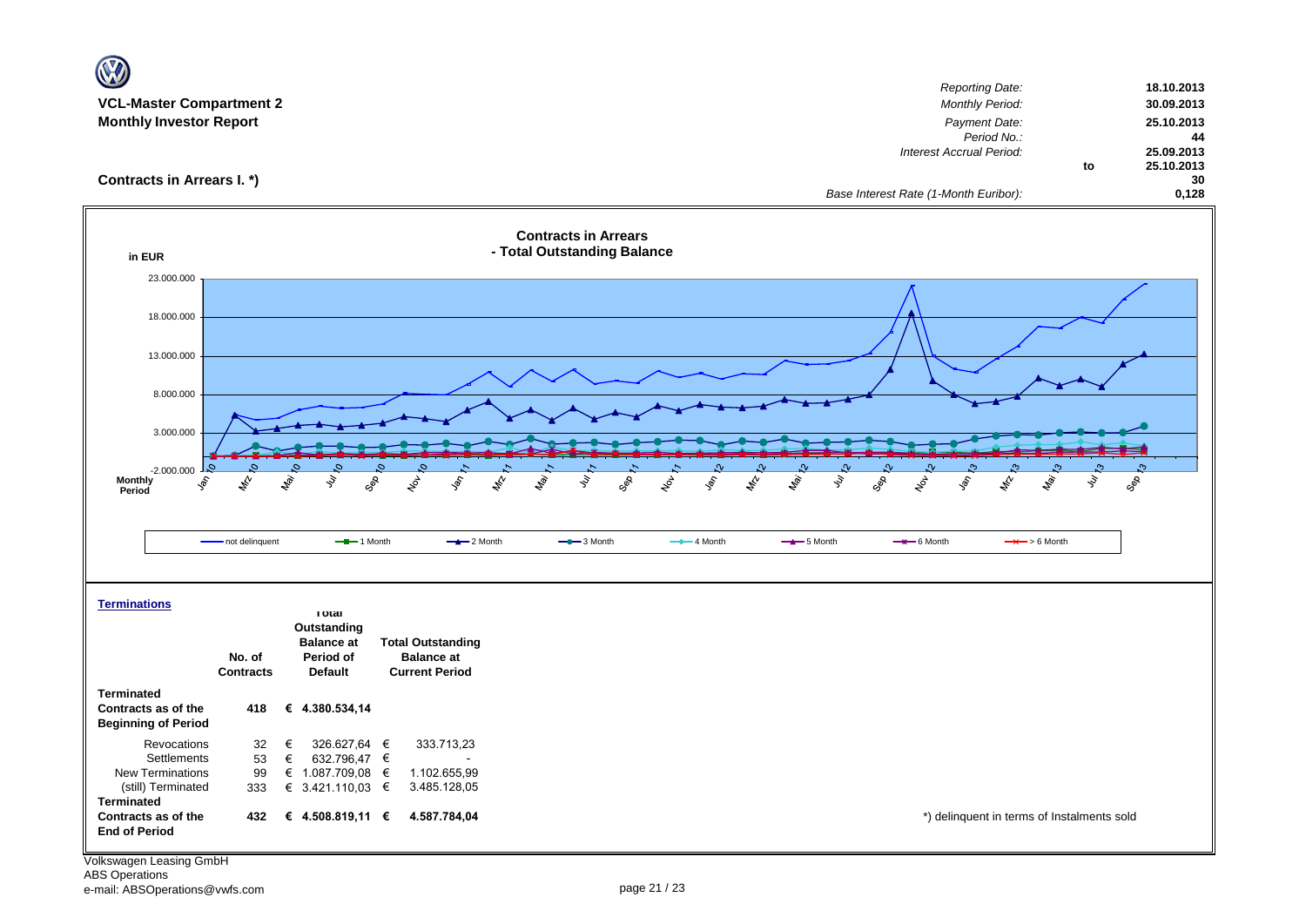| $\mathbf{V}$                                                               |                            |                                                                 |                                                                        |                                                            |                           |                 |                                                                                                                     |                                                            |
|----------------------------------------------------------------------------|----------------------------|-----------------------------------------------------------------|------------------------------------------------------------------------|------------------------------------------------------------|---------------------------|-----------------|---------------------------------------------------------------------------------------------------------------------|------------------------------------------------------------|
| <b>VCL-Master Compartment 2</b><br><b>Monthly Investor Report</b>          |                            |                                                                 |                                                                        |                                                            |                           |                 | <b>Reporting Date:</b><br><b>Monthly Period:</b><br>Payment Date:<br>Period No.:<br><b>Interest Accrual Period:</b> | 18.10.2013<br>30.09.2013<br>25.10.2013<br>44<br>25.09.2013 |
| Contracts in Arrears I. *)                                                 |                            |                                                                 |                                                                        |                                                            |                           |                 | Base Interest Rate (1-Month Euribor):                                                                               | 25.10.2013<br>to<br>30<br>0,128                            |
| in EUR                                                                     |                            |                                                                 |                                                                        | <b>Contracts in Arrears</b><br>- Total Outstanding Balance |                           |                 |                                                                                                                     |                                                            |
| 23.000.000                                                                 |                            |                                                                 |                                                                        |                                                            |                           |                 |                                                                                                                     |                                                            |
| 18.000.000                                                                 |                            |                                                                 |                                                                        |                                                            |                           |                 |                                                                                                                     |                                                            |
| 13.000.000                                                                 |                            |                                                                 |                                                                        |                                                            |                           |                 |                                                                                                                     |                                                            |
| 8.000.000                                                                  |                            |                                                                 |                                                                        |                                                            |                           |                 |                                                                                                                     |                                                            |
| 3.000.000                                                                  |                            |                                                                 |                                                                        |                                                            |                           |                 |                                                                                                                     |                                                            |
| -2.000.000<br>Monthly<br>Peries:<br>ş<br>Period                            | $\mathbf{z}^{\mathbf{y}}$  | ligi.<br>ş                                                      | GOR<br>$\xi_{\!\scriptscriptstyle\beta}$<br><b>Sol</b>                 | May<br>$z_p^{\prime}$<br>ş<br>GOR                          | $\frac{1}{2}$<br>令<br>Loy | ş<br><b>May</b> | <b>Ray</b><br>GOR<br>$x^{\beta}$<br>ş,<br>$\mathscr{E}_{\mathscr{C}}$                                               | GOR<br>ş                                                   |
|                                                                            | - not delinquent           | $-$ -1 Month                                                    | $-2$ Month                                                             | $-$ 3 Month                                                | $-$ 4 Month               | $-$ 5 Month     | $\rightarrow$ 6 Month<br>$\rightarrow$ > 6 Month                                                                    |                                                            |
| <b>Terminations</b>                                                        |                            | <b>I</b> otal                                                   |                                                                        |                                                            |                           |                 |                                                                                                                     |                                                            |
|                                                                            | No. of<br><b>Contracts</b> | Outstanding<br><b>Balance</b> at<br>Period of<br><b>Default</b> | <b>Total Outstanding</b><br><b>Balance at</b><br><b>Current Period</b> |                                                            |                           |                 |                                                                                                                     |                                                            |
| <b>Terminated</b><br>Contracts as of the<br><b>Beginning of Period</b>     | 418                        | € 4.380.534,14                                                  |                                                                        |                                                            |                           |                 |                                                                                                                     |                                                            |
| Revocations                                                                | 32                         | €<br>326.627,64 €                                               | 333.713,23                                                             |                                                            |                           |                 |                                                                                                                     |                                                            |
| Settlements<br>New Terminations<br>(still) Terminated<br><b>Terminated</b> | 53<br>99<br>333            | €<br>632.796,47 €<br>€ 1.087.709,08 $∈$<br>€ 3.421.110,03 €     | 1.102.655,99<br>3.485.128,05                                           |                                                            |                           |                 |                                                                                                                     |                                                            |
| Contracts as of the<br><b>End of Period</b>                                | 432                        | € 4.508.819,11 $∈$                                              | 4.587.784,04                                                           |                                                            |                           |                 | *) delinquent in terms of Instalments sold                                                                          |                                                            |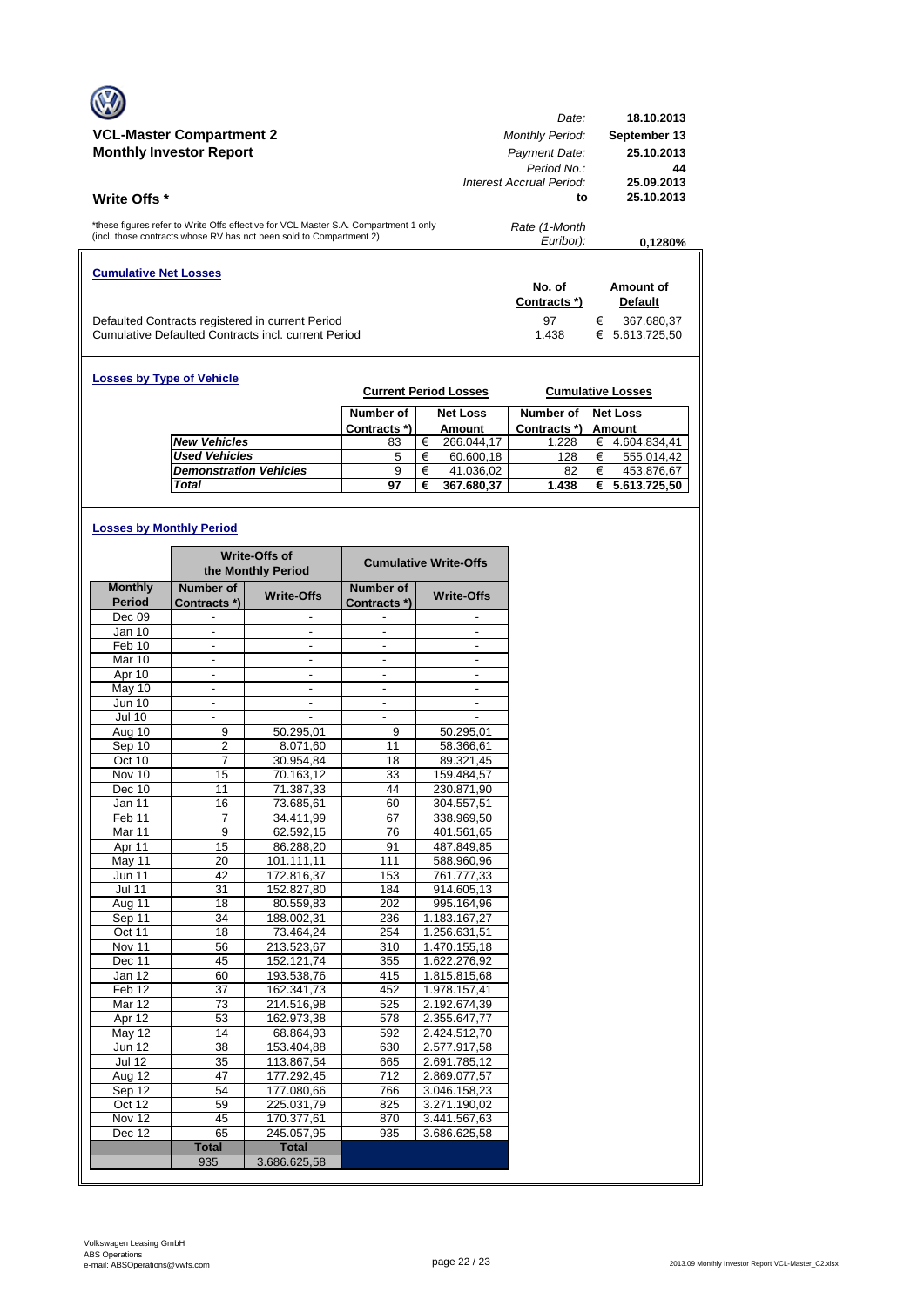|                                                                                                                                                            | Date:                    | 18.10.2013        |
|------------------------------------------------------------------------------------------------------------------------------------------------------------|--------------------------|-------------------|
| <b>VCL-Master Compartment 2</b>                                                                                                                            | <b>Monthly Period:</b>   | September 13      |
| <b>Monthly Investor Report</b>                                                                                                                             | Payment Date:            | 25.10.2013        |
|                                                                                                                                                            | Period No.:              | 44                |
|                                                                                                                                                            | Interest Accrual Period: | 25.09.2013        |
| Write Offs *                                                                                                                                               | to                       | 25.10.2013        |
|                                                                                                                                                            |                          |                   |
| *these figures refer to Write Offs effective for VCL Master S.A. Compartment 1 only<br>(incl. those contracts whose RV has not been sold to Compartment 2) | Rate (1-Month            |                   |
|                                                                                                                                                            | Euribor):                | 0.1280%           |
|                                                                                                                                                            |                          |                   |
| <b>Cumulative Net Losses</b>                                                                                                                               |                          |                   |
|                                                                                                                                                            | No. of                   | Amount of         |
|                                                                                                                                                            | Contracts *)             | <b>Default</b>    |
| Defaulted Contracts registered in current Period                                                                                                           | 97                       | €<br>367.680,37   |
| Cumulative Defaulted Contracts incl. current Period                                                                                                        | 1.438                    | 5.613.725,50<br>€ |

| <b>Losses by Type of Vehicle</b> |                               | <b>Current Period Losses</b> |   |                 |              |   | <b>Cumulative Losses</b> |
|----------------------------------|-------------------------------|------------------------------|---|-----------------|--------------|---|--------------------------|
|                                  |                               | Number of                    |   | <b>Net Loss</b> | Number of    |   | <b>Net Loss</b>          |
|                                  |                               | Contracts *)                 |   | Amount          | Contracts *) |   | Amount                   |
|                                  | <b>New Vehicles</b>           | 83                           | € | 266.044.17      | 1.228        | € | 4.604.834.41             |
|                                  | <b>Used Vehicles</b>          | 5                            | € | 60.600,18       | 128          | € | 555.014.42               |
|                                  | <b>Demonstration Vehicles</b> | 9                            | € | 41.036,02       | 82           | € | 453.876,67               |
|                                  | Total                         | 97                           | € | 367.680,37      | 1.438        | € | 5.613.725,50             |

# **Losses by Monthly Period**

|                   |                          | <b>Write-Offs of</b><br>the Monthly Period |                          | <b>Cumulative Write-Offs</b> |
|-------------------|--------------------------|--------------------------------------------|--------------------------|------------------------------|
| <b>Monthly</b>    | Number of                | <b>Write-Offs</b>                          | Number of                | <b>Write-Offs</b>            |
| <b>Period</b>     | Contracts *)             |                                            | Contracts *)             |                              |
| Dec 09            |                          |                                            |                          |                              |
| Jan 10            |                          |                                            |                          |                              |
| Feb 10            | $\frac{1}{2}$            | $\frac{1}{2}$                              | ٠                        |                              |
| Mar 10            | $\blacksquare$           | $\overline{\phantom{a}}$                   | $\overline{a}$           | ٠                            |
| Apr 10            |                          |                                            |                          |                              |
| May 10            | $\overline{\phantom{a}}$ | $\overline{\phantom{a}}$                   | $\overline{\phantom{a}}$ | $\overline{\phantom{a}}$     |
| <b>Jun 10</b>     | $\blacksquare$           | $\overline{\phantom{a}}$                   | $\overline{\phantom{0}}$ |                              |
| <b>Jul 10</b>     |                          |                                            |                          |                              |
| Aug 10            | 9                        | 50.295,01                                  | 9                        | 50.295,01                    |
| Sep 10            | $\overline{2}$           | 8.071,60                                   | 11                       | 58.366,61                    |
| Oct 10            | $\overline{7}$           | 30.954,84                                  | 18                       | 89.321,45                    |
| Nov 10            | 15                       | 70.163,12                                  | 33                       | 159.484,57                   |
| Dec 10            | 11                       | 71.387,33                                  | 44                       | 230.871,90                   |
| Jan 11            | 16                       | 73.685,61                                  | 60                       | 304.557,51                   |
| Feb <sub>11</sub> | 7                        | 34.411,99                                  | 67                       | 338.969,50                   |
| Mar 11            | 9                        | 62.592,15                                  | 76                       | 401.561,65                   |
| Apr 11            | $\overline{15}$          | 86.288,20                                  | 91                       | 487.849,85                   |
| May 11            | 20                       | 101.111,11                                 | 111                      | 588.960,96                   |
| <b>Jun 11</b>     | 42                       | 172.816,37                                 | 153                      | 761.777,33                   |
| <b>Jul 11</b>     | $\overline{31}$          | 152.827,80                                 | 184                      | 914.605,13                   |
| Aug 11            | 18                       | 80.559,83                                  | 202                      | 995.164,96                   |
| Sep 11            | 34                       | 188.002,31                                 | 236                      | 1.183.167,27                 |
| Oct 11            | 18                       | 73.464,24                                  | 254                      | 1.256.631,51                 |
| Nov 11            | 56                       | 213.523,67                                 | 310                      | 1.470.155,18                 |
| Dec 11            | 45                       | 152.121,74                                 | 355                      | 1.622.276,92                 |
| Jan 12            | 60                       | 193.538,76                                 | 415                      | 1.815.815,68                 |
| Feb <sub>12</sub> | 37                       | 162.341,73                                 | 452                      | 1.978.157,41                 |
| Mar 12            | 73                       | 214.516,98                                 | 525                      | 2.192.674,39                 |
| Apr 12            | 53                       | 162.973,38                                 | 578                      | 2.355.647,77                 |
| May 12            | 14                       | 68.864,93                                  | 592                      | 2.424.512,70                 |
| Jun 12            | 38                       | 153.404,88                                 | 630                      | 2.577.917,58                 |
| <b>Jul 12</b>     | 35                       | 113.867,54                                 | 665                      | 2.691.785,12                 |
| Aug 12            | 47                       | 177.292,45                                 | 712                      | 2.869.077,57                 |
| Sep 12            | 54                       | 177.080,66                                 | 766                      | 3.046.158,23                 |
| Oct 12            | 59                       | 225.031,79                                 | 825                      | 3.271.190,02                 |
| Nov 12            | 45                       | 170.377,61                                 | 870                      | 3.441.567,63                 |
| Dec $12$          | 65                       | 245.057,95                                 | 935                      | 3.686.625,58                 |
|                   | <b>Total</b>             | <b>Total</b>                               |                          |                              |
|                   | 935                      | 3.686.625,58                               |                          |                              |